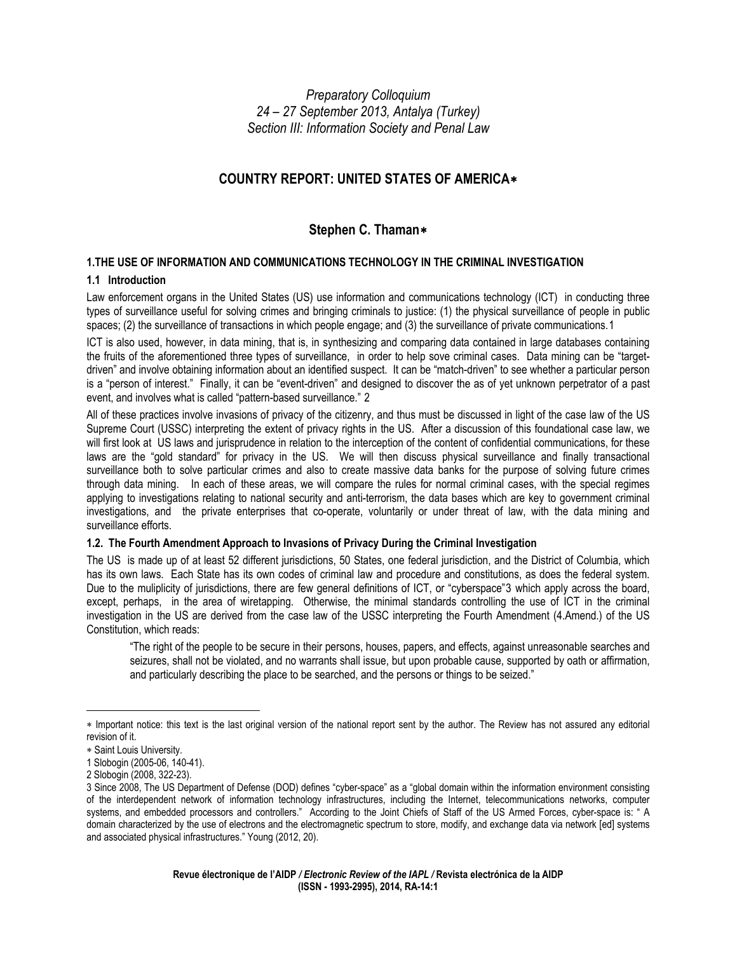*Preparatory Colloquium 24 – 27 September 2013, Antalya (Turkey) Section III: Information Society and Penal Law* 

# **COUNTRY REPORT: UNITED STATES OF AMERICA**[∗](#page-0-0)

# **Stephen C. Thaman**[∗](#page-0-1)

## **1.THE USE OF INFORMATION AND COMMUNICATIONS TECHNOLOGY IN THE CRIMINAL INVESTIGATION**

## **1.1 Introduction**

Law enforcement organs in the United States (US) use information and communications technology (ICT) in conducting three types of surveillance useful for solving crimes and bringing criminals to justice: (1) the physical surveillance of people in public spaces; (2) the surveillance of transactions in which people engage; and (3) the surveillance of private communications.[1](#page-0-2)

ICT is also used, however, in data mining, that is, in synthesizing and comparing data contained in large databases containing the fruits of the aforementioned three types of surveillance, in order to help sove criminal cases. Data mining can be "targetdriven" and involve obtaining information about an identified suspect. It can be "match-driven" to see whether a particular person is a "person of interest." Finally, it can be "event-driven" and designed to discover the as of yet unknown perpetrator of a past event, and involves what is called "pattern-based surveillance." [2](#page-0-3) 

All of these practices involve invasions of privacy of the citizenry, and thus must be discussed in light of the case law of the US Supreme Court (USSC) interpreting the extent of privacy rights in the US. After a discussion of this foundational case law, we will first look at US laws and jurisprudence in relation to the interception of the content of confidential communications, for these laws are the "gold standard" for privacy in the US. We will then discuss physical surveillance and finally transactional surveillance both to solve particular crimes and also to create massive data banks for the purpose of solving future crimes through data mining. In each of these areas, we will compare the rules for normal criminal cases, with the special regimes applying to investigations relating to national security and anti-terrorism, the data bases which are key to government criminal investigations, and the private enterprises that co-operate, voluntarily or under threat of law, with the data mining and surveillance efforts.

### **1.2. The Fourth Amendment Approach to Invasions of Privacy During the Criminal Investigation**

The US is made up of at least 52 different jurisdictions, 50 States, one federal jurisdiction, and the District of Columbia, which has its own laws. Each State has its own codes of criminal law and procedure and constitutions, as does the federal system. Due to the muliplicity of jurisdictions, there are few general definitions of ICT, or "cyberspace"[3](#page-0-4) which apply across the board, except, perhaps, in the area of wiretapping. Otherwise, the minimal standards controlling the use of ICT in the criminal investigation in the US are derived from the case law of the USSC interpreting the Fourth Amendment (4.Amend.) of the US Constitution, which reads:

"The right of the people to be secure in their persons, houses, papers, and effects, against unreasonable searches and seizures, shall not be violated, and no warrants shall issue, but upon probable cause, supported by oath or affirmation, and particularly describing the place to be searched, and the persons or things to be seized."

<span id="page-0-0"></span><sup>∗</sup> Important notice: this text is the last original version of the national report sent by the author. The Review has not assured any editorial revision of it.

<span id="page-0-1"></span><sup>∗</sup> Saint Louis University.

<span id="page-0-2"></span><sup>1</sup> Slobogin (2005-06, 140-41).

<span id="page-0-3"></span><sup>2</sup> Slobogin (2008, 322-23).

<span id="page-0-4"></span><sup>3</sup> Since 2008, The US Department of Defense (DOD) defines "cyber-space" as a "global domain within the information environment consisting of the interdependent network of information technology infrastructures, including the Internet, telecommunications networks, computer systems, and embedded processors and controllers." According to the Joint Chiefs of Staff of the US Armed Forces, cyber-space is: " A domain characterized by the use of electrons and the electromagnetic spectrum to store, modify, and exchange data via network [ed] systems and associated physical infrastructures." Young (2012, 20).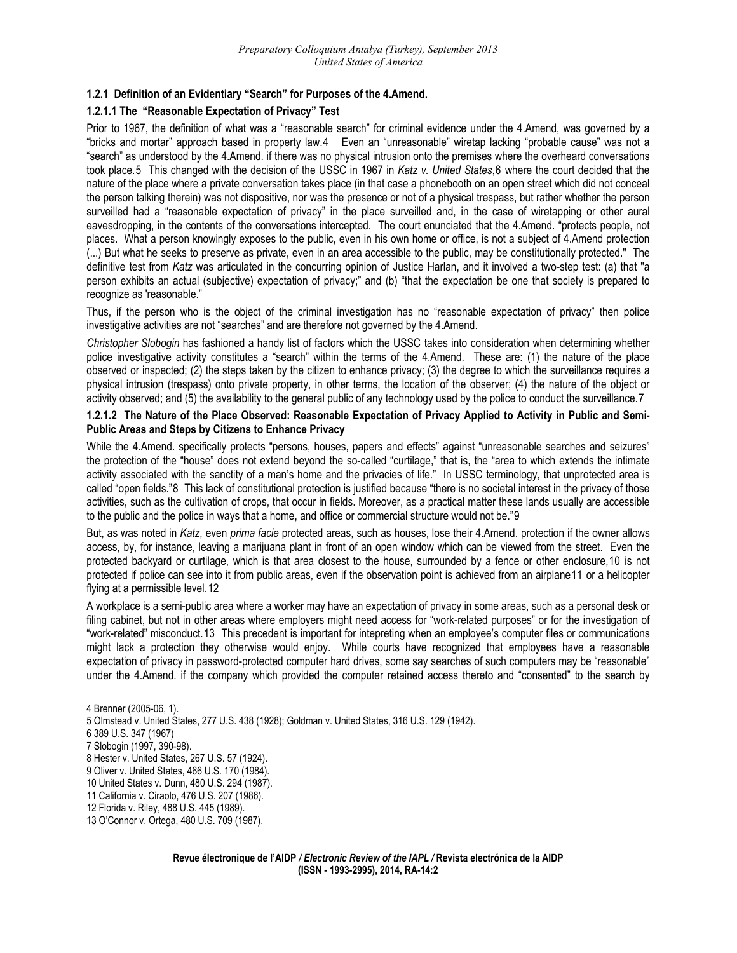### **1.2.1 Definition of an Evidentiary "Search" for Purposes of the 4.Amend.**

## **1.2.1.1 The "Reasonable Expectation of Privacy" Test**

Prior to 1967, the definition of what was a "reasonable search" for criminal evidence under the 4.Amend, was governed by a "bricks and mortar" approach based in property law.[4](#page-1-0) Even an "unreasonable" wiretap lacking "probable cause" was not a "search" as understood by the 4.Amend. if there was no physical intrusion onto the premises where the overheard conversations took place.[5](#page-1-1) This changed with the decision of the USSC in 1967 in *Katz v. United States*,[6](#page-1-2) where the court decided that the nature of the place where a private conversation takes place (in that case a phonebooth on an open street which did not conceal the person talking therein) was not dispositive, nor was the presence or not of a physical trespass, but rather whether the person surveilled had a "reasonable expectation of privacy" in the place surveilled and, in the case of wiretapping or other aural eavesdropping, in the contents of the conversations intercepted. The court enunciated that the 4.Amend. "protects people, not places. What a person knowingly exposes to the public, even in his own home or office, is not a subject of 4.Amend protection (...) But what he seeks to preserve as private, even in an area accessible to the public, may be constitutionally protected." The definitive test from *Katz* was articulated in the concurring opinion of Justice Harlan, and it involved a two-step test: (a) that "a person exhibits an actual (subjective) expectation of privacy;" and (b) "that the expectation be one that society is prepared to recognize as 'reasonable."

Thus, if the person who is the object of the criminal investigation has no "reasonable expectation of privacy" then police investigative activities are not "searches" and are therefore not governed by the 4.Amend.

*Christopher Slobogin* has fashioned a handy list of factors which the USSC takes into consideration when determining whether police investigative activity constitutes a "search" within the terms of the 4.Amend. These are: (1) the nature of the place observed or inspected; (2) the steps taken by the citizen to enhance privacy; (3) the degree to which the surveillance requires a physical intrusion (trespass) onto private property, in other terms, the location of the observer; (4) the nature of the object or activity observed; and (5) the availability to the general public of any technology used by the police to conduct the surveillance.[7](#page-1-3) 

#### **1.2.1.2 The Nature of the Place Observed: Reasonable Expectation of Privacy Applied to Activity in Public and Semi-Public Areas and Steps by Citizens to Enhance Privacy**

While the 4.Amend. specifically protects "persons, houses, papers and effects" against "unreasonable searches and seizures" the protection of the "house" does not extend beyond the so-called "curtilage," that is, the "area to which extends the intimate activity associated with the sanctity of a man's home and the privacies of life." In USSC terminology, that unprotected area is called "open fields."[8](#page-1-4) This lack of constitutional protection is justified because "there is no societal interest in the privacy of those activities, such as the cultivation of crops, that occur in fields. Moreover, as a practical matter these lands usually are accessible to the public and the police in ways that a home, and office or commercial structure would not be."[9](#page-1-5) 

But, as was noted in *Katz*, even *prima facie* protected areas, such as houses, lose their 4.Amend. protection if the owner allows access, by, for instance, leaving a marijuana plant in front of an open window which can be viewed from the street. Even the protected backyard or curtilage, which is that area closest to the house, surrounded by a fence or other enclosure,[10](#page-1-6) is not protected if police can see into it from public areas, even if the observation point is achieved from an airplane[11](#page-1-7) or a helicopter flying at a permissible level.[12](#page-1-8) 

A workplace is a semi-public area where a worker may have an expectation of privacy in some areas, such as a personal desk or filing cabinet, but not in other areas where employers might need access for "work-related purposes" or for the investigation of "work-related" misconduct.[13](#page-1-9) This precedent is important for intepreting when an employee's computer files or communications might lack a protection they otherwise would enjoy. While courts have recognized that employees have a reasonable expectation of privacy in password-protected computer hard drives, some say searches of such computers may be "reasonable" under the 4.Amend. if the company which provided the computer retained access thereto and "consented" to the search by

 $\overline{a}$ 4 Brenner (2005-06, 1).

<span id="page-1-1"></span><span id="page-1-0"></span><sup>5</sup> Olmstead v. United States, 277 U.S. 438 (1928); Goldman v. United States, 316 U.S. 129 (1942).

<span id="page-1-2"></span><sup>6 389</sup> U.S. 347 (1967)

<span id="page-1-3"></span><sup>7</sup> Slobogin (1997, 390-98).

<span id="page-1-4"></span><sup>8</sup> Hester v. United States, 267 U.S. 57 (1924).

<span id="page-1-5"></span><sup>9</sup> Oliver v. United States, 466 U.S. 170 (1984).

<span id="page-1-6"></span><sup>10</sup> United States v. Dunn, 480 U.S. 294 (1987).

<span id="page-1-7"></span><sup>11</sup> California v. Ciraolo, 476 U.S. 207 (1986).

<span id="page-1-8"></span><sup>12</sup> Florida v. Riley, 488 U.S. 445 (1989).

<span id="page-1-9"></span><sup>13</sup> O'Connor v. Ortega, 480 U.S. 709 (1987).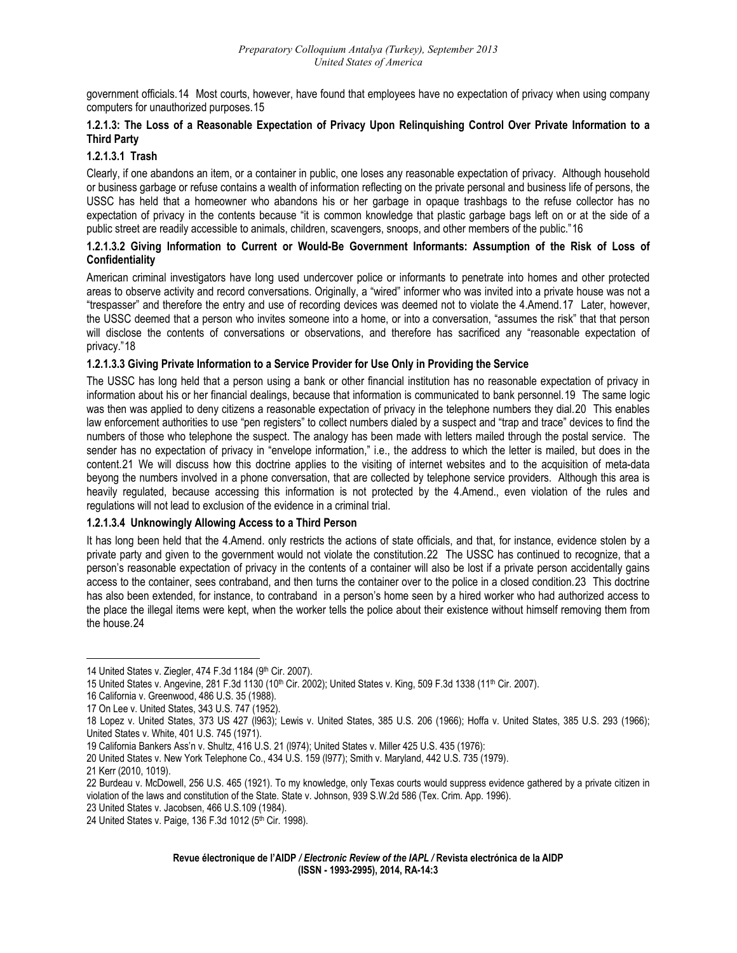government officials.[14](#page-2-0)Most courts, however, have found that employees have no expectation of privacy when using company computers for unauthorized purposes.[15](#page-2-1)

## **1.2.1.3: The Loss of a Reasonable Expectation of Privacy Upon Relinquishing Control Over Private Information to a Third Party**

# **1.2.1.3.1 Trash**

Clearly, if one abandons an item, or a container in public, one loses any reasonable expectation of privacy. Although household or business garbage or refuse contains a wealth of information reflecting on the private personal and business life of persons, the USSC has held that a homeowner who abandons his or her garbage in opaque trashbags to the refuse collector has no expectation of privacy in the contents because "it is common knowledge that plastic garbage bags left on or at the side of a public street are readily accessible to animals, children, scavengers, snoops, and other members of the public."[16](#page-2-2) 

### **1.2.1.3.2 Giving Information to Current or Would-Be Government Informants: Assumption of the Risk of Loss of Confidentiality**

American criminal investigators have long used undercover police or informants to penetrate into homes and other protected areas to observe activity and record conversations. Originally, a "wired" informer who was invited into a private house was not a "trespasser" and therefore the entry and use of recording devices was deemed not to violate the 4.Amend.[17](#page-2-3) Later, however, the USSC deemed that a person who invites someone into a home, or into a conversation, "assumes the risk" that that person will disclose the contents of conversations or observations, and therefore has sacrificed any "reasonable expectation of privacy."[18](#page-2-4)

## **1.2.1.3.3 Giving Private Information to a Service Provider for Use Only in Providing the Service**

The USSC has long held that a person using a bank or other financial institution has no reasonable expectation of privacy in information about his or her financial dealings, because that information is communicated to bank personnel.[19](#page-2-5) The same logic was then was applied to deny citizens a reasonable expectation of privacy in the telephone numbers they dial.[20](#page-2-6) This enables law enforcement authorities to use "pen registers" to collect numbers dialed by a suspect and "trap and trace" devices to find the numbers of those who telephone the suspect. The analogy has been made with letters mailed through the postal service. The sender has no expectation of privacy in "envelope information," i.e., the address to which the letter is mailed, but does in the content.[21](#page-2-7) We will discuss how this doctrine applies to the visiting of internet websites and to the acquisition of meta-data beyong the numbers involved in a phone conversation, that are collected by telephone service providers. Although this area is heavily regulated, because accessing this information is not protected by the 4.Amend., even violation of the rules and regulations will not lead to exclusion of the evidence in a criminal trial.

# **1.2.1.3.4 Unknowingly Allowing Access to a Third Person**

It has long been held that the 4.Amend. only restricts the actions of state officials, and that, for instance, evidence stolen by a private party and given to the government would not violate the constitution.[22](#page-2-8) The USSC has continued to recognize, that a person's reasonable expectation of privacy in the contents of a container will also be lost if a private person accidentally gains access to the container, sees contraband, and then turns the container over to the police in a closed condition.[23](#page-2-9) This doctrine has also been extended, for instance, to contraband in a person's home seen by a hired worker who had authorized access to the place the illegal items were kept, when the worker tells the police about their existence without himself removing them from the house.[24](#page-2-10) 

<span id="page-2-7"></span>21 Kerr (2010, 1019).

 $\overline{a}$ 

<span id="page-2-9"></span>23 United States v. Jacobsen, 466 U.S.109 (1984).

<span id="page-2-0"></span><sup>14</sup> United States v. Ziegler, 474 F.3d 1184 (9th Cir. 2007).

<span id="page-2-1"></span><sup>15</sup> United States v. Angevine, 281 F.3d 1130 (10<sup>th</sup> Cir. 2002); United States v. King, 509 F.3d 1338 (11<sup>th</sup> Cir. 2007).

<span id="page-2-2"></span><sup>16</sup> California v. Greenwood, 486 U.S. 35 (1988).

<span id="page-2-3"></span><sup>17</sup> On Lee v. United States, 343 U.S. 747 (1952).

<span id="page-2-4"></span><sup>18</sup> Lopez v. United States, 373 US 427 (l963); Lewis v. United States, 385 U.S. 206 (1966); Hoffa v. United States, 385 U.S. 293 (1966); United States v. White, 401 U.S. 745 (1971).

<span id="page-2-5"></span><sup>19</sup> California Bankers Ass'n v. Shultz, 416 U.S. 21 (l974); United States v. Miller 425 U.S. 435 (1976):

<span id="page-2-6"></span><sup>20</sup> United States v. New York Telephone Co., 434 U.S. 159 (l977); Smith v. Maryland, 442 U.S. 735 (1979).

<span id="page-2-8"></span><sup>22</sup> Burdeau v. McDowell, 256 U.S. 465 (1921). To my knowledge, only Texas courts would suppress evidence gathered by a private citizen in violation of the laws and constitution of the State. State v. Johnson, 939 S.W.2d 586 (Tex. Crim. App. 1996).

<span id="page-2-10"></span><sup>24</sup> United States v. Paige, 136 F.3d 1012 (5th Cir. 1998).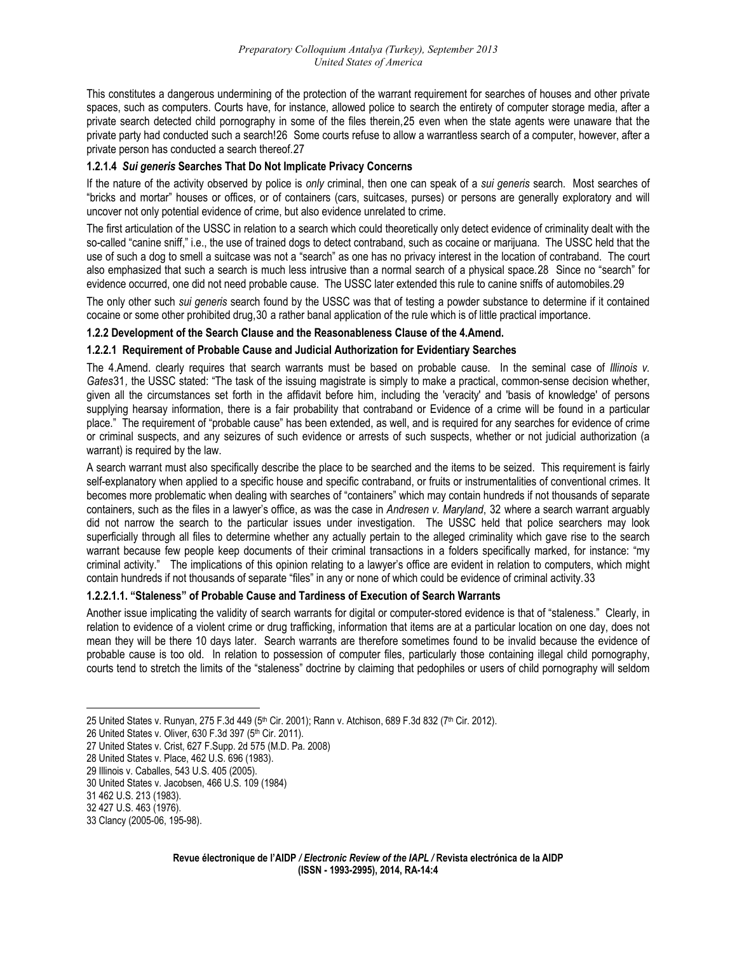This constitutes a dangerous undermining of the protection of the warrant requirement for searches of houses and other private spaces, such as computers. Courts have, for instance, allowed police to search the entirety of computer storage media, after a private search detected child pornography in some of the files therein,[25](#page-3-0) even when the state agents were unaware that the private party had conducted such a search![26](#page-3-1) Some courts refuse to allow a warrantless search of a computer, however, after a private person has conducted a search thereof.[27](#page-3-2) 

# **1.2.1.4** *Sui generis* **Searches That Do Not Implicate Privacy Concerns**

If the nature of the activity observed by police is *only* criminal, then one can speak of a *sui generis* search. Most searches of "bricks and mortar" houses or offices, or of containers (cars, suitcases, purses) or persons are generally exploratory and will uncover not only potential evidence of crime, but also evidence unrelated to crime.

The first articulation of the USSC in relation to a search which could theoretically only detect evidence of criminality dealt with the so-called "canine sniff," i.e., the use of trained dogs to detect contraband, such as cocaine or marijuana. The USSC held that the use of such a dog to smell a suitcase was not a "search" as one has no privacy interest in the location of contraband. The court also emphasized that such a search is much less intrusive than a normal search of a physical space.[28](#page-3-3) Since no "search" for evidence occurred, one did not need probable cause. The USSC later extended this rule to canine sniffs of automobiles.[29](#page-3-4) 

The only other such *sui generis* search found by the USSC was that of testing a powder substance to determine if it contained cocaine or some other prohibited drug,[30](#page-3-5) a rather banal application of the rule which is of little practical importance.

# **1.2.2 Development of the Search Clause and the Reasonableness Clause of the 4.Amend.**

## **1.2.2.1 Requirement of Probable Cause and Judicial Authorization for Evidentiary Searches**

The 4.Amend. clearly requires that search warrants must be based on probable cause. In the seminal case of *Illinois v. Gates*[31](#page-3-6)*,* the USSC stated: "The task of the issuing magistrate is simply to make a practical, common-sense decision whether, given all the circumstances set forth in the affidavit before him, including the 'veracity' and 'basis of knowledge' of persons supplying hearsay information, there is a fair probability that contraband or Evidence of a crime will be found in a particular place." The requirement of "probable cause" has been extended, as well, and is required for any searches for evidence of crime or criminal suspects, and any seizures of such evidence or arrests of such suspects, whether or not judicial authorization (a warrant) is required by the law.

A search warrant must also specifically describe the place to be searched and the items to be seized. This requirement is fairly self-explanatory when applied to a specific house and specific contraband, or fruits or instrumentalities of conventional crimes. It becomes more problematic when dealing with searches of "containers" which may contain hundreds if not thousands of separate containers, such as the files in a lawyer's office, as was the case in *Andresen v. Maryland*, [32](#page-3-7) where a search warrant arguably did not narrow the search to the particular issues under investigation. The USSC held that police searchers may look superficially through all files to determine whether any actually pertain to the alleged criminality which gave rise to the search warrant because few people keep documents of their criminal transactions in a folders specifically marked, for instance: "my criminal activity." The implications of this opinion relating to a lawyer's office are evident in relation to computers, which might contain hundreds if not thousands of separate "files" in any or none of which could be evidence of criminal activity.[33](#page-3-8) 

### **1.2.2.1.1. "Staleness" of Probable Cause and Tardiness of Execution of Search Warrants**

Another issue implicating the validity of search warrants for digital or computer-stored evidence is that of "staleness." Clearly, in relation to evidence of a violent crime or drug trafficking, information that items are at a particular location on one day, does not mean they will be there 10 days later. Search warrants are therefore sometimes found to be invalid because the evidence of probable cause is too old. In relation to possession of computer files, particularly those containing illegal child pornography, courts tend to stretch the limits of the "staleness" doctrine by claiming that pedophiles or users of child pornography will seldom

<span id="page-3-0"></span><sup>25</sup> United States v. Runyan, 275 F.3d 449 (5<sup>th</sup> Cir. 2001); Rann v. Atchison, 689 F.3d 832 (7<sup>th</sup> Cir. 2012).

<span id="page-3-1"></span><sup>26</sup> United States v. Oliver, 630 F.3d 397 (5th Cir. 2011).

<span id="page-3-2"></span><sup>27</sup> United States v. Crist, 627 F.Supp. 2d 575 (M.D. Pa. 2008)

<span id="page-3-3"></span><sup>28</sup> United States v. Place, 462 U.S. 696 (1983).

<span id="page-3-4"></span><sup>29</sup> Illinois v. Caballes, 543 U.S. 405 (2005).

<span id="page-3-5"></span><sup>30</sup> United States v. Jacobsen, 466 U.S. 109 (1984)

<span id="page-3-6"></span><sup>31 462</sup> U.S. 213 (1983).

<span id="page-3-7"></span><sup>32 427</sup> U.S. 463 (1976).

<span id="page-3-8"></span><sup>33</sup> Clancy (2005-06, 195-98).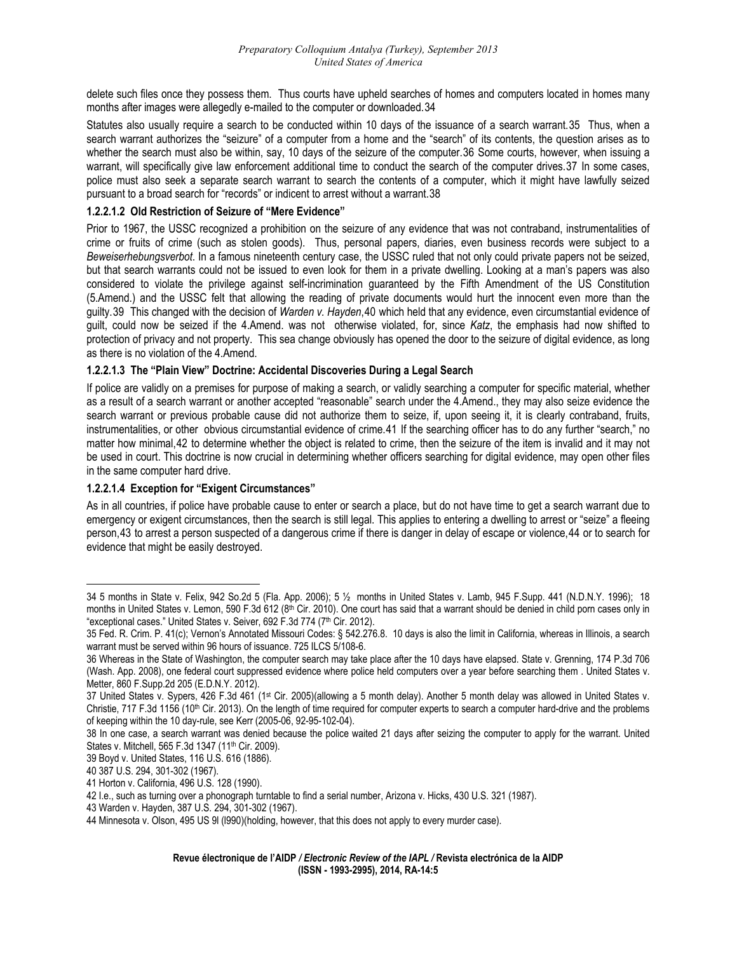delete such files once they possess them. Thus courts have upheld searches of homes and computers located in homes many months after images were allegedly e-mailed to the computer or downloaded.[34](#page-4-0) 

Statutes also usually require a search to be conducted within 10 days of the issuance of a search warrant.[35](#page-4-1) Thus, when a search warrant authorizes the "seizure" of a computer from a home and the "search" of its contents, the question arises as to whether the search must also be within, say, 10 days of the seizure of the computer.[36](#page-4-2) Some courts, however, when issuing a warrant, will specifically give law enforcement additional time to conduct the search of the computer drives.[37](#page-4-3) In some cases, police must also seek a separate search warrant to search the contents of a computer, which it might have lawfully seized pursuant to a broad search for "records" or indicent to arrest without a warrant.[38](#page-4-4) 

### **1.2.2.1.2 Old Restriction of Seizure of "Mere Evidence"**

Prior to 1967, the USSC recognized a prohibition on the seizure of any evidence that was not contraband, instrumentalities of crime or fruits of crime (such as stolen goods). Thus, personal papers, diaries, even business records were subject to a *Beweiserhebungsverbot*. In a famous nineteenth century case, the USSC ruled that not only could private papers not be seized, but that search warrants could not be issued to even look for them in a private dwelling. Looking at a man's papers was also considered to violate the privilege against self-incrimination guaranteed by the Fifth Amendment of the US Constitution (5.Amend.) and the USSC felt that allowing the reading of private documents would hurt the innocent even more than the guilty.[39](#page-4-5) This changed with the decision of *Warden v. Hayden*,[40](#page-4-6) which held that any evidence, even circumstantial evidence of guilt, could now be seized if the 4.Amend. was not otherwise violated, for, since *Katz*, the emphasis had now shifted to protection of privacy and not property. This sea change obviously has opened the door to the seizure of digital evidence, as long as there is no violation of the 4.Amend.

# **1.2.2.1.3 The "Plain View" Doctrine: Accidental Discoveries During a Legal Search**

If police are validly on a premises for purpose of making a search, or validly searching a computer for specific material, whether as a result of a search warrant or another accepted "reasonable" search under the 4.Amend., they may also seize evidence the search warrant or previous probable cause did not authorize them to seize, if, upon seeing it, it is clearly contraband, fruits, instrumentalities, or other obvious circumstantial evidence of crime.[41](#page-4-7) If the searching officer has to do any further "search," no matter how minimal,[42](#page-4-8) to determine whether the object is related to crime, then the seizure of the item is invalid and it may not be used in court. This doctrine is now crucial in determining whether officers searching for digital evidence, may open other files in the same computer hard drive.

### **1.2.2.1.4 Exception for "Exigent Circumstances"**

As in all countries, if police have probable cause to enter or search a place, but do not have time to get a search warrant due to emergency or exigent circumstances, then the search is still legal. This applies to entering a dwelling to arrest or "seize" a fleeing person,[43](#page-4-9) to arrest a person suspected of a dangerous crime if there is danger in delay of escape or violence,[44](#page-4-10) or to search for evidence that might be easily destroyed.

<span id="page-4-0"></span><sup>34 5</sup> months in State v. Felix, 942 So.2d 5 (Fla. App. 2006); 5 ½ months in United States v. Lamb, 945 F.Supp. 441 (N.D.N.Y. 1996); 18 months in United States v. Lemon, 590 F.3d 612 (8<sup>th</sup> Cir. 2010). One court has said that a warrant should be denied in child porn cases only in "exceptional cases." United States v. Seiver, 692 F.3d 774 (7<sup>th</sup> Cir. 2012).

<span id="page-4-1"></span><sup>35</sup> Fed. R. Crim. P. 41(c); Vernon's Annotated Missouri Codes: § 542.276.8. 10 days is also the limit in California, whereas in Illinois, a search warrant must be served within 96 hours of issuance. 725 ILCS 5/108-6.

<span id="page-4-2"></span><sup>36</sup> Whereas in the State of Washington, the computer search may take place after the 10 days have elapsed. State v. Grenning, 174 P.3d 706 (Wash. App. 2008), one federal court suppressed evidence where police held computers over a year before searching them . United States v. Metter, 860 F.Supp.2d 205 (E.D.N.Y. 2012).

<span id="page-4-3"></span><sup>37</sup> United States v. Sypers, 426 F.3d 461 (1st Cir. 2005)(allowing a 5 month delay). Another 5 month delay was allowed in United States v. Christie, 717 F.3d 1156 (10<sup>th</sup> Cir. 2013). On the length of time required for computer experts to search a computer hard-drive and the problems of keeping within the 10 day-rule, see Kerr (2005-06, 92-95-102-04).

<span id="page-4-4"></span><sup>38</sup> In one case, a search warrant was denied because the police waited 21 days after seizing the computer to apply for the warrant. United States v. Mitchell, 565 F.3d 1347 (11<sup>th</sup> Cir. 2009).

<span id="page-4-5"></span><sup>39</sup> Boyd v. United States, 116 U.S. 616 (1886).

<span id="page-4-6"></span><sup>40 387</sup> U.S. 294, 301-302 (1967).

<span id="page-4-7"></span><sup>41</sup> Horton v. California, 496 U.S. 128 (1990).

<span id="page-4-8"></span><sup>42</sup> I.e., such as turning over a phonograph turntable to find a serial number, Arizona v. Hicks, 430 U.S. 321 (1987).

<span id="page-4-9"></span><sup>43</sup> Warden v. Hayden, 387 U.S. 294, 301-302 (1967).

<span id="page-4-10"></span><sup>44</sup> Minnesota v. Olson, 495 US 9l (l990)(holding, however, that this does not apply to every murder case).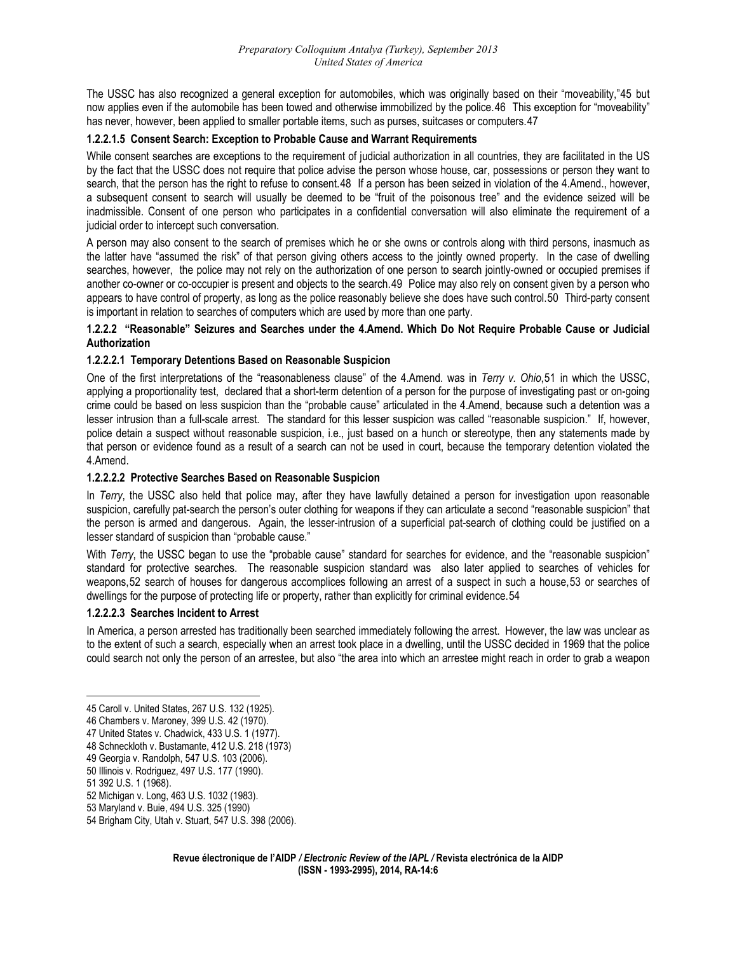The USSC has also recognized a general exception for automobiles, which was originally based on their "moveability,"[45](#page-5-0) but now applies even if the automobile has been towed and otherwise immobilized by the police.[46](#page-5-1) This exception for "moveability" has never, however, been applied to smaller portable items, such as purses, suitcases or computers.[47](#page-5-2) 

### **1.2.2.1.5 Consent Search: Exception to Probable Cause and Warrant Requirements**

While consent searches are exceptions to the requirement of judicial authorization in all countries, they are facilitated in the US by the fact that the USSC does not require that police advise the person whose house, car, possessions or person they want to search, that the person has the right to refuse to consent.[48](#page-5-3) If a person has been seized in violation of the 4.Amend., however, a subsequent consent to search will usually be deemed to be "fruit of the poisonous tree" and the evidence seized will be inadmissible. Consent of one person who participates in a confidential conversation will also eliminate the requirement of a judicial order to intercept such conversation.

A person may also consent to the search of premises which he or she owns or controls along with third persons, inasmuch as the latter have "assumed the risk" of that person giving others access to the jointly owned property. In the case of dwelling searches, however, the police may not rely on the authorization of one person to search jointly-owned or occupied premises if another co-owner or co-occupier is present and objects to the search.[49](#page-5-4) Police may also rely on consent given by a person who appears to have control of property, as long as the police reasonably believe she does have such control.[50](#page-5-5) Third-party consent is important in relation to searches of computers which are used by more than one party.

### **1.2.2.2 "Reasonable" Seizures and Searches under the 4.Amend. Which Do Not Require Probable Cause or Judicial Authorization**

### **1.2.2.2.1 Temporary Detentions Based on Reasonable Suspicion**

One of the first interpretations of the "reasonableness clause" of the 4.Amend. was in *Terry v. Ohio*,[51](#page-5-6) in which the USSC, applying a proportionality test, declared that a short-term detention of a person for the purpose of investigating past or on-going crime could be based on less suspicion than the "probable cause" articulated in the 4.Amend, because such a detention was a lesser intrusion than a full-scale arrest. The standard for this lesser suspicion was called "reasonable suspicion." If, however, police detain a suspect without reasonable suspicion, i.e., just based on a hunch or stereotype, then any statements made by that person or evidence found as a result of a search can not be used in court, because the temporary detention violated the 4.Amend.

#### **1.2.2.2.2 Protective Searches Based on Reasonable Suspicion**

In *Terry*, the USSC also held that police may, after they have lawfully detained a person for investigation upon reasonable suspicion, carefully pat-search the person's outer clothing for weapons if they can articulate a second "reasonable suspicion" that the person is armed and dangerous. Again, the lesser-intrusion of a superficial pat-search of clothing could be justified on a lesser standard of suspicion than "probable cause."

With *Terry*, the USSC began to use the "probable cause" standard for searches for evidence, and the "reasonable suspicion" standard for protective searches. The reasonable suspicion standard was also later applied to searches of vehicles for weapons,[52](#page-5-7) search of houses for dangerous accomplices following an arrest of a suspect in such a house,[53](#page-5-8) or searches of dwellings for the purpose of protecting life or property, rather than explicitly for criminal evidence.[54](#page-5-9) 

#### **1.2.2.2.3 Searches Incident to Arrest**

In America, a person arrested has traditionally been searched immediately following the arrest. However, the law was unclear as to the extent of such a search, especially when an arrest took place in a dwelling, until the USSC decided in 1969 that the police could search not only the person of an arrestee, but also "the area into which an arrestee might reach in order to grab a weapon

<span id="page-5-0"></span><sup>45</sup> Caroll v. United States, 267 U.S. 132 (1925).

<span id="page-5-1"></span><sup>46</sup> Chambers v. Maroney, 399 U.S. 42 (1970).

<span id="page-5-2"></span><sup>47</sup> United States v. Chadwick, 433 U.S. 1 (1977).

<span id="page-5-3"></span><sup>48</sup> Schneckloth v. Bustamante, 412 U.S. 218 (1973)

<span id="page-5-4"></span><sup>49</sup> Georgia v. Randolph, 547 U.S. 103 (2006).

<span id="page-5-5"></span><sup>50</sup> Illinois v. Rodriguez, 497 U.S. 177 (1990).

<span id="page-5-6"></span><sup>51 392</sup> U.S. 1 (1968).

<span id="page-5-7"></span><sup>52</sup> Michigan v. Long, 463 U.S. 1032 (1983).

<span id="page-5-8"></span><sup>53</sup> Maryland v. Buie, 494 U.S. 325 (1990)

<span id="page-5-9"></span><sup>54</sup> Brigham City, Utah v. Stuart, 547 U.S. 398 (2006).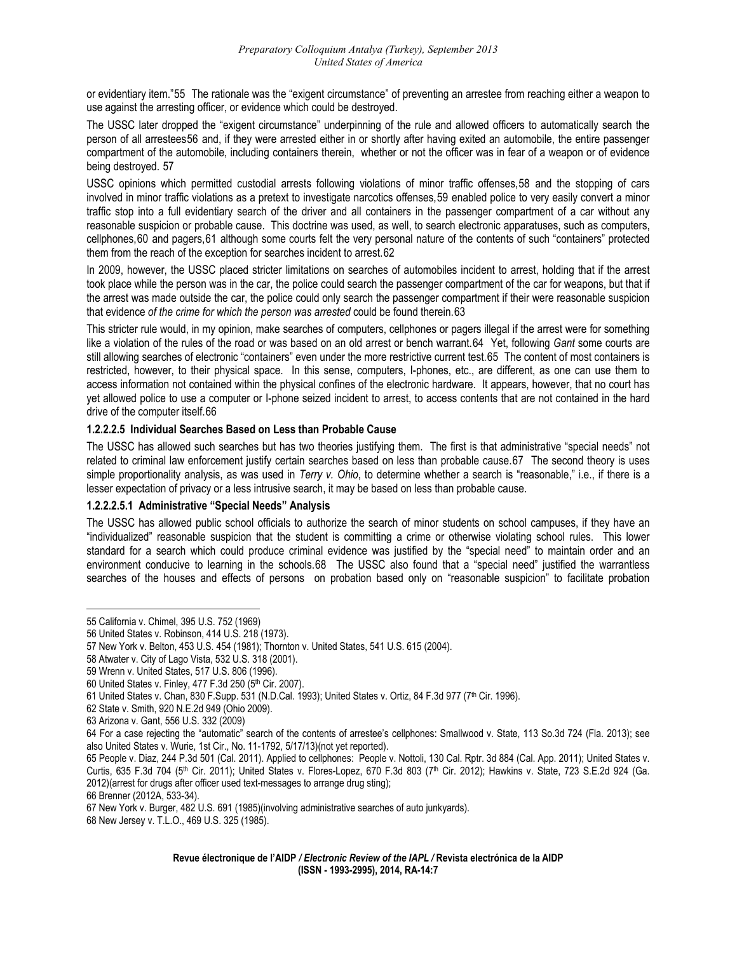or evidentiary item."[55](#page-6-0) The rationale was the "exigent circumstance" of preventing an arrestee from reaching either a weapon to use against the arresting officer, or evidence which could be destroyed.

The USSC later dropped the "exigent circumstance" underpinning of the rule and allowed officers to automatically search the person of all arrestees[56](#page-6-1) and, if they were arrested either in or shortly after having exited an automobile, the entire passenger compartment of the automobile, including containers therein, whether or not the officer was in fear of a weapon or of evidence being destroyed. [57](#page-6-2) 

USSC opinions which permitted custodial arrests following violations of minor traffic offenses,[58](#page-6-3) and the stopping of cars involved in minor traffic violations as a pretext to investigate narcotics offenses,[59](#page-6-4) enabled police to very easily convert a minor traffic stop into a full evidentiary search of the driver and all containers in the passenger compartment of a car without any reasonable suspicion or probable cause. This doctrine was used, as well, to search electronic apparatuses, such as computers, cellphones,[60](#page-6-5) and pagers,[61](#page-6-6) although some courts felt the very personal nature of the contents of such "containers" protected them from the reach of the exception for searches incident to arrest.[62](#page-6-7)

In 2009, however, the USSC placed stricter limitations on searches of automobiles incident to arrest, holding that if the arrest took place while the person was in the car, the police could search the passenger compartment of the car for weapons, but that if the arrest was made outside the car, the police could only search the passenger compartment if their were reasonable suspicion that evidence *of the crime for which the person was arrested* could be found therein.[63](#page-6-8) 

This stricter rule would, in my opinion, make searches of computers, cellphones or pagers illegal if the arrest were for something like a violation of the rules of the road or was based on an old arrest or bench warrant.[64](#page-6-9) Yet, following *Gant* some courts are still allowing searches of electronic "containers" even under the more restrictive current test.[65](#page-6-10) The content of most containers is restricted, however, to their physical space. In this sense, computers, I-phones, etc., are different, as one can use them to access information not contained within the physical confines of the electronic hardware. It appears, however, that no court has yet allowed police to use a computer or I-phone seized incident to arrest, to access contents that are not contained in the hard drive of the computer itself.[66](#page-6-11) 

## **1.2.2.2.5 Individual Searches Based on Less than Probable Cause**

The USSC has allowed such searches but has two theories justifying them. The first is that administrative "special needs" not related to criminal law enforcement justify certain searches based on less than probable cause.[67](#page-6-12) The second theory is uses simple proportionality analysis, as was used in *Terry v. Ohio*, to determine whether a search is "reasonable," i.e., if there is a lesser expectation of privacy or a less intrusive search, it may be based on less than probable cause.

### **1.2.2.2.5.1 Administrative "Special Needs" Analysis**

The USSC has allowed public school officials to authorize the search of minor students on school campuses, if they have an "individualized" reasonable suspicion that the student is committing a crime or otherwise violating school rules. This lower standard for a search which could produce criminal evidence was justified by the "special need" to maintain order and an environment conducive to learning in the schools.[68](#page-6-13) The USSC also found that a "special need" justified the warrantless searches of the houses and effects of persons on probation based only on "reasonable suspicion" to facilitate probation

<span id="page-6-11"></span>66 Brenner (2012A, 533-34).

<span id="page-6-13"></span>68 New Jersey v. T.L.O., 469 U.S. 325 (1985).

 $\overline{a}$ 55 California v. Chimel, 395 U.S. 752 (1969)

<span id="page-6-1"></span><span id="page-6-0"></span><sup>56</sup> United States v. Robinson, 414 U.S. 218 (1973).

<span id="page-6-2"></span><sup>57</sup> New York v. Belton, 453 U.S. 454 (1981); Thornton v. United States, 541 U.S. 615 (2004).

<span id="page-6-3"></span><sup>58</sup> Atwater v. City of Lago Vista, 532 U.S. 318 (2001).

<span id="page-6-4"></span><sup>59</sup> Wrenn v. United States, 517 U.S. 806 (1996).

<span id="page-6-5"></span><sup>60</sup> United States v. Finley, 477 F.3d 250 (5th Cir. 2007).

<span id="page-6-6"></span><sup>61</sup> United States v. Chan, 830 F.Supp. 531 (N.D.Cal. 1993); United States v. Ortiz, 84 F.3d 977 (7th Cir. 1996).

<span id="page-6-7"></span><sup>62</sup> State v. Smith, 920 N.E.2d 949 (Ohio 2009).

<span id="page-6-8"></span><sup>63</sup> Arizona v. Gant, 556 U.S. 332 (2009)

<span id="page-6-9"></span><sup>64</sup> For a case rejecting the "automatic" search of the contents of arrestee's cellphones: Smallwood v. State, 113 So.3d 724 (Fla. 2013); see also United States v. Wurie, 1st Cir., No. 11-1792, 5/17/13)(not yet reported).

<span id="page-6-10"></span><sup>65</sup> People v. Diaz, 244 P.3d 501 (Cal. 2011). Applied to cellphones: People v. Nottoli, 130 Cal. Rptr. 3d 884 (Cal. App. 2011); United States v. Curtis, 635 F.3d 704 (5<sup>th</sup> Cir. 2011); United States v. Flores-Lopez, 670 F.3d 803 (7<sup>th</sup> Cir. 2012); Hawkins v. State, 723 S.E.2d 924 (Ga. 2012)(arrest for drugs after officer used text-messages to arrange drug sting);

<span id="page-6-12"></span><sup>67</sup> New York v. Burger, 482 U.S. 691 (1985)(involving administrative searches of auto junkyards).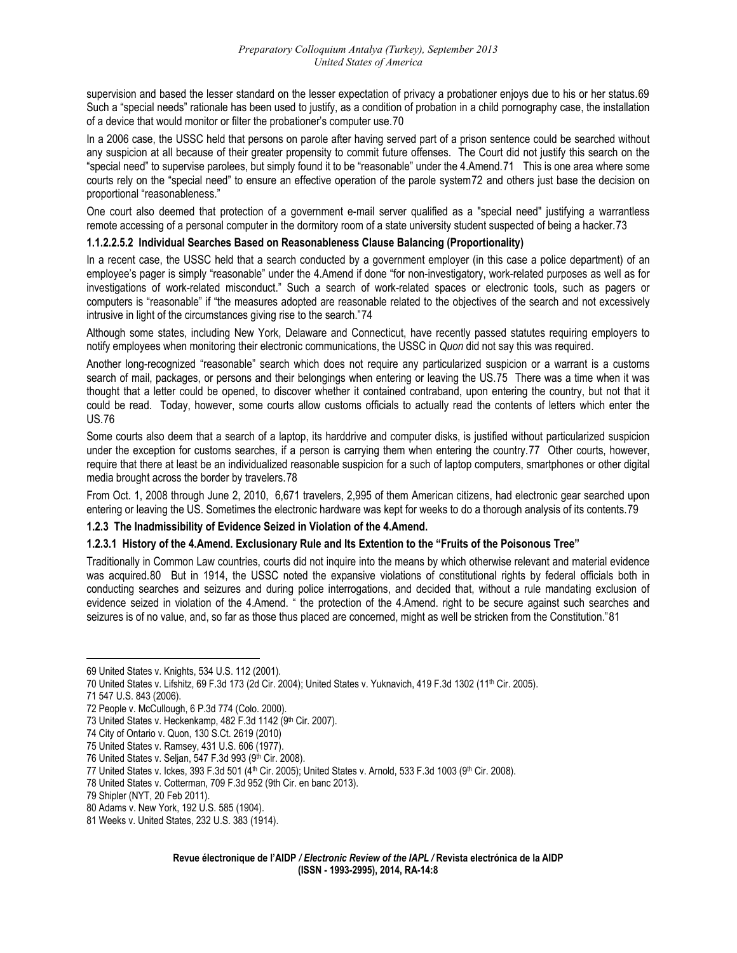supervision and based the lesser standard on the lesser expectation of privacy a probationer enjoys due to his or her status.[69](#page-7-0)  Such a "special needs" rationale has been used to justify, as a condition of probation in a child pornography case, the installation of a device that would monitor or filter the probationer's computer use.[70](#page-7-1) 

In a 2006 case, the USSC held that persons on parole after having served part of a prison sentence could be searched without any suspicion at all because of their greater propensity to commit future offenses. The Court did not justify this search on the "special need" to supervise parolees, but simply found it to be "reasonable" under the 4.Amend.[71](#page-7-2) This is one area where some courts rely on the "special need" to ensure an effective operation of the parole system[72](#page-7-3) and others just base the decision on proportional "reasonableness."

One court also deemed that protection of a government e-mail server qualified as a "special need" justifying a warrantless remote accessing of a personal computer in the dormitory room of a state university student suspected of being a hacker.[73](#page-7-4)

# **1.1.2.2.5.2 Individual Searches Based on Reasonableness Clause Balancing (Proportionality)**

In a recent case, the USSC held that a search conducted by a government employer (in this case a police department) of an employee's pager is simply "reasonable" under the 4.Amend if done "for non-investigatory, work-related purposes as well as for investigations of work-related misconduct." Such a search of work-related spaces or electronic tools, such as pagers or computers is "reasonable" if "the measures adopted are reasonable related to the objectives of the search and not excessively intrusive in light of the circumstances giving rise to the search."[74](#page-7-5) 

Although some states, including New York, Delaware and Connecticut, have recently passed statutes requiring employers to notify employees when monitoring their electronic communications, the USSC in *Quon* did not say this was required.

Another long-recognized "reasonable" search which does not require any particularized suspicion or a warrant is a customs search of mail, packages, or persons and their belongings when entering or leaving the US.[75](#page-7-6) There was a time when it was thought that a letter could be opened, to discover whether it contained contraband, upon entering the country, but not that it could be read. Today, however, some courts allow customs officials to actually read the contents of letters which enter the US.[76](#page-7-7) 

Some courts also deem that a search of a laptop, its harddrive and computer disks, is justified without particularized suspicion under the exception for customs searches, if a person is carrying them when entering the country.[77](#page-7-8) Other courts, however, require that there at least be an individualized reasonable suspicion for a such of laptop computers, smartphones or other digital media brought across the border by travelers.[78](#page-7-9) 

From Oct. 1, 2008 through June 2, 2010, 6,671 travelers, 2,995 of them American citizens, had electronic gear searched upon entering or leaving the US. Sometimes the electronic hardware was kept for weeks to do a thorough analysis of its contents.[79](#page-7-10)

### **1.2.3 The Inadmissibility of Evidence Seized in Violation of the 4.Amend.**

### **1.2.3.1 History of the 4.Amend. Exclusionary Rule and Its Extention to the "Fruits of the Poisonous Tree"**

Traditionally in Common Law countries, courts did not inquire into the means by which otherwise relevant and material evidence was acquired.[80](#page-7-11) But in 1914, the USSC noted the expansive violations of constitutional rights by federal officials both in conducting searches and seizures and during police interrogations, and decided that, without a rule mandating exclusion of evidence seized in violation of the 4.Amend. " the protection of the 4.Amend. right to be secure against such searches and seizures is of no value, and, so far as those thus placed are concerned, might as well be stricken from the Constitution."[81](#page-7-12) 

<span id="page-7-2"></span>71 547 U.S. 843 (2006).

<span id="page-7-0"></span><sup>69</sup> United States v. Knights, 534 U.S. 112 (2001).

<span id="page-7-1"></span><sup>70</sup> United States v. Lifshitz, 69 F.3d 173 (2d Cir. 2004); United States v. Yuknavich, 419 F.3d 1302 (11th Cir. 2005).

<span id="page-7-3"></span><sup>72</sup> People v. McCullough, 6 P.3d 774 (Colo. 2000).

<span id="page-7-4"></span><sup>73</sup> United States v. Heckenkamp, 482 F.3d 1142 (9th Cir. 2007).

<span id="page-7-5"></span><sup>74</sup> City of Ontario v. Quon, 130 S.Ct. 2619 (2010)

<span id="page-7-6"></span><sup>75</sup> United States v. Ramsey, 431 U.S. 606 (1977).

<span id="page-7-7"></span><sup>76</sup> United States v. Seljan, 547 F.3d 993 (9th Cir. 2008).

<span id="page-7-8"></span><sup>77</sup> United States v. Ickes, 393 F.3d 501 (4<sup>th</sup> Cir. 2005); United States v. Arnold, 533 F.3d 1003 (9<sup>th</sup> Cir. 2008).

<span id="page-7-9"></span><sup>78</sup> United States v. Cotterman, 709 F.3d 952 (9th Cir. en banc 2013).

<span id="page-7-10"></span><sup>79</sup> Shipler (NYT, 20 Feb 2011).

<span id="page-7-11"></span><sup>80</sup> Adams v. New York, 192 U.S. 585 (1904).

<span id="page-7-12"></span><sup>81</sup> Weeks v. United States, 232 U.S. 383 (1914).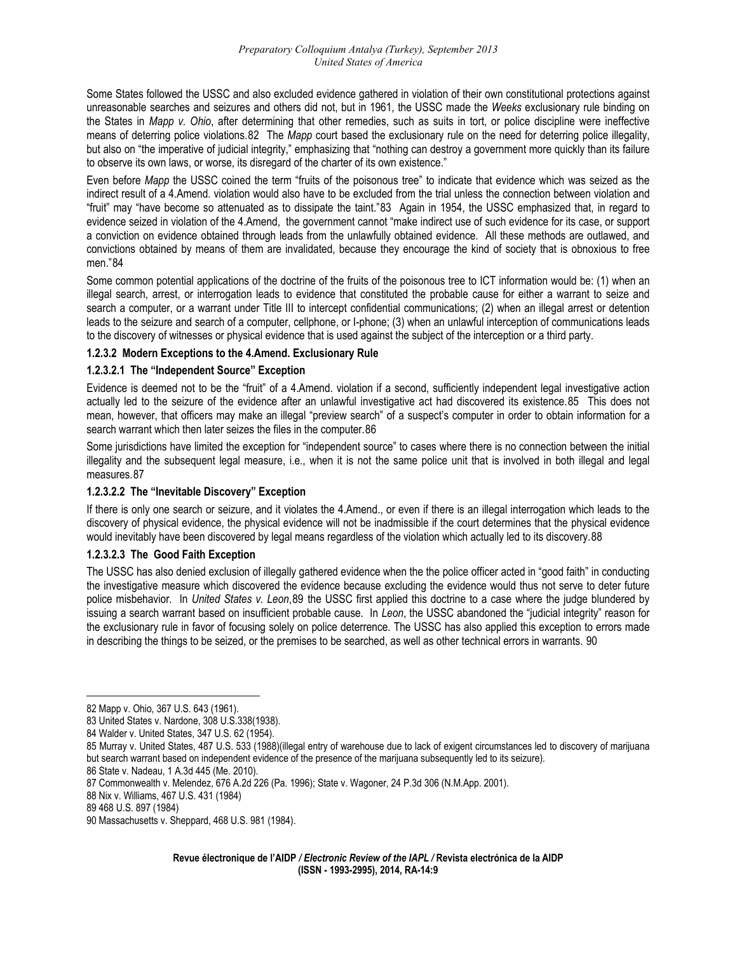Some States followed the USSC and also excluded evidence gathered in violation of their own constitutional protections against unreasonable searches and seizures and others did not, but in 1961, the USSC made the *Weeks* exclusionary rule binding on the States in *Mapp v. Ohio*, after determining that other remedies, such as suits in tort, or police discipline were ineffective means of deterring police violations.[82](#page-8-0) The *Mapp* court based the exclusionary rule on the need for deterring police illegality, but also on "the imperative of judicial integrity," emphasizing that "nothing can destroy a government more quickly than its failure to observe its own laws, or worse, its disregard of the charter of its own existence."

Even before *Mapp* the USSC coined the term "fruits of the poisonous tree" to indicate that evidence which was seized as the indirect result of a 4.Amend. violation would also have to be excluded from the trial unless the connection between violation and "fruit" may "have become so attenuated as to dissipate the taint."[83](#page-8-1) Again in 1954, the USSC emphasized that, in regard to evidence seized in violation of the 4.Amend, the government cannot "make indirect use of such evidence for its case, or support a conviction on evidence obtained through leads from the unlawfully obtained evidence. All these methods are outlawed, and convictions obtained by means of them are invalidated, because they encourage the kind of society that is obnoxious to free men."[84](#page-8-2) 

Some common potential applications of the doctrine of the fruits of the poisonous tree to ICT information would be: (1) when an illegal search, arrest, or interrogation leads to evidence that constituted the probable cause for either a warrant to seize and search a computer, or a warrant under Title III to intercept confidential communications; (2) when an illegal arrest or detention leads to the seizure and search of a computer, cellphone, or I-phone; (3) when an unlawful interception of communications leads to the discovery of witnesses or physical evidence that is used against the subject of the interception or a third party.

## **1.2.3.2 Modern Exceptions to the 4.Amend. Exclusionary Rule**

### **1.2.3.2.1 The "Independent Source" Exception**

Evidence is deemed not to be the "fruit" of a 4.Amend. violation if a second, sufficiently independent legal investigative action actually led to the seizure of the evidence after an unlawful investigative act had discovered its existence.[85](#page-8-3) This does not mean, however, that officers may make an illegal "preview search" of a suspect's computer in order to obtain information for a search warrant which then later seizes the files in the computer.[86](#page-8-4) 

Some jurisdictions have limited the exception for "independent source" to cases where there is no connection between the initial illegality and the subsequent legal measure, i.e., when it is not the same police unit that is involved in both illegal and legal measures.[87](#page-8-5)

### **1.2.3.2.2 The "Inevitable Discovery" Exception**

If there is only one search or seizure, and it violates the 4.Amend., or even if there is an illegal interrogation which leads to the discovery of physical evidence, the physical evidence will not be inadmissible if the court determines that the physical evidence would inevitably have been discovered by legal means regardless of the violation which actually led to its discovery.[88](#page-8-6) 

### **1.2.3.2.3 The Good Faith Exception**

The USSC has also denied exclusion of illegally gathered evidence when the the police officer acted in "good faith" in conducting the investigative measure which discovered the evidence because excluding the evidence would thus not serve to deter future police misbehavior. In *United States v. Leon*,[89](#page-8-7) the USSC first applied this doctrine to a case where the judge blundered by issuing a search warrant based on insufficient probable cause. In *Leon*, the USSC abandoned the "judicial integrity" reason for the exclusionary rule in favor of focusing solely on police deterrence. The USSC has also applied this exception to errors made in describing the things to be seized, or the premises to be searched, as well as other technical errors in warrants. [90](#page-8-8)

<span id="page-8-0"></span><sup>82</sup> Mapp v. Ohio, 367 U.S. 643 (1961).

<span id="page-8-1"></span><sup>83</sup> United States v. Nardone, 308 U.S.338(1938).

<span id="page-8-2"></span><sup>84</sup> Walder v. United States, 347 U.S. 62 (1954).

<span id="page-8-3"></span><sup>85</sup> Murray v. United States, 487 U.S. 533 (1988)(illegal entry of warehouse due to lack of exigent circumstances led to discovery of marijuana but search warrant based on independent evidence of the presence of the marijuana subsequently led to its seizure).

<span id="page-8-4"></span><sup>86</sup> State v. Nadeau, 1 A.3d 445 (Me. 2010).

<span id="page-8-5"></span><sup>87</sup> Commonwealth v. Melendez, 676 A.2d 226 (Pa. 1996); State v. Wagoner, 24 P.3d 306 (N.M.App. 2001).

<span id="page-8-6"></span><sup>88</sup> Nix v. Williams, 467 U.S. 431 (1984)

<span id="page-8-7"></span><sup>89 468</sup> U.S. 897 (1984)

<span id="page-8-8"></span><sup>90</sup> Massachusetts v. Sheppard, 468 U.S. 981 (1984).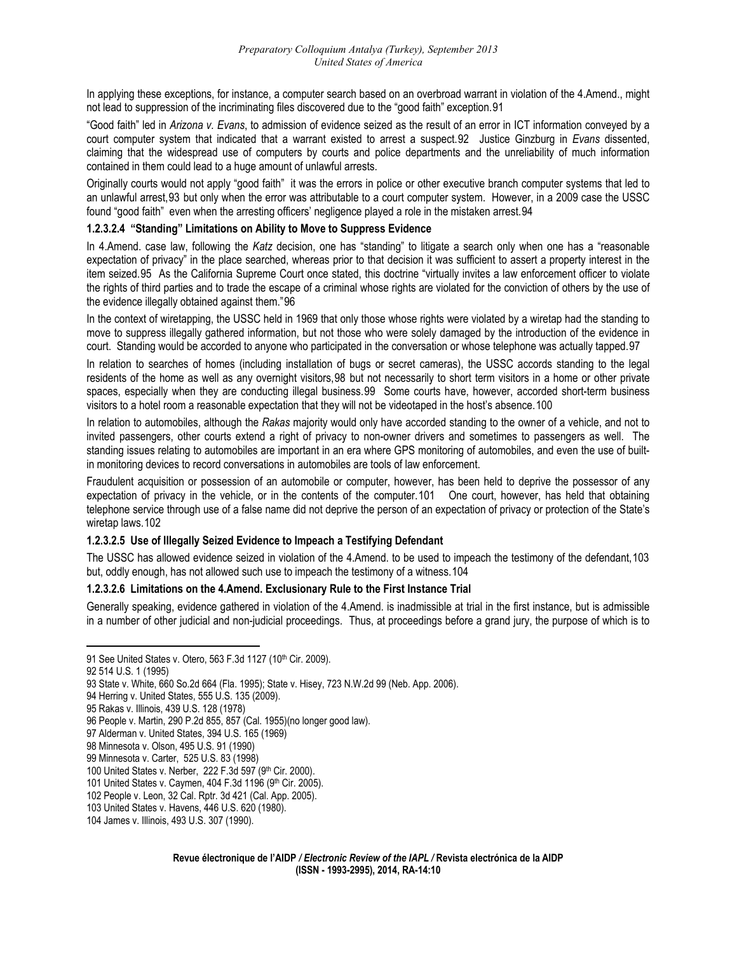In applying these exceptions, for instance, a computer search based on an overbroad warrant in violation of the 4.Amend., might not lead to suppression of the incriminating files discovered due to the "good faith" exception.[91](#page-9-0) 

"Good faith" led in *Arizona v. Evans*, to admission of evidence seized as the result of an error in ICT information conveyed by a court computer system that indicated that a warrant existed to arrest a suspect.[92](#page-9-1) Justice Ginzburg in *Evans* dissented, claiming that the widespread use of computers by courts and police departments and the unreliability of much information contained in them could lead to a huge amount of unlawful arrests.

Originally courts would not apply "good faith" it was the errors in police or other executive branch computer systems that led to an unlawful arrest,[93](#page-9-2) but only when the error was attributable to a court computer system. However, in a 2009 case the USSC found "good faith" even when the arresting officers' negligence played a role in the mistaken arrest.[94](#page-9-3)

### **1.2.3.2.4 "Standing" Limitations on Ability to Move to Suppress Evidence**

In 4.Amend. case law, following the *Katz* decision, one has "standing" to litigate a search only when one has a "reasonable expectation of privacy" in the place searched, whereas prior to that decision it was sufficient to assert a property interest in the item seized.[95](#page-9-4) As the California Supreme Court once stated, this doctrine "virtually invites a law enforcement officer to violate the rights of third parties and to trade the escape of a criminal whose rights are violated for the conviction of others by the use of the evidence illegally obtained against them."[96](#page-9-5) 

In the context of wiretapping, the USSC held in 1969 that only those whose rights were violated by a wiretap had the standing to move to suppress illegally gathered information, but not those who were solely damaged by the introduction of the evidence in court. Standing would be accorded to anyone who participated in the conversation or whose telephone was actually tapped.[97](#page-9-6) 

In relation to searches of homes (including installation of bugs or secret cameras), the USSC accords standing to the legal residents of the home as well as any overnight visitors,[98](#page-9-7) but not necessarily to short term visitors in a home or other private spaces, especially when they are conducting illegal business.[99](#page-9-8) Some courts have, however, accorded short-term business visitors to a hotel room a reasonable expectation that they will not be videotaped in the host's absence.[100](#page-9-9) 

In relation to automobiles, although the *Rakas* majority would only have accorded standing to the owner of a vehicle, and not to invited passengers, other courts extend a right of privacy to non-owner drivers and sometimes to passengers as well. The standing issues relating to automobiles are important in an era where GPS monitoring of automobiles, and even the use of builtin monitoring devices to record conversations in automobiles are tools of law enforcement.

Fraudulent acquisition or possession of an automobile or computer, however, has been held to deprive the possessor of any expectation of privacy in the vehicle, or in the contents of the computer.[101](#page-9-10) One court, however, has held that obtaining telephone service through use of a false name did not deprive the person of an expectation of privacy or protection of the State's wiretap laws.[102](#page-9-11) 

# **1.2.3.2.5 Use of Illegally Seized Evidence to Impeach a Testifying Defendant**

The USSC has allowed evidence seized in violation of the 4.Amend. to be used to impeach the testimony of the defendant,[103](#page-9-12) but, oddly enough, has not allowed such use to impeach the testimony of a witness.[104](#page-9-13)

### **1.2.3.2.6 Limitations on the 4.Amend. Exclusionary Rule to the First Instance Trial**

Generally speaking, evidence gathered in violation of the 4.Amend. is inadmissible at trial in the first instance, but is admissible in a number of other judicial and non-judicial proceedings. Thus, at proceedings before a grand jury, the purpose of which is to

<span id="page-9-0"></span><sup>91</sup> See United States v. Otero, 563 F.3d 1127 (10<sup>th</sup> Cir. 2009).

<span id="page-9-1"></span><sup>92 514</sup> U.S. 1 (1995)

<span id="page-9-2"></span><sup>93</sup> State v. White, 660 So.2d 664 (Fla. 1995); State v. Hisey, 723 N.W.2d 99 (Neb. App. 2006).

<span id="page-9-3"></span><sup>94</sup> Herring v. United States, 555 U.S. 135 (2009).

<span id="page-9-4"></span><sup>95</sup> Rakas v. Illinois, 439 U.S. 128 (1978)

<span id="page-9-5"></span><sup>96</sup> People v. Martin, 290 P.2d 855, 857 (Cal. 1955)(no longer good law).

<span id="page-9-6"></span><sup>97</sup> Alderman v. United States, 394 U.S. 165 (1969)

<span id="page-9-7"></span><sup>98</sup> Minnesota v. Olson, 495 U.S. 91 (1990)

<span id="page-9-8"></span><sup>99</sup> Minnesota v. Carter, 525 U.S. 83 (1998)

<span id="page-9-9"></span><sup>100</sup> United States v. Nerber, 222 F.3d 597 (9th Cir. 2000).

<span id="page-9-10"></span><sup>101</sup> United States v. Caymen, 404 F.3d 1196 (9th Cir. 2005).

<span id="page-9-11"></span><sup>102</sup> People v. Leon, 32 Cal. Rptr. 3d 421 (Cal. App. 2005).

<span id="page-9-12"></span><sup>103</sup> United States v. Havens, 446 U.S. 620 (1980).

<span id="page-9-13"></span><sup>104</sup> James v. Illinois, 493 U.S. 307 (1990).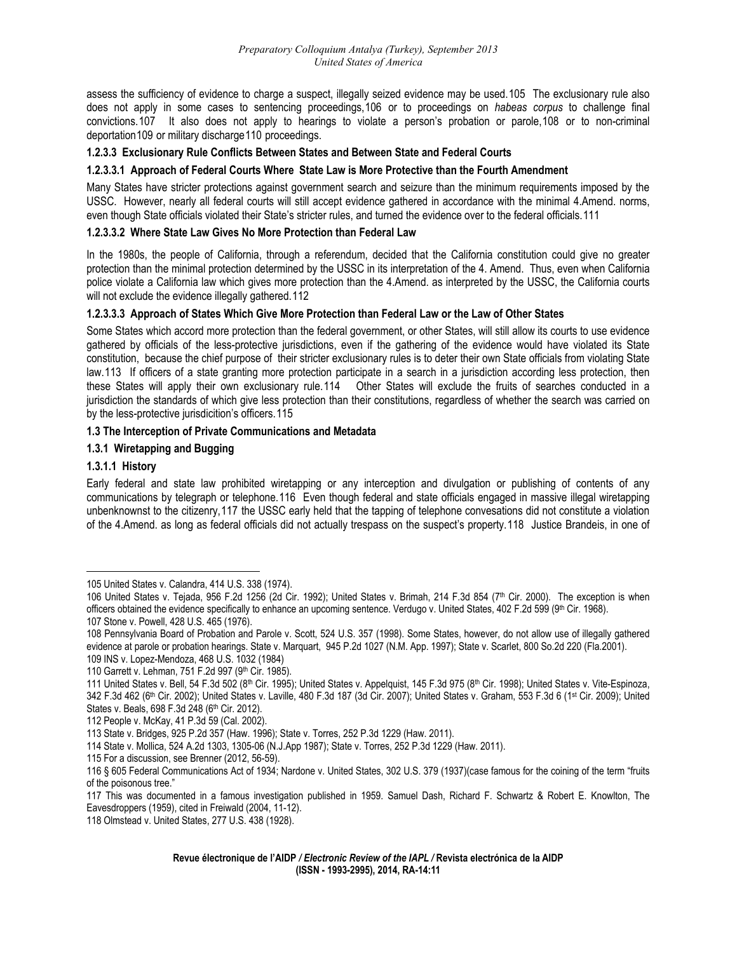assess the sufficiency of evidence to charge a suspect, illegally seized evidence may be used.[105](#page-10-0) The exclusionary rule also does not apply in some cases to sentencing proceedings,[106](#page-10-1) or to proceedings on *habeas corpus* to challenge final convictions.[107](#page-10-2) It also does not apply to hearings to violate a person's probation or parole,[108](#page-10-3) or to non-criminal deportation [109](#page-10-4) or military discharge [110](#page-10-5) proceedings.

### **1.2.3.3 Exclusionary Rule Conflicts Between States and Between State and Federal Courts**

#### **1.2.3.3.1 Approach of Federal Courts Where State Law is More Protective than the Fourth Amendment**

Many States have stricter protections against government search and seizure than the minimum requirements imposed by the USSC. However, nearly all federal courts will still accept evidence gathered in accordance with the minimal 4.Amend. norms, even though State officials violated their State's stricter rules, and turned the evidence over to the federal officials.[111](#page-10-6)

#### **1.2.3.3.2 Where State Law Gives No More Protection than Federal Law**

In the 1980s, the people of California, through a referendum, decided that the California constitution could give no greater protection than the minimal protection determined by the USSC in its interpretation of the 4. Amend. Thus, even when California police violate a California law which gives more protection than the 4.Amend. as interpreted by the USSC, the California courts will not exclude the evidence illegally gathered.112

#### **1.2.3.3.3 Approach of States Which Give More Protection than Federal Law or the Law of Other States**

Some States which accord more protection than the federal government, or other States, will still allow its courts to use evidence gathered by officials of the less-protective jurisdictions, even if the gathering of the evidence would have violated its State constitution, because the chief purpose of their stricter exclusionary rules is to deter their own State officials from violating State law.[113](#page-10-8) If officers of a state granting more protection participate in a search in a jurisdiction according less protection, then these States will apply their own exclusionary rule.[114](#page-10-9) Other States will exclude the fruits of searches conducted in a jurisdiction the standards of which give less protection than their constitutions, regardless of whether the search was carried on by the less-protective jurisdicition's officers.[115](#page-10-10) 

#### **1.3 The Interception of Private Communications and Metadata**

#### **1.3.1 Wiretapping and Bugging**

#### **1.3.1.1 History**

 $\overline{a}$ 

Early federal and state law prohibited wiretapping or any interception and divulgation or publishing of contents of any communications by telegraph or telephone.[116](#page-10-11) Even though federal and state officials engaged in massive illegal wiretapping unbenknownst to the citizenry,[117](#page-10-12) the USSC early held that the tapping of telephone convesations did not constitute a violation of the 4.Amend. as long as federal officials did not actually trespass on the suspect's property.[118](#page-10-13) Justice Brandeis, in one of

<span id="page-10-0"></span><sup>105</sup> United States v. Calandra, 414 U.S. 338 (1974).

<span id="page-10-1"></span><sup>106</sup> United States v. Tejada, 956 F.2d 1256 (2d Cir. 1992); United States v. Brimah, 214 F.3d 854 (7th Cir. 2000). The exception is when officers obtained the evidence specifically to enhance an upcoming sentence. Verdugo v. United States, 402 F.2d 599 (9th Cir. 1968). 107 Stone v. Powell, 428 U.S. 465 (1976).

<span id="page-10-3"></span><span id="page-10-2"></span><sup>108</sup> Pennsylvania Board of Probation and Parole v. Scott, 524 U.S. 357 (1998). Some States, however, do not allow use of illegally gathered evidence at parole or probation hearings. State v. Marquart, 945 P.2d 1027 (N.M. App. 1997); State v. Scarlet, 800 So.2d 220 (Fla.2001). 109 INS v. Lopez-Mendoza, 468 U.S. 1032 (1984)

<span id="page-10-5"></span><span id="page-10-4"></span><sup>110</sup> Garrett v. Lehman, 751 F.2d 997 (9th Cir. 1985).

<span id="page-10-6"></span><sup>111</sup> United States v. Bell, 54 F.3d 502 (8<sup>th</sup> Cir. 1995); United States v. Appelquist, 145 F.3d 975 (8<sup>th</sup> Cir. 1998); United States v. Vite-Espinoza, 342 F.3d 462 (6th Cir. 2002); United States v. Laville, 480 F.3d 187 (3d Cir. 2007); United States v. Graham, 553 F.3d 6 (1st Cir. 2009); United States v. Beals, 698 F.3d 248 (6th Cir. 2012).

<span id="page-10-7"></span><sup>112</sup> People v. McKay, 41 P.3d 59 (Cal. 2002).

<span id="page-10-8"></span><sup>113</sup> State v. Bridges, 925 P.2d 357 (Haw. 1996); State v. Torres, 252 P.3d 1229 (Haw. 2011).

<span id="page-10-9"></span><sup>114</sup> [State v. Mollica, 524 A.2d 1303, 1305-06 \(N.J.App 1987\)](http://web2.westlaw.com/find/default.wl?mt=208&db=0000162&tc=-1&rp=%2ffind%2fdefault.wl&findtype=Y&ordoc=0379566403&serialnum=1987059890&vr=2.0&fn=_top&sv=Split&tf=-1&referencepositiontype=S&pbc=3473099D&referenceposition=1305&rs=WLW13.01); State v. Torres, 252 P.3d 1229 (Haw. 2011).

<span id="page-10-10"></span><sup>115</sup> For a discussion, see Brenner (2012, 56-59).

<span id="page-10-11"></span><sup>116 § 605</sup> Federal Communications Act of 1934; Nardone v. United States, 302 U.S. 379 (1937)(case famous for the coining of the term "fruits of the poisonous tree."

<span id="page-10-12"></span><sup>117</sup> This was documented in a famous investigation published in 1959. Samuel Dash, Richard F. Schwartz & Robert E. Knowlton, The Eavesdroppers (1959), cited in Freiwald (2004, 11-12).

<span id="page-10-13"></span><sup>118</sup> Olmstead v. United States, 277 U.S. 438 (1928).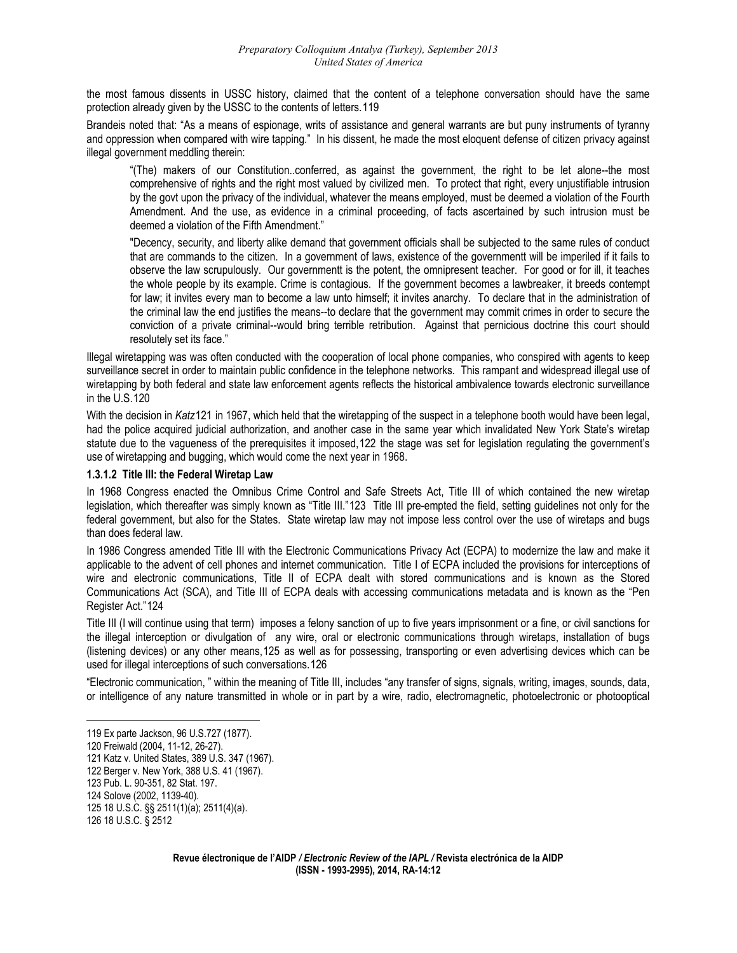the most famous dissents in USSC history, claimed that the content of a telephone conversation should have the same protection already given by the USSC to the contents of letters.[119](#page-11-0) 

Brandeis noted that: "As a means of espionage, writs of assistance and general warrants are but puny instruments of tyranny and oppression when compared with wire tapping." In his dissent, he made the most eloquent defense of citizen privacy against illegal government meddling therein:

"(The) makers of our Constitution..conferred, as against the government, the right to be let alone--the most comprehensive of rights and the right most valued by civilized men. To protect that right, every unjustifiable intrusion by the govt upon the privacy of the individual, whatever the means employed, must be deemed a violation of the Fourth Amendment. And the use, as evidence in a criminal proceeding, of facts ascertained by such intrusion must be deemed a violation of the Fifth Amendment."

"Decency, security, and liberty alike demand that government officials shall be subjected to the same rules of conduct that are commands to the citizen. In a government of laws, existence of the governmentt will be imperiled if it fails to observe the law scrupulously. Our governmentt is the potent, the omnipresent teacher. For good or for ill, it teaches the whole people by its example. Crime is contagious. If the government becomes a lawbreaker, it breeds contempt for law; it invites every man to become a law unto himself; it invites anarchy. To declare that in the administration of the criminal law the end justifies the means--to declare that the government may commit crimes in order to secure the conviction of a private criminal--would bring terrible retribution. Against that pernicious doctrine this court should resolutely set its face."

Illegal wiretapping was was often conducted with the cooperation of local phone companies, who conspired with agents to keep surveillance secret in order to maintain public confidence in the telephone networks. This rampant and widespread illegal use of wiretapping by both federal and state law enforcement agents reflects the historical ambivalence towards electronic surveillance in the U.S.[120](#page-11-1)

With the decision in *Katz*[121](#page-11-2) in 1967, which held that the wiretapping of the suspect in a telephone booth would have been legal, had the police acquired judicial authorization, and another case in the same year which invalidated New York State's wiretap statute due to the vagueness of the prerequisites it imposed,[122](#page-11-3) the stage was set for legislation regulating the government's use of wiretapping and bugging, which would come the next year in 1968.

### **1.3.1.2 Title III: the Federal Wiretap Law**

In 1968 Congress enacted the Omnibus Crime Control and Safe Streets Act, Title III of which contained the new wiretap legislation, which thereafter was simply known as "Title III."[123](#page-11-4) Title III pre-empted the field, setting guidelines not only for the federal government, but also for the States. State wiretap law may not impose less control over the use of wiretaps and bugs than does federal law.

In 1986 Congress amended Title III with the Electronic Communications Privacy Act (ECPA) to modernize the law and make it applicable to the advent of cell phones and internet communication. Title I of ECPA included the provisions for interceptions of wire and electronic communications, Title II of ECPA dealt with stored communications and is known as the Stored Communications Act (SCA), and Title III of ECPA deals with accessing communications metadata and is known as the "Pen Register Act."[124](#page-11-5)

Title III (I will continue using that term) imposes a felony sanction of up to five years imprisonment or a fine, or civil sanctions for the illegal interception or divulgation of any wire, oral or electronic communications through wiretaps, installation of bugs (listening devices) or any other means,[125](#page-11-6) as well as for possessing, transporting or even advertising devices which can be used for illegal interceptions of such conversations.[126](#page-11-7)

"Electronic communication, " within the meaning of Title III, includes "any transfer of signs, signals, writing, images, sounds, data, or intelligence of any nature transmitted in whole or in part by a wire, radio, electromagnetic, photoelectronic or photooptical

<span id="page-11-1"></span><span id="page-11-0"></span><sup>119</sup> Ex parte Jackson, 96 U.S.727 (1877).

<sup>120</sup> Freiwald (2004, 11-12, 26-27).

<span id="page-11-2"></span><sup>121</sup> Katz v. United States, 389 U.S. 347 (1967).

<span id="page-11-3"></span><sup>122</sup> Berger v. New York, 388 U.S. 41 (1967).

<span id="page-11-4"></span><sup>123</sup> Pub. L. 90-351, 82 Stat. 197.

<span id="page-11-5"></span><sup>124</sup> Solove (2002, 1139-40).

<span id="page-11-6"></span><sup>125 18</sup> U.S.C. §§ 2511(1)(a); 2511(4)(a).

<span id="page-11-7"></span><sup>126 18</sup> U.S.C. § 2512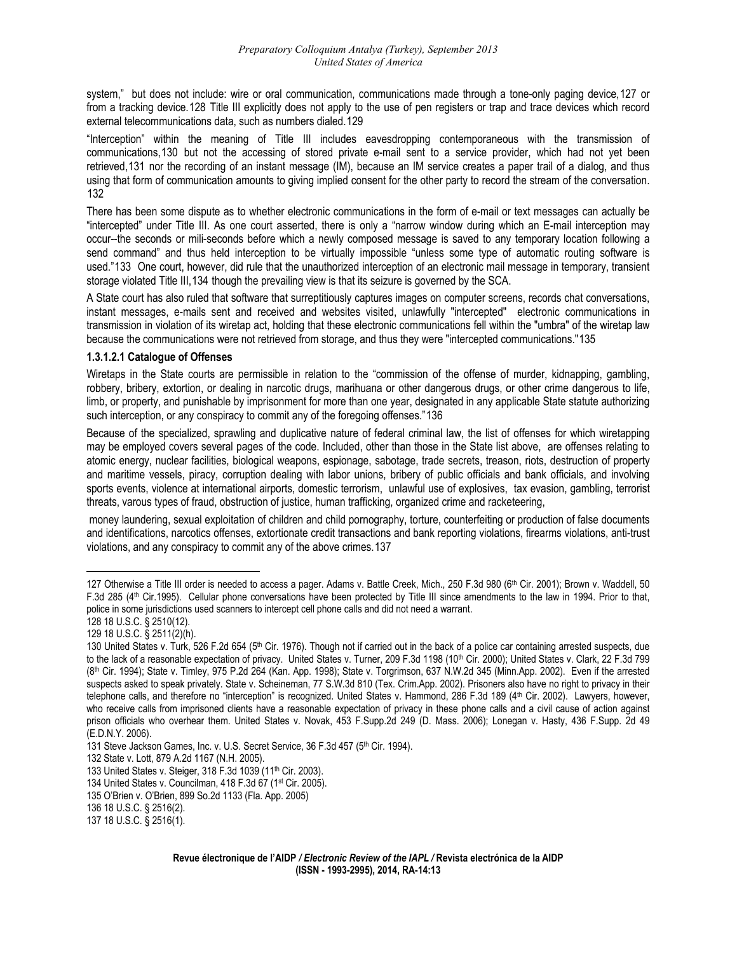system," but does not include: wire or oral communication, communications made through a tone-only paging device,[127](#page-12-0) or from a tracking device.[128](#page-12-1) Title III explicitly does not apply to the use of pen registers or trap and trace devices which record external telecommunications data, such as numbers dialed.[129](#page-12-2) 

"Interception" within the meaning of Title III includes eavesdropping contemporaneous with the transmission of communications,[130](#page-12-3) but not the accessing of stored private e-mail sent to a service provider, which had not yet been retrieved,[131](#page-12-4) nor the recording of an instant message (IM), because an IM service creates a paper trail of a dialog, and thus using that form of communication amounts to giving implied consent for the other party to record the stream of the conversation. [132](#page-12-5) 

There has been some dispute as to whether electronic communications in the form of e-mail or text messages can actually be "intercepted" under Title III. As one court asserted, there is only a "narrow window during which an E-mail interception may occur--the seconds or mili-seconds before which a newly composed message is saved to any temporary location following a send command" and thus held interception to be virtually impossible "unless some type of automatic routing software is used."[133](#page-12-6) One court, however, did rule that the unauthorized interception of an electronic mail message in temporary, transient storage violated Title III,[134](#page-12-7) though the prevailing view is that its seizure is governed by the SCA.

A State court has also ruled that software that surreptitiously captures images on computer screens, records chat conversations, instant messages, e-mails sent and received and websites visited, unlawfully "intercepted" electronic communications in transmission in violation of its wiretap act, holding that these electronic communications fell within the "umbra" of the wiretap law because the communications were not retrieved from storage, and thus they were "intercepted communications."[135](#page-12-8) 

### **1.3.1.2.1 Catalogue of Offenses**

Wiretaps in the State courts are permissible in relation to the "commission of the offense of murder, kidnapping, gambling, robbery, bribery, extortion, or dealing in narcotic drugs, marihuana or other dangerous drugs, or other crime dangerous to life, limb, or property, and punishable by imprisonment for more than one year, designated in any applicable State statute authorizing such interception, or any conspiracy to commit any of the foregoing offenses."[136](#page-12-9)

Because of the specialized, sprawling and duplicative nature of federal criminal law, the list of offenses for which wiretapping may be employed covers several pages of the code. Included, other than those in the State list above, are offenses relating to atomic energy, nuclear facilities, biological weapons, espionage, sabotage, trade secrets, treason, riots, destruction of property and maritime vessels, piracy, corruption dealing with labor unions, bribery of public officials and bank officials, and involving sports events, violence at international airports, domestic terrorism, unlawful use of explosives, tax evasion, gambling, terrorist threats, varous types of fraud, obstruction of justice, human trafficking, organized crime and racketeering,

 money laundering, sexual exploitation of children and child pornography, torture, counterfeiting or production of false documents and identifications, narcotics offenses, extortionate credit transactions and bank reporting violations, firearms violations, anti-trust violations, and any conspiracy to commit any of the above crimes.[137](#page-12-10) 

 $\overline{a}$ 

<span id="page-12-7"></span>134 United States v. Councilman, 418 F.3d 67 (1st Cir. 2005).

<span id="page-12-0"></span><sup>127</sup> Otherwise a Title III order is needed to access a pager. Adams v. Battle Creek, Mich., 250 F.3d 980 (6th Cir. 2001); Brown v. Waddell, 50 F.3d 285 (4<sup>th</sup> Cir.1995). Cellular phone conversations have been protected by Title III since amendments to the law in 1994. Prior to that, police in some jurisdictions used scanners to intercept cell phone calls and did not need a warrant.

<span id="page-12-1"></span><sup>128 18</sup> U.S.C. § 2510(12).

<span id="page-12-2"></span><sup>129 18</sup> U.S.C. § 2511(2)(h).

<span id="page-12-3"></span><sup>130</sup> United States v. Turk, 526 F.2d 654 (5<sup>th</sup> Cir. 1976). Though not if carried out in the back of a police car containing arrested suspects, due to the lack of a reasonable expectation of privacy. United States v. Turner, 209 F.3d 1198 (10<sup>th</sup> Cir. 2000); United States v. Clark, 22 F.3d 799 (8th Cir. 1994); State v. Timley, 975 P.2d 264 (Kan. App. 1998); State v. Torgrimson, 637 N.W.2d 345 (Minn.App. 2002). Even if the arrested suspects asked to speak privately. State v. Scheineman, 77 S.W.3d 810 (Tex. Crim.App. 2002). Prisoners also have no right to privacy in their telephone calls, and therefore no "interception" is recognized. United States v. Hammond, 286 F.3d 189 (4<sup>th</sup> Cir. 2002). Lawyers, however, who receive calls from imprisoned clients have a reasonable expectation of privacy in these phone calls and a civil cause of action against prison officials who overhear them. United States v. Novak, 453 F.Supp.2d 249 (D. Mass. 2006); Lonegan v. Hasty, 436 F.Supp. 2d 49 (E.D.N.Y. 2006).

<span id="page-12-4"></span><sup>131</sup> Steve Jackson Games, Inc. v. U.S. Secret Service, 36 F.3d 457 (5th Cir. 1994).

<span id="page-12-5"></span><sup>132</sup> State v. Lott, 879 A.2d 1167 (N.H. 2005).

<span id="page-12-6"></span><sup>133</sup> United States v. Steiger, 318 F.3d 1039 (11th Cir. 2003).

<span id="page-12-8"></span><sup>135</sup> O'Brien v. O'Brien, 899 So.2d 1133 (Fla. App. 2005)

<span id="page-12-9"></span><sup>136 18</sup> U.S.C. § 2516(2).

<span id="page-12-10"></span><sup>137 18</sup> U.S.C. § 2516(1).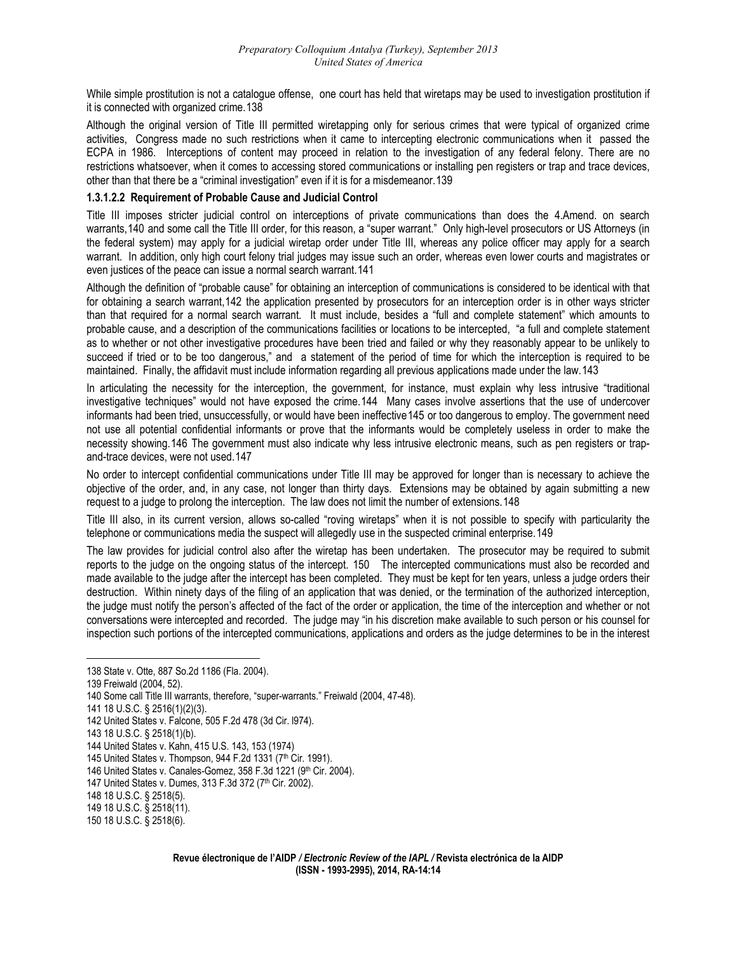While simple prostitution is not a catalogue offense, one court has held that wiretaps may be used to investigation prostitution if it is connected with organized crime.[138](#page-13-0) 

Although the original version of Title III permitted wiretapping only for serious crimes that were typical of organized crime activities, Congress made no such restrictions when it came to intercepting electronic communications when it passed the ECPA in 1986. Interceptions of content may proceed in relation to the investigation of any federal felony. There are no restrictions whatsoever, when it comes to accessing stored communications or installing pen registers or trap and trace devices, other than that there be a "criminal investigation" even if it is for a misdemeanor.[139](#page-13-1) 

#### **1.3.1.2.2 Requirement of Probable Cause and Judicial Control**

Title III imposes stricter judicial control on interceptions of private communications than does the 4.Amend. on search warrants,[140](#page-13-2) and some call the Title III order, for this reason, a "super warrant." Only high-level prosecutors or US Attorneys (in the federal system) may apply for a judicial wiretap order under Title III, whereas any police officer may apply for a search warrant. In addition, only high court felony trial judges may issue such an order, whereas even lower courts and magistrates or even justices of the peace can issue a normal search warrant.[141](#page-13-3) 

Although the definition of "probable cause" for obtaining an interception of communications is considered to be identical with that for obtaining a search warrant,[142](#page-13-4) the application presented by prosecutors for an interception order is in other ways stricter than that required for a normal search warrant. It must include, besides a "full and complete statement" which amounts to probable cause, and a description of the communications facilities or locations to be intercepted, "a full and complete statement as to whether or not other investigative procedures have been tried and failed or why they reasonably appear to be unlikely to succeed if tried or to be too dangerous," and a statement of the period of time for which the interception is required to be maintained. Finally, the affidavit must include information regarding all previous applications made under the law.[143](#page-13-5)

In articulating the necessity for the interception, the government, for instance, must explain why less intrusive "traditional investigative techniques" would not have exposed the crime.[144](#page-13-6) Many cases involve assertions that the use of undercover informants had been tried, unsuccessfully, or would have been ineffective[145](#page-13-7) or too dangerous to employ. The government need not use all potential confidential informants or prove that the informants would be completely useless in order to make the necessity showing.[146](#page-13-8) The government must also indicate why less intrusive electronic means, such as pen registers or trapand-trace devices, were not used.[147](#page-13-9)

No order to intercept confidential communications under Title III may be approved for longer than is necessary to achieve the objective of the order, and, in any case, not longer than thirty days. Extensions may be obtained by again submitting a new request to a judge to prolong the interception. The law does not limit the number of extensions.[148](#page-13-10)

Title III also, in its current version, allows so-called "roving wiretaps" when it is not possible to specify with particularity the telephone or communications media the suspect will allegedly use in the suspected criminal enterprise.[149](#page-13-11)

The law provides for judicial control also after the wiretap has been undertaken. The prosecutor may be required to submit reports to the judge on the ongoing status of the intercept. [150](#page-13-12) The intercepted communications must also be recorded and made available to the judge after the intercept has been completed. They must be kept for ten years, unless a judge orders their destruction. Within ninety days of the filing of an application that was denied, or the termination of the authorized interception, the judge must notify the person's affected of the fact of the order or application, the time of the interception and whether or not conversations were intercepted and recorded. The judge may "in his discretion make available to such person or his counsel for inspection such portions of the intercepted communications, applications and orders as the judge determines to be in the interest

<span id="page-13-0"></span><sup>138</sup> State v. Otte, 887 So.2d 1186 (Fla. 2004).

<span id="page-13-2"></span><span id="page-13-1"></span><sup>139</sup> Freiwald (2004, 52).

<sup>140</sup> Some call Title III warrants, therefore, "super-warrants." Freiwald (2004, 47-48).

<span id="page-13-3"></span><sup>141 18</sup> U.S.C. § 2516(1)(2)(3).

<span id="page-13-4"></span><sup>142</sup> United States v. Falcone, 505 F.2d 478 (3d Cir. l974).

<span id="page-13-5"></span><sup>143 18</sup> U.S.C. § 2518(1)(b).

<span id="page-13-6"></span><sup>144</sup> United States v. Kahn, 415 U.S. 143, 153 (1974)

<span id="page-13-7"></span><sup>145</sup> United States v. Thompson, 944 F.2d 1331 (7th Cir. 1991).

<span id="page-13-8"></span><sup>146</sup> United States v. Canales-Gomez, 358 F.3d 1221 (9th Cir. 2004).

<span id="page-13-9"></span><sup>147</sup> United States v. Dumes, 313 F.3d 372 (7th Cir. 2002).

<span id="page-13-10"></span><sup>148 18</sup> U.S.C. § 2518(5).

<span id="page-13-11"></span><sup>149 18</sup> U.S.C. § 2518(11).

<span id="page-13-12"></span><sup>150 18</sup> U.S.C. § 2518(6).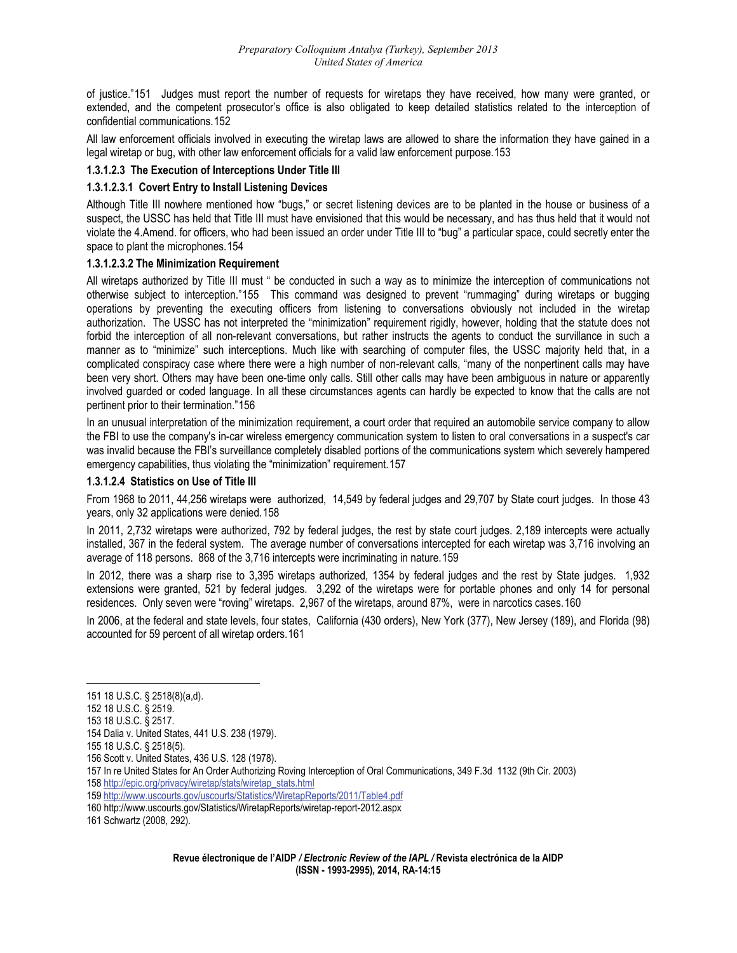of justice."[151](#page-14-0) Judges must report the number of requests for wiretaps they have received, how many were granted, or extended, and the competent prosecutor's office is also obligated to keep detailed statistics related to the interception of confidential communications.[152](#page-14-1) 

All law enforcement officials involved in executing the wiretap laws are allowed to share the information they have gained in a legal wiretap or bug, with other law enforcement officials for a valid law enforcement purpose.[153](#page-14-2) 

### **1.3.1.2.3 The Execution of Interceptions Under Title III**

### **1.3.1.2.3.1 Covert Entry to Install Listening Devices**

Although Title III nowhere mentioned how "bugs," or secret listening devices are to be planted in the house or business of a suspect, the USSC has held that Title III must have envisioned that this would be necessary, and has thus held that it would not violate the 4.Amend. for officers, who had been issued an order under Title III to "bug" a particular space, could secretly enter the space to plant the microphones.[154](#page-14-3) 

### **1.3.1.2.3.2 The Minimization Requirement**

All wiretaps authorized by Title III must " be conducted in such a way as to minimize the interception of communications not otherwise subject to interception."[155](#page-14-4) This command was designed to prevent "rummaging" during wiretaps or bugging operations by preventing the executing officers from listening to conversations obviously not included in the wiretap authorization. The USSC has not interpreted the "minimization" requirement rigidly, however, holding that the statute does not forbid the interception of all non-relevant conversations, but rather instructs the agents to conduct the survillance in such a manner as to "minimize" such interceptions. Much like with searching of computer files, the USSC majority held that, in a complicated conspiracy case where there were a high number of non-relevant calls, "many of the nonpertinent calls may have been very short. Others may have been one-time only calls. Still other calls may have been ambiguous in nature or apparently involved guarded or coded language. In all these circumstances agents can hardly be expected to know that the calls are not pertinent prior to their termination."[156](#page-14-5) 

In an unusual interpretation of the minimization requirement, a court order that required an automobile service company to allow the FBI to use the company's in-car wireless emergency communication system to listen to oral conversations in a suspect's car was invalid because the FBI's surveillance completely disabled portions of the communications system which severely hampered emergency capabilities, thus violating the "minimization" requirement.[157](#page-14-6)

### **1.3.1.2.4 Statistics on Use of Title III**

From 1968 to 2011, 44,256 wiretaps were authorized, 14,549 by federal judges and 29,707 by State court judges. In those 43 years, only 32 applications were denied.[158](#page-14-7)

In 2011, 2,732 wiretaps were authorized, 792 by federal judges, the rest by state court judges. 2,189 intercepts were actually installed, 367 in the federal system. The average number of conversations intercepted for each wiretap was 3,716 involving an average of 118 persons. 868 of the 3,716 intercepts were incriminating in nature.[159](#page-14-8) 

In 2012, there was a sharp rise to 3,395 wiretaps authorized, 1354 by federal judges and the rest by State judges. 1,932 extensions were granted, 521 by federal judges. 3,292 of the wiretaps were for portable phones and only 14 for personal residences. Only seven were "roving" wiretaps. 2,967 of the wiretaps, around 87%, were in narcotics cases.[160](#page-14-9) 

In 2006, at the federal and state levels, four states, California (430 orders), New York (377), New Jersey (189), and Florida (98) accounted for 59 percent of all wiretap orders.[161](#page-14-10)

<span id="page-14-0"></span><sup>151 18</sup> U.S.C. § 2518(8)(a,d).

<span id="page-14-1"></span><sup>152 18</sup> U.S.C. § 2519.

<span id="page-14-2"></span><sup>153 18</sup> U.S.C. § 2517.

<span id="page-14-3"></span><sup>154</sup> Dalia v. United States, 441 U.S. 238 (1979).

<span id="page-14-4"></span><sup>155 18</sup> U.S.C. § 2518(5).

<span id="page-14-5"></span><sup>156</sup> Scott v. United States, 436 U.S. 128 (1978).

<span id="page-14-7"></span><span id="page-14-6"></span><sup>157</sup> In re United States for An Order Authorizing Roving Interception of Oral Communications, 349 F.3d 1132 (9th Cir. 2003) 158 [http://epic.org/privacy/wiretap/stats/wiretap\\_stats.html](http://epic.org/privacy/wiretap/stats/wiretap_stats.html)

<span id="page-14-9"></span><span id="page-14-8"></span><sup>159</sup><http://www.uscourts.gov/uscourts/Statistics/WiretapReports/2011/Table4.pdf>

<sup>160</sup> http://www.uscourts.gov/Statistics/WiretapReports/wiretap-report-2012.aspx

<span id="page-14-10"></span><sup>161</sup> Schwartz (2008, 292).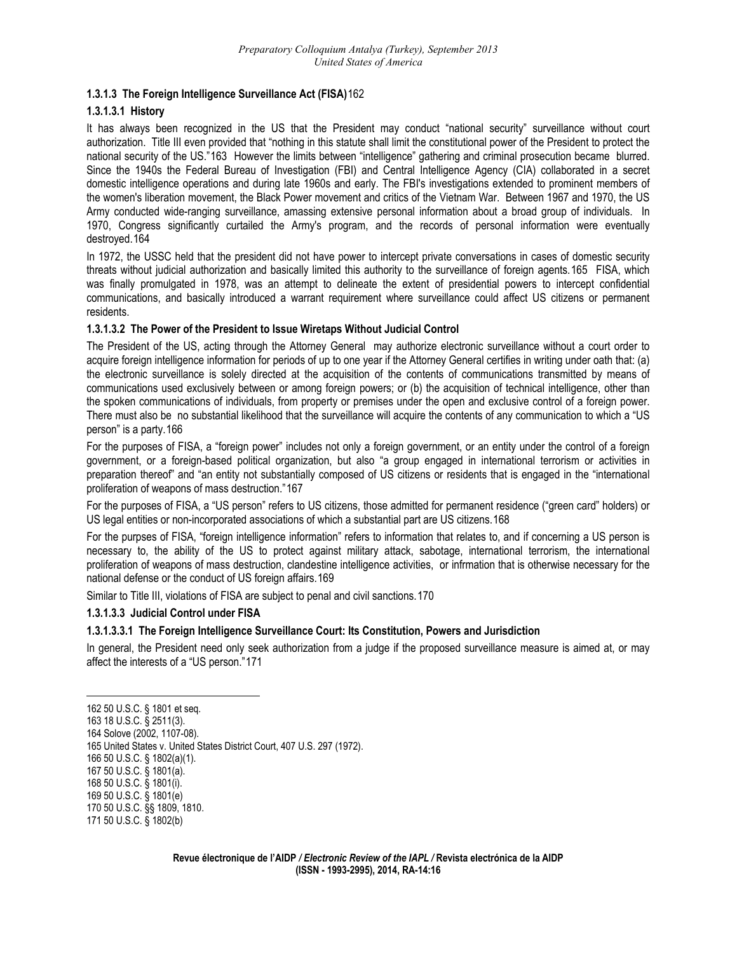## **1.3.1.3 The Foreign Intelligence Surveillance Act (FISA)**[162](#page-15-0)

## **1.3.1.3.1 History**

It has always been recognized in the US that the President may conduct "national security" surveillance without court authorization. Title III even provided that "nothing in this statute shall limit the constitutional power of the President to protect the national security of the US."[163](#page-15-1) However the limits between "intelligence" gathering and criminal prosecution became blurred. Since the 1940s the Federal Bureau of Investigation (FBI) and Central Intelligence Agency (CIA) collaborated in a secret domestic intelligence operations and during late 1960s and early. The FBI's investigations extended to prominent members of the women's liberation movement, the Black Power movement and critics of the Vietnam War. Between 1967 and 1970, the US Army conducted wide-ranging surveillance, amassing extensive personal information about a broad group of individuals. In 1970, Congress significantly curtailed the Army's program, and the records of personal information were eventually destroyed.[164](#page-15-2)

In 1972, the USSC held that the president did not have power to intercept private conversations in cases of domestic security threats without judicial authorization and basically limited this authority to the surveillance of foreign agents.[165](#page-15-3) FISA, which was finally promulgated in 1978, was an attempt to delineate the extent of presidential powers to intercept confidential communications, and basically introduced a warrant requirement where surveillance could affect US citizens or permanent residents.

### **1.3.1.3.2 The Power of the President to Issue Wiretaps Without Judicial Control**

The President of the US, acting through the Attorney General may authorize electronic surveillance without a court order to acquire foreign intelligence information for periods of up to one year if the Attorney General certifies in writing under oath that: (a) the electronic surveillance is solely directed at the acquisition of the contents of communications transmitted by means of communications used exclusively between or among foreign powers; or (b) the acquisition of technical intelligence, other than the spoken communications of individuals, from property or premises under the open and exclusive control of a foreign power. There must also be no substantial likelihood that the surveillance will acquire the contents of any communication to which a "US person" is a party.[166](#page-15-4) 

For the purposes of FISA, a "foreign power" includes not only a foreign government, or an entity under the control of a foreign government, or a foreign-based political organization, but also "a group engaged in international terrorism or activities in preparation thereof" and "an entity not substantially composed of US citizens or residents that is engaged in the "international proliferation of weapons of mass destruction."[167](#page-15-5) 

For the purposes of FISA, a "US person" refers to US citizens, those admitted for permanent residence ("green card" holders) or US legal entities or non-incorporated associations of which a substantial part are US citizens.[168](#page-15-6) 

For the purpses of FISA, "foreign intelligence information" refers to information that relates to, and if concerning a US person is necessary to, the ability of the US to protect against military attack, sabotage, international terrorism, the international proliferation of weapons of mass destruction, clandestine intelligence activities, or infrmation that is otherwise necessary for the national defense or the conduct of US foreign affairs.[169](#page-15-7)

Similar to Title III, violations of FISA are subject to penal and civil sanctions.[170](#page-15-8) 

### **1.3.1.3.3 Judicial Control under FISA**

### **1.3.1.3.3.1 The Foreign Intelligence Surveillance Court: Its Constitution, Powers and Jurisdiction**

In general, the President need only seek authorization from a judge if the proposed surveillance measure is aimed at, or may affect the interests of a "US person."[171](#page-15-9)

<span id="page-15-3"></span><span id="page-15-2"></span>165 United States v. United States District Court, 407 U.S. 297 (1972).

<span id="page-15-4"></span>166 50 U.S.C. § 1802(a)(1).

 $\overline{a}$ 

<span id="page-15-5"></span>167 50 U.S.C. § 1801(a).

<span id="page-15-6"></span>168 50 U.S.C. § 1801(i).

<span id="page-15-7"></span>169 50 U.S.C. § 1801(e) 170 50 U.S.C. §§ 1809, 1810.

<span id="page-15-9"></span><span id="page-15-8"></span>171 50 U.S.C. § 1802(b)

<span id="page-15-1"></span><span id="page-15-0"></span><sup>162 50</sup> U.S.C. § 1801 et seq. 163 18 U.S.C. § 2511(3). 164 Solove (2002, 1107-08).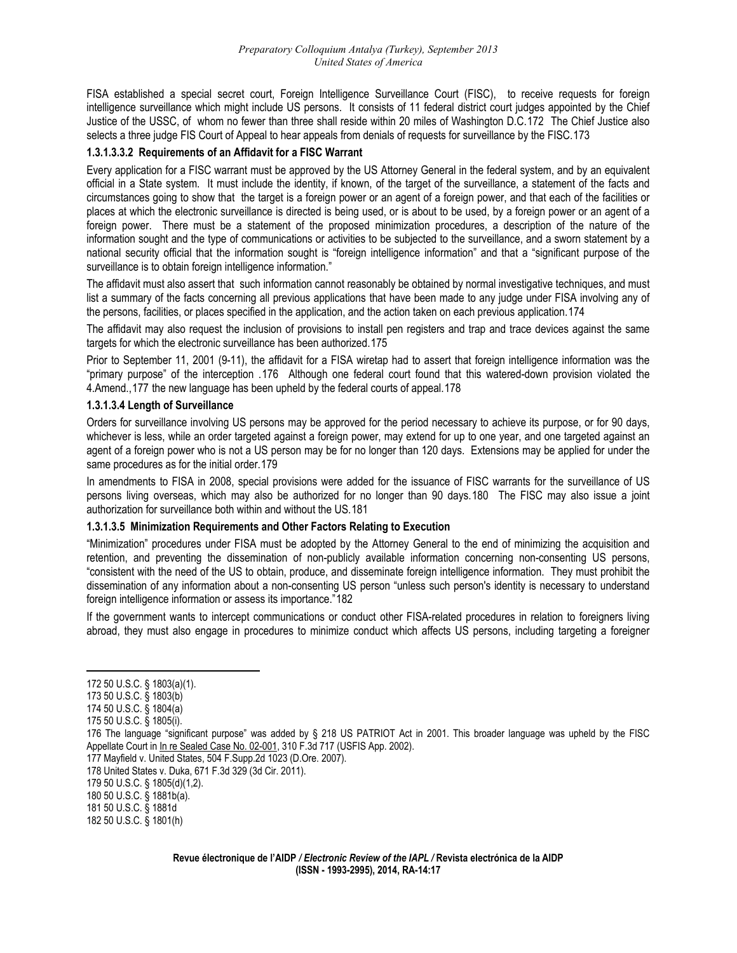FISA established a special secret court, Foreign Intelligence Surveillance Court (FISC), to receive requests for foreign intelligence surveillance which might include US persons. It consists of 11 federal district court judges appointed by the Chief Justice of the USSC, of whom no fewer than three shall reside within 20 miles of Washington D.C.[172](#page-16-0) The Chief Justice also selects a three judge FIS Court of Appeal to hear appeals from denials of requests for surveillance by the FISC.[173](#page-16-1) 

### **1.3.1.3.3.2 Requirements of an Affidavit for a FISC Warrant**

Every application for a FISC warrant must be approved by the US Attorney General in the federal system, and by an equivalent official in a State system. It must include the identity, if known, of the target of the surveillance, a statement of the facts and circumstances going to show that the target is a foreign power or an agent of a foreign power, and that each of the facilities or places at which the electronic surveillance is directed is being used, or is about to be used, by a foreign power or an agent of a foreign power. There must be a statement of the proposed minimization procedures, a description of the nature of the information sought and the type of communications or activities to be subjected to the surveillance, and a sworn statement by a national security official that the information sought is "foreign intelligence information" and that a "significant purpose of the surveillance is to obtain foreign intelligence information."

The affidavit must also assert that such information cannot reasonably be obtained by normal investigative techniques, and must list a summary of the facts concerning all previous applications that have been made to any judge under FISA involving any of the persons, facilities, or places specified in the application, and the action taken on each previous application.[174](#page-16-2)

The affidavit may also request the inclusion of provisions to install pen registers and trap and trace devices against the same targets for which the electronic surveillance has been authorized.[175](#page-16-3) 

Prior to September 11, 2001 (9-11), the affidavit for a FISA wiretap had to assert that foreign intelligence information was the "primary purpose" of the interception .[176](#page-16-4) Although one federal court found that this watered-down provision violated the 4.Amend.,[177](#page-16-5) the new language has been upheld by the federal courts of appeal.[178](#page-16-6) 

### **1.3.1.3.4 Length of Surveillance**

Orders for surveillance involving US persons may be approved for the period necessary to achieve its purpose, or for 90 days, whichever is less, while an order targeted against a foreign power, may extend for up to one year, and one targeted against an agent of a foreign power who is not a US person may be for no longer than 120 days. Extensions may be applied for under the same procedures as for the initial order.[179](#page-16-7)

In amendments to FISA in 2008, special provisions were added for the issuance of FISC warrants for the surveillance of US persons living overseas, which may also be authorized for no longer than 90 days.[180](#page-16-8) The FISC may also issue a joint authorization for surveillance both within and without the US.[181](#page-16-9)

### **1.3.1.3.5 Minimization Requirements and Other Factors Relating to Execution**

"Minimization" procedures under FISA must be adopted by the Attorney General to the end of minimizing the acquisition and retention, and preventing the dissemination of non-publicly available information concerning non-consenting US persons, "consistent with the need of the US to obtain, produce, and disseminate foreign intelligence information. They must prohibit the dissemination of any information about a non-consenting US person "unless such person's identity is necessary to understand foreign intelligence information or assess its importance."[182](#page-16-10)

If the government wants to intercept communications or conduct other FISA-related procedures in relation to foreigners living abroad, they must also engage in procedures to minimize conduct which affects US persons, including targeting a foreigner

<span id="page-16-0"></span><sup>172 50</sup> U.S.C. § 1803(a)(1).

<span id="page-16-2"></span><span id="page-16-1"></span><sup>173 50</sup> U.S.C. § 1803(b)

<sup>174 50</sup> U.S.C. § 1804(a)

<span id="page-16-3"></span><sup>175 50</sup> U.S.C. § 1805(i).

<span id="page-16-4"></span><sup>176</sup> The language "significant purpose" was added by § 218 US PATRIOT Act in 2001. This broader language was upheld by the FISC Appellate Court in In re Sealed Case No. 02-001, 310 F.3d 717 (USFIS App. 2002).

<span id="page-16-5"></span><sup>177</sup> Mayfield v. United States, 504 F.Supp.2d 1023 (D.Ore. 2007).

<span id="page-16-6"></span><sup>178</sup> United States v. Duka, 671 F.3d 329 (3d Cir. 2011).

<span id="page-16-7"></span><sup>179 50</sup> U.S.C. § 1805(d)(1,2).

<span id="page-16-8"></span><sup>180 50</sup> U.S.C. § 1881b(a).

<span id="page-16-9"></span><sup>181 50</sup> U.S.C. § 1881d

<span id="page-16-10"></span><sup>182 50</sup> U.S.C. § 1801(h)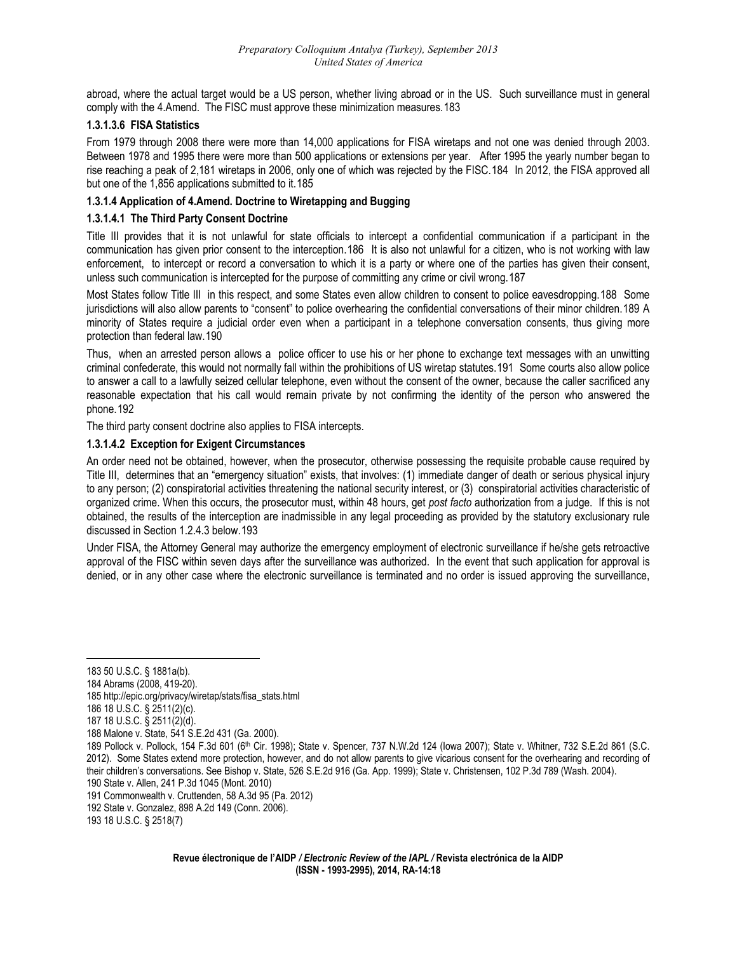abroad, where the actual target would be a US person, whether living abroad or in the US. Such surveillance must in general comply with the 4.Amend. The FISC must approve these minimization measures.[183](#page-17-0) 

## **1.3.1.3.6 FISA Statistics**

From 1979 through 2008 there were more than 14,000 applications for FISA wiretaps and not one was denied through 2003. Between 1978 and 1995 there were more than 500 applications or extensions per year. After 1995 the yearly number began to rise reaching a peak of 2,181 wiretaps in 2006, only one of which was rejected by the FISC.[184](#page-17-1) In 2012, the FISA approved all but one of the 1,856 applications submitted to it.[185](#page-17-2) 

## **1.3.1.4 Application of 4.Amend. Doctrine to Wiretapping and Bugging**

## **1.3.1.4.1 The Third Party Consent Doctrine**

Title III provides that it is not unlawful for state officials to intercept a confidential communication if a participant in the communication has given prior consent to the interception.[186](#page-17-3) It is also not unlawful for a citizen, who is not working with law enforcement, to intercept or record a conversation to which it is a party or where one of the parties has given their consent, unless such communication is intercepted for the purpose of committing any crime or civil wrong.[187](#page-17-4) 

Most States follow Title III in this respect, and some States even allow children to consent to police eavesdropping.[188](#page-17-5) Some jurisdictions will also allow parents to "consent" to police overhearing the confidential conversations of their minor children.[189](#page-17-6) A minority of States require a judicial order even when a participant in a telephone conversation consents, thus giving more protection than federal law.[190](#page-17-7) 

Thus, when an arrested person allows a police officer to use his or her phone to exchange text messages with an unwitting criminal confederate, this would not normally fall within the prohibitions of US wiretap statutes.[191](#page-17-8) Some courts also allow police to answer a call to a lawfully seized cellular telephone, even without the consent of the owner, because the caller sacrificed any reasonable expectation that his call would remain private by not confirming the identity of the person who answered the phone.[192](#page-17-9)

The third party consent doctrine also applies to FISA intercepts.

### **1.3.1.4.2 Exception for Exigent Circumstances**

An order need not be obtained, however, when the prosecutor, otherwise possessing the requisite probable cause required by Title III, determines that an "emergency situation" exists, that involves: (1) immediate danger of death or serious physical injury to any person; (2) conspiratorial activities threatening the national security interest, or (3) conspiratorial activities characteristic of organized crime. When this occurs, the prosecutor must, within 48 hours, get *post facto* authorization from a judge. If this is not obtained, the results of the interception are inadmissible in any legal proceeding as provided by the statutory exclusionary rule discussed in Section 1.2.4.3 below.[193](#page-17-10)

Under FISA, the Attorney General may authorize the emergency employment of electronic surveillance if he/she gets retroactive approval of the FISC within seven days after the surveillance was authorized. In the event that such application for approval is denied, or in any other case where the electronic surveillance is terminated and no order is issued approving the surveillance,

 $\overline{a}$ 

184 Abrams (2008, 419-20).

<span id="page-17-1"></span><span id="page-17-0"></span><sup>183 50</sup> U.S.C. § 1881a(b).

<span id="page-17-2"></span><sup>185</sup> http://epic.org/privacy/wiretap/stats/fisa\_stats.html

<span id="page-17-3"></span><sup>186 18</sup> U.S.C. § 2511(2)(c).

<span id="page-17-4"></span><sup>187 18</sup> U.S.C. § 2511(2)(d).

<span id="page-17-5"></span><sup>188</sup> Malone v. State, 541 S.E.2d 431 (Ga. 2000).

<span id="page-17-6"></span><sup>189</sup> Pollock v. Pollock, 154 F.3d 601 (6th Cir. 1998); State v. Spencer, 737 N.W.2d 124 (Iowa 2007); State v. Whitner, 732 S.E.2d 861 (S.C. 2012). Some States extend more protection, however, and do not allow parents to give vicarious consent for the overhearing and recording of their children's conversations. See Bishop v. State, 526 S.E.2d 916 (Ga. App. 1999); State v. Christensen, 102 P.3d 789 (Wash. 2004). 190 State v. Allen, 241 P.3d 1045 (Mont. 2010)

<span id="page-17-8"></span><span id="page-17-7"></span><sup>191</sup> Commonwealth v. Cruttenden, 58 A.3d 95 (Pa. 2012)

<span id="page-17-9"></span><sup>192</sup> State v. Gonzalez, 898 A.2d 149 (Conn. 2006).

<span id="page-17-10"></span><sup>193 18</sup> U.S.C. § 2518(7)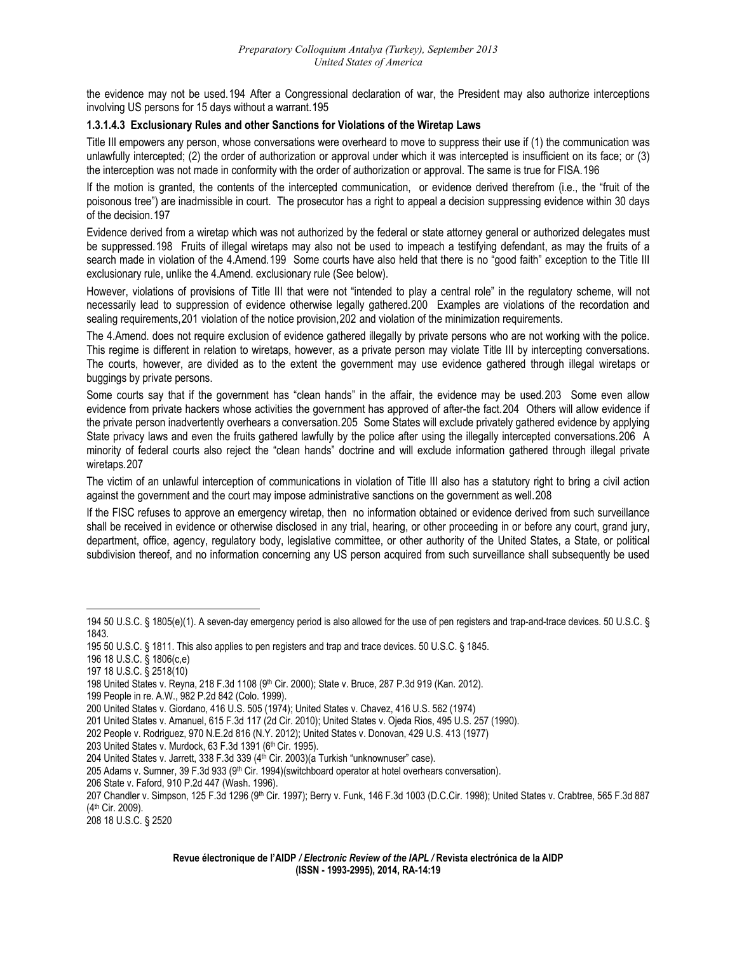the evidence may not be used.[194](#page-18-0) After a Congressional declaration of war, the President may also authorize interceptions involving US persons for 15 days without a warrant.[195](#page-18-1) 

### **1.3.1.4.3 Exclusionary Rules and other Sanctions for Violations of the Wiretap Laws**

Title III empowers any person, whose conversations were overheard to move to suppress their use if (1) the communication was unlawfully intercepted; (2) the order of authorization or approval under which it was intercepted is insufficient on its face; or (3) the interception was not made in conformity with the order of authorization or approval. The same is true for FISA.[196](#page-18-2) 

If the motion is granted, the contents of the intercepted communication, or evidence derived therefrom (i.e., the "fruit of the poisonous tree") are inadmissible in court. The prosecutor has a right to appeal a decision suppressing evidence within 30 days of the decision.[197](#page-18-3)

Evidence derived from a wiretap which was not authorized by the federal or state attorney general or authorized delegates must be suppressed.[198](#page-18-4) Fruits of illegal wiretaps may also not be used to impeach a testifying defendant, as may the fruits of a search made in violation of the 4.Amend.[199](#page-18-5) Some courts have also held that there is no "good faith" exception to the Title III exclusionary rule, unlike the 4.Amend. exclusionary rule (See below).

However, violations of provisions of Title III that were not "intended to play a central role" in the regulatory scheme, will not necessarily lead to suppression of evidence otherwise legally gathered.[200](#page-18-6) Examples are violations of the recordation and sealing requirements,[201](#page-18-7) violation of the notice provision,[202](#page-18-8) and violation of the minimization requirements.

The 4.Amend. does not require exclusion of evidence gathered illegally by private persons who are not working with the police. This regime is different in relation to wiretaps, however, as a private person may violate Title III by intercepting conversations. The courts, however, are divided as to the extent the government may use evidence gathered through illegal wiretaps or buggings by private persons.

Some courts say that if the government has "clean hands" in the affair, the evidence may be used.[203](#page-18-9) Some even allow evidence from private hackers whose activities the government has approved of after-the fact.[204](#page-18-10) Others will allow evidence if the private person inadvertently overhears a conversation.[205](#page-18-11) Some States will exclude privately gathered evidence by applying State privacy laws and even the fruits gathered lawfully by the police after using the illegally intercepted conversations.[206](#page-18-12) A minority of federal courts also reject the "clean hands" doctrine and will exclude information gathered through illegal private wiretaps.[207](#page-18-13) 

The victim of an unlawful interception of communications in violation of Title III also has a statutory right to bring a civil action against the government and the court may impose administrative sanctions on the government as well.[208](#page-18-14) 

If the FISC refuses to approve an emergency wiretap, then no information obtained or evidence derived from such surveillance shall be received in evidence or otherwise disclosed in any trial, hearing, or other proceeding in or before any court, grand jury, department, office, agency, regulatory body, legislative committee, or other authority of the United States, a State, or political subdivision thereof, and no information concerning any US person acquired from such surveillance shall subsequently be used

 $\overline{a}$ 

<span id="page-18-5"></span>199 People in re. A.W., 982 P.2d 842 (Colo. 1999).

<span id="page-18-14"></span>208 18 U.S.C. § 2520

<span id="page-18-0"></span><sup>194 50</sup> U.S.C. § 1805(e)(1). A seven-day emergency period is also allowed for the use of pen registers and trap-and-trace devices. 50 U.S.C. § 1843.

<span id="page-18-1"></span><sup>195 50</sup> U.S.C. § 1811. This also applies to pen registers and trap and trace devices. 50 U.S.C. § 1845.

<span id="page-18-2"></span><sup>196 18</sup> U.S.C. § 1806(c,e)

<span id="page-18-3"></span><sup>197 18</sup> U.S.C. § 2518(10)

<span id="page-18-4"></span><sup>198</sup> United States v. Reyna, 218 F.3d 1108 (9th Cir. 2000); State v. Bruce, 287 P.3d 919 (Kan. 2012).

<span id="page-18-6"></span><sup>200</sup> United States v. Giordano, 416 U.S. 505 (1974); United States v. Chavez, 416 U.S. 562 (1974)

<span id="page-18-7"></span><sup>201</sup> United States v. Amanuel, 615 F.3d 117 (2d Cir. 2010); United States v. Ojeda Rios, 495 U.S. 257 (1990).

<span id="page-18-8"></span><sup>202</sup> People v. Rodriguez, 970 N.E.2d 816 (N.Y. 2012); United States v. Donovan, 429 U.S. 413 (1977)

<span id="page-18-9"></span><sup>203</sup> United States v. Murdock, 63 F.3d 1391 (6th Cir. 1995).

<span id="page-18-10"></span><sup>204</sup> United States v. Jarrett, 338 F.3d 339 (4<sup>th</sup> Cir. 2003)(a Turkish "unknownuser" case).

<span id="page-18-11"></span><sup>205</sup> Adams v. Sumner, 39 F.3d 933 (9<sup>th</sup> Cir. 1994)(switchboard operator at hotel overhears conversation).

<span id="page-18-12"></span><sup>206</sup> State v. Faford, 910 P.2d 447 (Wash. 1996).

<span id="page-18-13"></span><sup>207</sup> Chandler v. Simpson, 125 F.3d 1296 (9<sup>th</sup> Cir. 1997); Berry v. Funk, 146 F.3d 1003 (D.C.Cir. 1998); United States v. Crabtree, 565 F.3d 887 (4th Cir. 2009).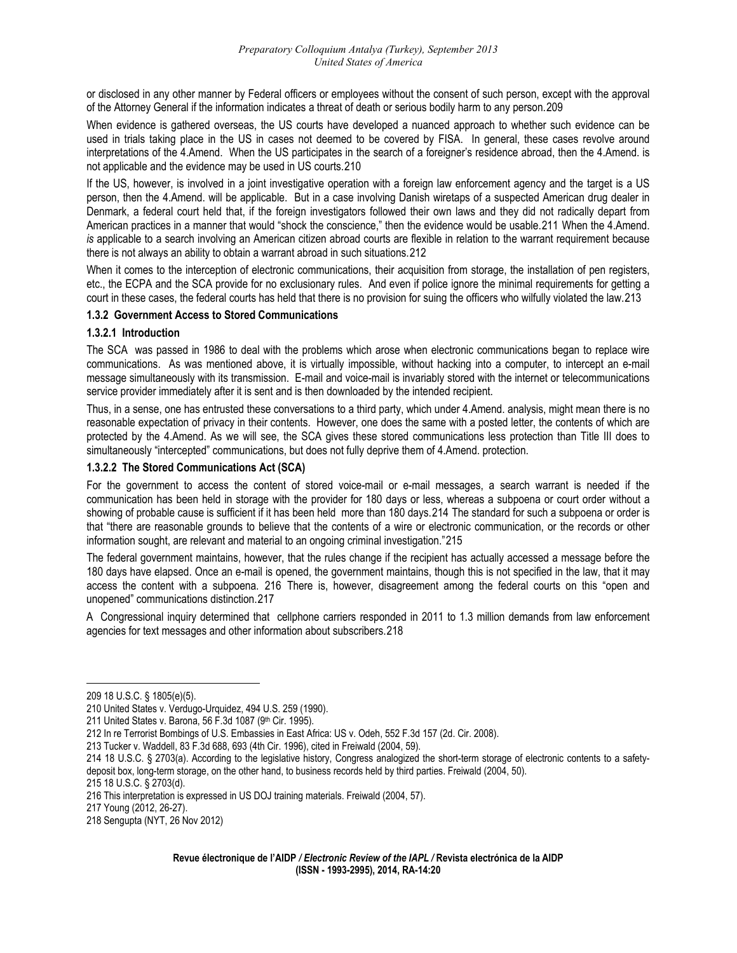or disclosed in any other manner by Federal officers or employees without the consent of such person, except with the approval of the Attorney General if the information indicates a threat of death or serious bodily harm to any person.[209](#page-19-0) 

When evidence is gathered overseas, the US courts have developed a nuanced approach to whether such evidence can be used in trials taking place in the US in cases not deemed to be covered by FISA. In general, these cases revolve around interpretations of the 4.Amend. When the US participates in the search of a foreigner's residence abroad, then the 4.Amend. is not applicable and the evidence may be used in US courts.[210](#page-19-1) 

If the US, however, is involved in a joint investigative operation with a foreign law enforcement agency and the target is a US person, then the 4.Amend. will be applicable. But in a case involving Danish wiretaps of a suspected American drug dealer in Denmark, a federal court held that, if the foreign investigators followed their own laws and they did not radically depart from American practices in a manner that would "shock the conscience," then the evidence would be usable.[211](#page-19-2) When the 4.Amend. *is* applicable to a search involving an American citizen abroad courts are flexible in relation to the warrant requirement because there is not always an ability to obtain a warrant abroad in such situations.[212](#page-19-3) 

When it comes to the interception of electronic communications, their acquisition from storage, the installation of pen registers, etc., the ECPA and the SCA provide for no exclusionary rules. And even if police ignore the minimal requirements for getting a court in these cases, the federal courts has held that there is no provision for suing the officers who wilfully violated the law.[213](#page-19-4) 

# **1.3.2 Government Access to Stored Communications**

# **1.3.2.1 Introduction**

The SCA was passed in 1986 to deal with the problems which arose when electronic communications began to replace wire communications. As was mentioned above, it is virtually impossible, without hacking into a computer, to intercept an e-mail message simultaneously with its transmission. E-mail and voice-mail is invariably stored with the internet or telecommunications service provider immediately after it is sent and is then downloaded by the intended recipient.

Thus, in a sense, one has entrusted these conversations to a third party, which under 4.Amend. analysis, might mean there is no reasonable expectation of privacy in their contents. However, one does the same with a posted letter, the contents of which are protected by the 4.Amend. As we will see, the SCA gives these stored communications less protection than Title III does to simultaneously "intercepted" communications, but does not fully deprive them of 4.Amend. protection.

## **1.3.2.2 The Stored Communications Act (SCA)**

For the government to access the content of stored voice-mail or e-mail messages, a search warrant is needed if the communication has been held in storage with the provider for 180 days or less, whereas a subpoena or court order without a showing of probable cause is sufficient if it has been held more than 180 days.[214](#page-19-5) The standard for such a subpoena or order is that "there are reasonable grounds to believe that the contents of a wire or electronic communication, or the records or other information sought, are relevant and material to an ongoing criminal investigation."[215](#page-19-6) 

The federal government maintains, however, that the rules change if the recipient has actually accessed a message before the 180 days have elapsed. Once an e-mail is opened, the government maintains, though this is not specified in the law, that it may access the content with a subpoena. [216](#page-19-7) There is, however, disagreement among the federal courts on this "open and unopened" communications distinction.[217](#page-19-8)

A Congressional inquiry determined that cellphone carriers responded in 2011 to 1.3 million demands from law enforcement agencies for text messages and other information about subscribers.[218](#page-19-9) 

<span id="page-19-0"></span><sup>209 18</sup> U.S.C. § 1805(e)(5).

<span id="page-19-1"></span><sup>210</sup> United States v. Verdugo-Urquidez, 494 U.S. 259 (1990).

<span id="page-19-2"></span><sup>211</sup> United States v. Barona, 56 F.3d 1087 (9th Cir. 1995).

<span id="page-19-3"></span><sup>212</sup> In re Terrorist Bombings of U.S. Embassies in East Africa: US v. Odeh, 552 F.3d 157 (2d. Cir. 2008).

<span id="page-19-4"></span><sup>213</sup> Tucker v. Waddell, 83 F.3d 688, 693 (4th Cir. 1996), cited in Freiwald (2004, 59).

<span id="page-19-5"></span><sup>214 18</sup> U.S.C. § 2703(a). According to the legislative history, Congress analogized the short-term storage of electronic contents to a safetydeposit box, long-term storage, on the other hand, to business records held by third parties. Freiwald (2004, 50).

<span id="page-19-6"></span><sup>215 18</sup> U.S.C. § 2703(d).

<span id="page-19-7"></span><sup>216</sup> This interpretation is expressed in US DOJ training materials. Freiwald (2004, 57).

<span id="page-19-8"></span><sup>217</sup> Young (2012, 26-27).

<span id="page-19-9"></span><sup>218</sup> Sengupta (NYT, 26 Nov 2012)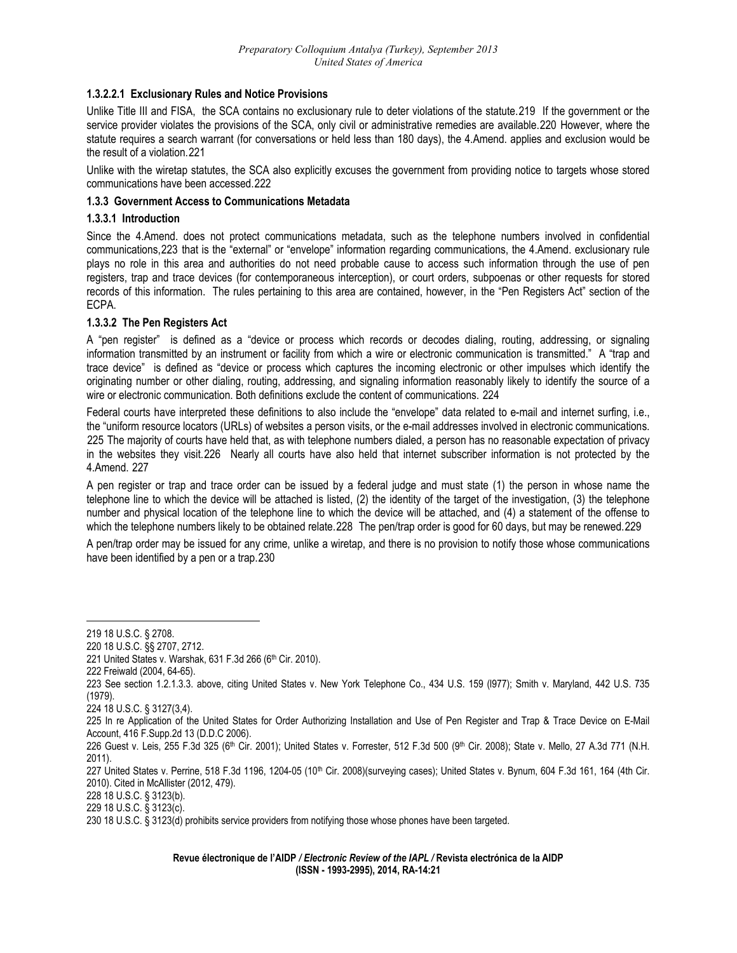### **1.3.2.2.1 Exclusionary Rules and Notice Provisions**

Unlike Title III and FISA, the SCA contains no exclusionary rule to deter violations of the statute.[219](#page-20-0) If the government or the service provider violates the provisions of the SCA, only civil or administrative remedies are available.[220](#page-20-1) However, where the statute requires a search warrant (for conversations or held less than 180 days), the 4.Amend. applies and exclusion would be the result of a violation.[221](#page-20-2) 

Unlike with the wiretap statutes, the SCA also explicitly excuses the government from providing notice to targets whose stored communications have been accessed.[222](#page-20-3) 

### **1.3.3 Government Access to Communications Metadata**

## **1.3.3.1 Introduction**

Since the 4.Amend. does not protect communications metadata, such as the telephone numbers involved in confidential communications,[223](#page-20-4) that is the "external" or "envelope" information regarding communications, the 4.Amend. exclusionary rule plays no role in this area and authorities do not need probable cause to access such information through the use of pen registers, trap and trace devices (for contemporaneous interception), or court orders, subpoenas or other requests for stored records of this information. The rules pertaining to this area are contained, however, in the "Pen Registers Act" section of the ECPA.

## **1.3.3.2 The Pen Registers Act**

A "pen register" is defined as a "device or process which records or decodes dialing, routing, addressing, or signaling information transmitted by an instrument or facility from which a wire or electronic communication is transmitted." A "trap and trace device" is defined as "device or process which captures the incoming electronic or other impulses which identify the originating number or other dialing, routing, addressing, and signaling information reasonably likely to identify the source of a wire or electronic communication. Both definitions exclude the content of communications. [224](#page-20-5)

Federal courts have interpreted these definitions to also include the "envelope" data related to e-mail and internet surfing, i.e., the "uniform resource locators (URLs) of websites a person visits, or the e-mail addresses involved in electronic communications. [225](#page-20-6) The majority of courts have held that, as with telephone numbers dialed, a person has no reasonable expectation of privacy in the websites they visit.[226](#page-20-7) Nearly all courts have also held that internet subscriber information is not protected by the 4.Amend. [227](#page-20-8) 

A pen register or trap and trace order can be issued by a federal judge and must state (1) the person in whose name the telephone line to which the device will be attached is listed, (2) the identity of the target of the investigation, (3) the telephone number and physical location of the telephone line to which the device will be attached, and (4) a statement of the offense to which the telephone numbers likely to be obtained relate.[228](#page-20-9) The pen/trap order is good for 60 days, but may be renewed.[229](#page-20-10)

A pen/trap order may be issued for any crime, unlike a wiretap, and there is no provision to notify those whose communications have been identified by a pen or a trap.[230](#page-20-11)

 $\overline{a}$ 

<span id="page-20-9"></span>228 18 U.S.C. § 3123(b).

<span id="page-20-10"></span>229 18 U.S.C. § 3123(c).

<span id="page-20-0"></span><sup>219 18</sup> U.S.C. § 2708.

<span id="page-20-1"></span><sup>220 18</sup> U.S.C. §§ 2707, 2712.

<span id="page-20-2"></span><sup>221</sup> United States v. Warshak, 631 F.3d 266 (6th Cir. 2010).

<span id="page-20-3"></span><sup>222</sup> Freiwald (2004, 64-65).

<span id="page-20-4"></span><sup>223</sup> See section 1.2.1.3.3. above, citing United States v. New York Telephone Co., 434 U.S. 159 (l977); Smith v. Maryland, 442 U.S. 735 (1979).

<span id="page-20-5"></span><sup>224 18</sup> U.S.C. § 3127(3,4).

<span id="page-20-6"></span><sup>225</sup> In re Application of the United States for Order Authorizing Installation and Use of Pen Register and Trap & Trace Device on E-Mail Account, 416 F.Supp.2d 13 (D.D.C 2006).

<span id="page-20-7"></span><sup>226</sup> Guest v. Leis, 255 F.3d 325 (6<sup>th</sup> Cir. 2001); United States v. Forrester, 512 F.3d 500 (9<sup>th</sup> Cir. 2008); State v. Mello, 27 A.3d 771 (N.H. 2011).

<span id="page-20-8"></span><sup>227</sup> United States v. Perrine, 518 F.3d 1196, 1204-05 (10<sup>th</sup> Cir. 2008)(surveying cases); United States v. Bynum, 604 F.3d 161, 164 (4th Cir. [2010\).](http://web2.westlaw.com/find/default.wl?mt=208&db=506&tc=-1&rp=%2ffind%2fdefault.wl&findtype=Y&ordoc=0374300370&serialnum=2021946327&vr=2.0&fn=_top&sv=Split&tf=-1&referencepositiontype=S&pbc=4F0F9738&referenceposition=164&rs=WLW13.01) Cited in McAllister (2012, 479).

<span id="page-20-11"></span><sup>230 18</sup> U.S.C. § 3123(d) prohibits service providers from notifying those whose phones have been targeted.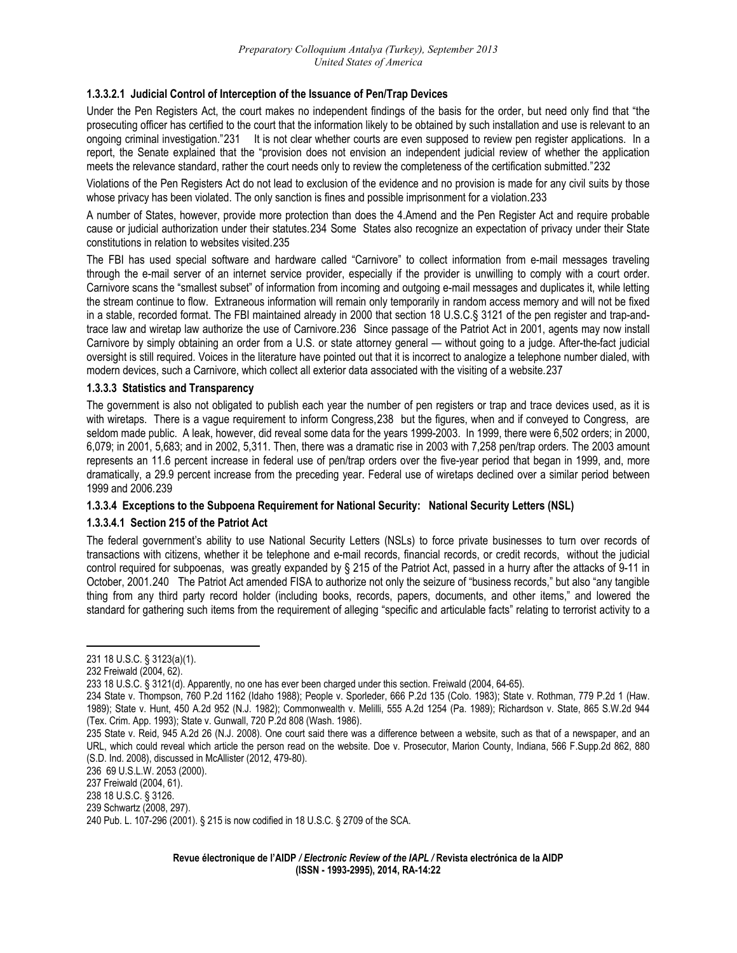### **1.3.3.2.1 Judicial Control of Interception of the Issuance of Pen/Trap Devices**

Under the Pen Registers Act, the court makes no independent findings of the basis for the order, but need only find that "the prosecuting officer has certified to the court that the information likely to be obtained by such installation and use is relevant to an ongoing criminal investigation."[231](#page-21-0) It is not clear whether courts are even supposed to review pen register applications. In a report, the Senate explained that the "provision does not envision an independent judicial review of whether the application meets the relevance standard, rather the court needs only to review the completeness of the certification submitted."[232](#page-21-1) 

Violations of the Pen Registers Act do not lead to exclusion of the evidence and no provision is made for any civil suits by those whose privacy has been violated. The only sanction is fines and possible imprisonment for a violation.[233](#page-21-2)

A number of States, however, provide more protection than does the 4.Amend and the Pen Register Act and require probable cause or judicial authorization under their statutes.[234](#page-21-3) Some States also recognize an expectation of privacy under their State constitutions in relation to websites visited.[235](#page-21-4)

The FBI has used special software and hardware called "Carnivore" to collect information from e-mail messages traveling through the e-mail server of an internet service provider, especially if the provider is unwilling to comply with a court order. Carnivore scans the "smallest subset" of information from incoming and outgoing e-mail messages and duplicates it, while letting the stream continue to flow. Extraneous information will remain only temporarily in random access memory and will not be fixed in a stable, recorded format. The FBI maintained already in 2000 that section 18 U.S.C.§ 3121 of the pen register and trap-andtrace law and wiretap law authorize the use of Carnivore.[236](#page-21-5) Since passage of the Patriot Act in 2001, agents may now install Carnivore by simply obtaining an order from a U.S. or state attorney general — without going to a judge. After-the-fact judicial oversight is still required. Voices in the literature have pointed out that it is incorrect to analogize a telephone number dialed, with modern devices, such a Carnivore, which collect all exterior data associated with the visiting of a website.[237](#page-21-6) 

#### **1.3.3.3 Statistics and Transparency**

The government is also not obligated to publish each year the number of pen registers or trap and trace devices used, as it is with wiretaps. There is a vague requirement to inform Congress, [238](#page-21-7) but the figures, when and if conveved to Congress, are seldom made public. A leak, however, did reveal some data for the years 1999-2003. In 1999, there were 6,502 orders; in 2000, 6,079; in 2001, 5,683; and in 2002, 5,311. Then, there was a dramatic rise in 2003 with 7,258 pen/trap orders. The 2003 amount represents an 11.6 percent increase in federal use of pen/trap orders over the five-year period that began in 1999, and, more dramatically, a 29.9 percent increase from the preceding year. Federal use of wiretaps declined over a similar period between 1999 and 2006.[239](#page-21-8)

### **1.3.3.4 Exceptions to the Subpoena Requirement for National Security: National Security Letters (NSL)**

### **1.3.3.4.1 Section 215 of the Patriot Act**

The federal government's ability to use National Security Letters (NSLs) to force private businesses to turn over records of transactions with citizens, whether it be telephone and e-mail records, financial records, or credit records, without the judicial control required for subpoenas, was greatly expanded by § 215 of the Patriot Act, passed in a hurry after the attacks of 9-11 in October, 2001.[240](#page-21-9) The Patriot Act amended FISA to authorize not only the seizure of "business records," but also "any tangible thing from any third party record holder (including books, records, papers, documents, and other items," and lowered the standard for gathering such items from the requirement of alleging "specific and articulable facts" relating to terrorist activity to a

<span id="page-21-0"></span><sup>231 18</sup> U.S.C. § 3123(a)(1).

<span id="page-21-1"></span><sup>232</sup> Freiwald (2004, 62).

<span id="page-21-2"></span><sup>233 18</sup> U.S.C. § 3121(d). Apparently, no one has ever been charged under this section. Freiwald (2004, 64-65).

<span id="page-21-3"></span><sup>234</sup> State v. Thompson, 760 P.2d 1162 (Idaho 1988); People v. Sporleder, 666 P.2d 135 (Colo. 1983); State v. Rothman, 779 P.2d 1 (Haw. 1989); State v. Hunt, 450 A.2d 952 (N.J. 1982); Commonwealth v. Melilli, 555 A.2d 1254 (Pa. 1989); Richardson v. State, 865 S.W.2d 944 (Tex. Crim. App. 1993); State v. Gunwall, 720 P.2d 808 (Wash. 1986).

<span id="page-21-4"></span><sup>235</sup> State v. Reid, 945 A.2d 26 (N.J. 2008). One court said there was a difference between a website, such as that of a newspaper, and an URL, which could reveal which article the person read on the website. Doe v. Prosecutor, Marion County, Indiana, 566 F.Supp.2d 862, 880 (S.D. Ind. 2008), discussed in McAllister (2012, 479-80).

<span id="page-21-5"></span><sup>236 69</sup> U.S.L.W. 2053 (2000).

<span id="page-21-6"></span><sup>237</sup> Freiwald (2004, 61).

<span id="page-21-7"></span><sup>238 18</sup> U.S.C. § 3126.

<span id="page-21-8"></span><sup>239</sup> Schwartz (2008, 297).

<span id="page-21-9"></span><sup>240</sup> Pub. L. 107-296 (2001). § 215 is now codified in 18 U.S.C. § 2709 of the SCA.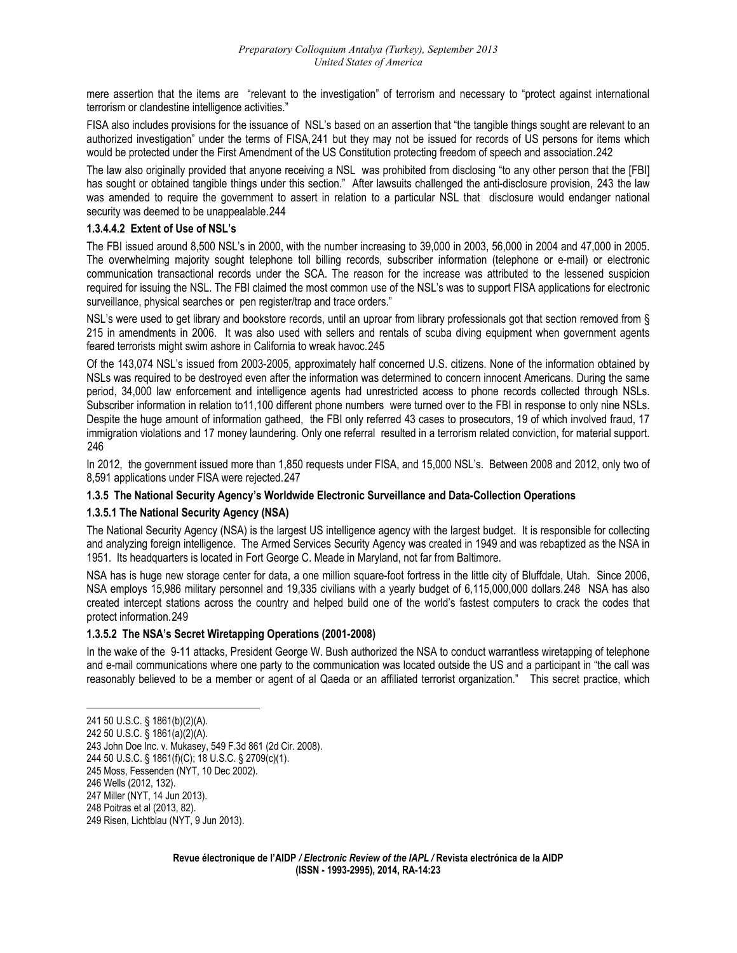mere assertion that the items are "relevant to the investigation" of terrorism and necessary to "protect against international terrorism or clandestine intelligence activities."

FISA also includes provisions for the issuance of NSL's based on an assertion that "the tangible things sought are relevant to an authorized investigation" under the terms of FISA,[241](#page-22-0) but they may not be issued for records of US persons for items which would be protected under the First Amendment of the US Constitution protecting freedom of speech and association.[242](#page-22-1) 

The law also originally provided that anyone receiving a NSL was prohibited from disclosing "to any other person that the [FBI] has sought or obtained tangible things under this section." After lawsuits challenged the anti-disclosure provision, [243](#page-22-2) the law was amended to require the government to assert in relation to a particular NSL that disclosure would endanger national security was deemed to be unappealable.[244](#page-22-3)

### **1.3.4.4.2 Extent of Use of NSL's**

The FBI issued around 8,500 NSL's in 2000, with the number increasing to 39,000 in 2003, 56,000 in 2004 and 47,000 in 2005. The overwhelming majority sought telephone toll billing records, subscriber information (telephone or e-mail) or electronic communication transactional records under the SCA. The reason for the increase was attributed to the lessened suspicion required for issuing the NSL. The FBI claimed the most common use of the NSL's was to support FISA applications for electronic surveillance, physical searches or pen register/trap and trace orders."

NSL's were used to get library and bookstore records, until an uproar from library professionals got that section removed from § 215 in amendments in 2006. It was also used with sellers and rentals of scuba diving equipment when government agents feared terrorists might swim ashore in California to wreak havoc.[245](#page-22-4) 

Of the 143,074 NSL's issued from 2003-2005, approximately half concerned U.S. citizens. None of the information obtained by NSLs was required to be destroyed even after the information was determined to concern innocent Americans. During the same period, 34,000 law enforcement and intelligence agents had unrestricted access to phone records collected through NSLs. Subscriber information in relation to11,100 different phone numbers were turned over to the FBI in response to only nine NSLs. Despite the huge amount of information gatheed, the FBI only referred 43 cases to prosecutors, 19 of which involved fraud, 17 immigration violations and 17 money laundering. Only one referral resulted in a terrorism related conviction, for material support. [246](#page-22-5) 

In 2012, the government issued more than 1,850 requests under FISA, and 15,000 NSL's. Between 2008 and 2012, only two of 8,591 applications under FISA were rejected.[247](#page-22-6)

### **1.3.5 The National Security Agency's Worldwide Electronic Surveillance and Data-Collection Operations**

### **1.3.5.1 The National Security Agency (NSA)**

The National Security Agency (NSA) is the largest US intelligence agency with the largest budget. It is responsible for collecting and analyzing foreign intelligence. The Armed Services Security Agency was created in 1949 and was rebaptized as the NSA in 1951. Its headquarters is located in Fort George C. Meade in Maryland, not far from Baltimore.

NSA has is huge new storage center for data, a one million square-foot fortress in the little city of Bluffdale, Utah. Since 2006, NSA employs 15,986 military personnel and 19,335 civilians with a yearly budget of 6,115,000,000 dollars.[248](#page-22-7) NSA has also created intercept stations across the country and helped build one of the world's fastest computers to crack the codes that protect information.[249](#page-22-8) 

### **1.3.5.2 The NSA's Secret Wiretapping Operations (2001-2008)**

In the wake of the 9-11 attacks, President George W. Bush authorized the NSA to conduct warrantless wiretapping of telephone and e-mail communications where one party to the communication was located outside the US and a participant in "the call was reasonably believed to be a member or agent of al Qaeda or an affiliated terrorist organization." This secret practice, which

<span id="page-22-0"></span><sup>241 50</sup> U.S.C. § 1861(b)(2)(A).

<span id="page-22-1"></span><sup>242 50</sup> U.S.C. § 1861(a)(2)(A).

<span id="page-22-2"></span><sup>243</sup> John Doe Inc. v. Mukasey, 549 F.3d 861 (2d Cir. 2008).

<span id="page-22-3"></span><sup>244 50</sup> U.S.C. § 1861(f)(C); 18 U.S.C. § 2709(c)(1).

<span id="page-22-4"></span><sup>245</sup> Moss, Fessenden (NYT, 10 Dec 2002).

<span id="page-22-5"></span><sup>246</sup> Wells (2012, 132).

<span id="page-22-6"></span><sup>247</sup> Miller (NYT, 14 Jun 2013).

<span id="page-22-7"></span><sup>248</sup> Poitras et al (2013, 82).

<span id="page-22-8"></span><sup>249</sup> Risen, Lichtblau (NYT, 9 Jun 2013).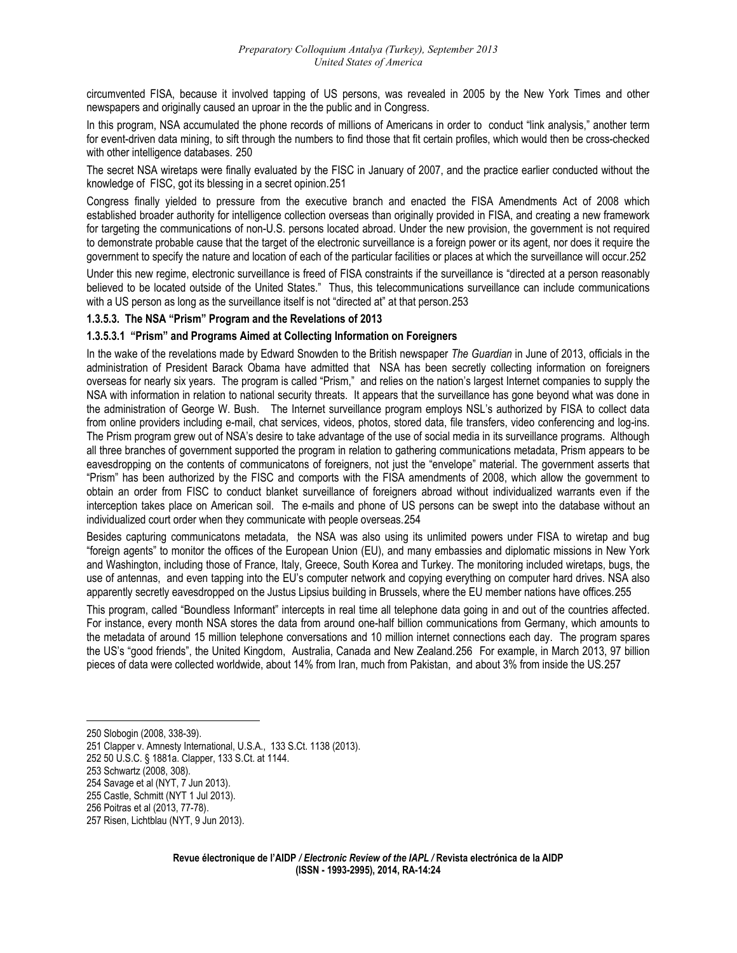circumvented FISA, because it involved tapping of US persons, was revealed in 2005 by the New York Times and other newspapers and originally caused an uproar in the the public and in Congress.

In this program, NSA accumulated the phone records of millions of Americans in order to conduct "link analysis," another term for event-driven data mining, to sift through the numbers to find those that fit certain profiles, which would then be cross-checked with other intelligence databases. [250](#page-23-0)

The secret NSA wiretaps were finally evaluated by the FISC in January of 2007, and the practice earlier conducted without the knowledge of FISC, got its blessing in a secret opinion.[251](#page-23-1)

Congress finally yielded to pressure from the executive branch and enacted the FISA Amendments Act of 2008 which established broader authority for intelligence collection overseas than originally provided in FISA, and creating a new framework for targeting the communications of non-U.S. persons located abroad. Under the new provision, the government is not required to demonstrate probable cause that the target of the electronic surveillance is a foreign power or its agent, nor does it require the government to specify the nature and location of each of the particular facilities or places at which the surveillance will occur.[252](#page-23-2)

Under this new regime, electronic surveillance is freed of FISA constraints if the surveillance is "directed at a person reasonably believed to be located outside of the United States." Thus, this telecommunications surveillance can include communications with a US person as long as the surveillance itself is not "directed at" at that person.[253](#page-23-3)

### **1.3.5.3. The NSA "Prism" Program and the Revelations of 2013**

### **1.3.5.3.1 "Prism" and Programs Aimed at Collecting Information on Foreigners**

In the wake of the revelations made by Edward Snowden to the British newspaper *The Guardian* in June of 2013, officials in the administration of President Barack Obama have admitted that NSA has been secretly collecting information on foreigners overseas for nearly six years. The program is called "Prism," and relies on the nation's largest Internet companies to supply the NSA with information in relation to national security threats. It appears that the surveillance has gone beyond what was done in the administration of George W. Bush. The Internet surveillance program employs NSL's authorized by FISA to collect data from online providers including e-mail, chat services, videos, photos, stored data, file transfers, video conferencing and log-ins. The Prism program grew out of NSA's desire to take advantage of the use of social media in its surveillance programs. Although all three branches of government supported the program in relation to gathering communications metadata, Prism appears to be eavesdropping on the contents of communicatons of foreigners, not just the "envelope" material. The government asserts that "Prism" has been authorized by the FISC and comports with the FISA amendments of 2008, which allow the government to obtain an order from FISC to conduct blanket surveillance of foreigners abroad without individualized warrants even if the interception takes place on American soil. The e-mails and phone of US persons can be swept into the database without an individualized court order when they communicate with people overseas.[254](#page-23-4) 

Besides capturing communicatons metadata, the NSA was also using its unlimited powers under FISA to wiretap and bug "foreign agents" to monitor the offices of the European Union (EU), and many embassies and diplomatic missions in New York and Washington, including those of France, Italy, Greece, South Korea and Turkey. The monitoring included wiretaps, bugs, the use of antennas, and even tapping into the EU's computer network and copying everything on computer hard drives. NSA also apparently secretly eavesdropped on the Justus Lipsius building in Brussels, where the EU member nations have offices.[255](#page-23-5) 

This program, called "Boundless Informant" intercepts in real time all telephone data going in and out of the countries affected. For instance, every month NSA stores the data from around one-half billion communications from Germany, which amounts to the metadata of around 15 million telephone conversations and 10 million internet connections each day. The program spares the US's "good friends", the United Kingdom, Australia, Canada and New Zealand.[256](#page-23-6) For example, in March 2013, 97 billion pieces of data were collected worldwide, about 14% from Iran, much from Pakistan, and about 3% from inside the US.[257](#page-23-7)

<span id="page-23-0"></span><sup>250</sup> Slobogin (2008, 338-39).

<span id="page-23-1"></span><sup>251</sup> Clapper v. Amnesty International, U.S.A., 133 S.Ct. 1138 (2013).

<span id="page-23-2"></span><sup>252 50</sup> U.S.C. § 1881a. Clapper, 133 S.Ct. at 1144.

<span id="page-23-3"></span><sup>253</sup> Schwartz (2008, 308).

<span id="page-23-4"></span><sup>254</sup> Savage et al (NYT, 7 Jun 2013).

<span id="page-23-5"></span><sup>255</sup> Castle, Schmitt (NYT 1 Jul 2013).

<span id="page-23-6"></span><sup>256</sup> Poitras et al (2013, 77-78).

<span id="page-23-7"></span><sup>257</sup> Risen, Lichtblau (NYT, 9 Jun 2013).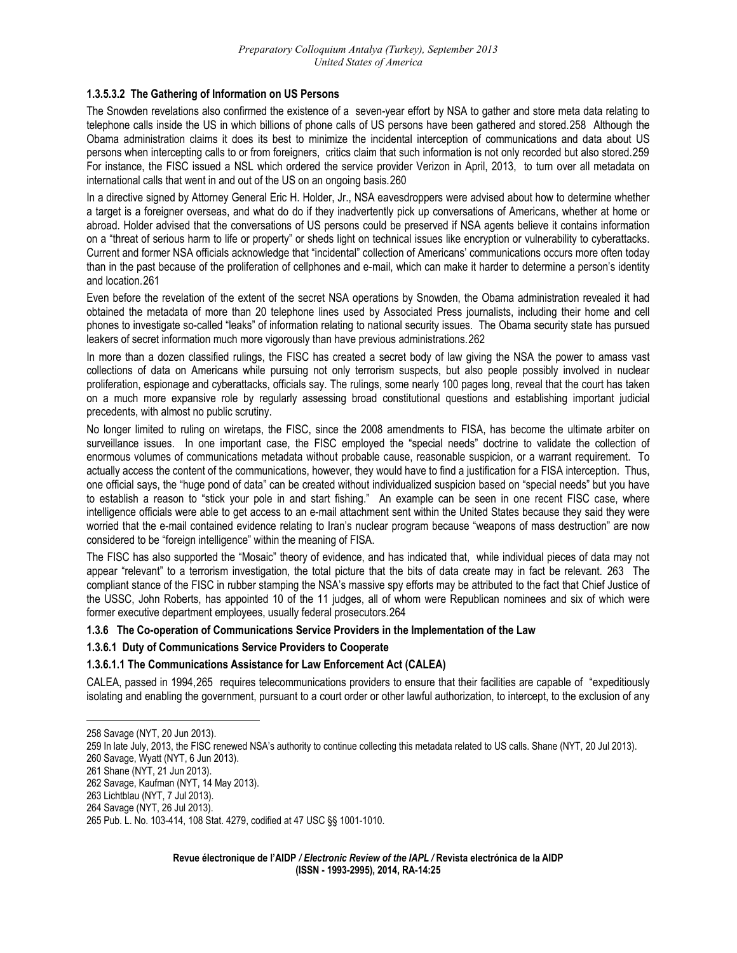### **1.3.5.3.2 The Gathering of Information on US Persons**

The Snowden revelations also confirmed the existence of a seven-year effort by NSA to gather and store meta data relating to telephone calls inside the US in which billions of phone calls of US persons have been gathered and stored.[258](#page-24-0) Although the Obama administration claims it does its best to minimize the incidental interception of communications and data about US persons when intercepting calls to or from foreigners, critics claim that such information is not only recorded but also stored.[259](#page-24-1) For instance, the FISC issued a NSL which ordered the service provider Verizon in April, 2013, to turn over all metadata on international calls that went in and out of the US on an ongoing basis.[260](#page-24-2) 

In a directive signed by Attorney General Eric H. Holder, Jr., NSA eavesdroppers were advised about how to determine whether a target is a foreigner overseas, and what do do if they inadvertently pick up conversations of Americans, whether at home or abroad. Holder advised that the conversations of US persons could be preserved if NSA agents believe it contains information on a "threat of serious harm to life or property" or sheds light on technical issues like encryption or vulnerability to cyberattacks. Current and former NSA officials acknowledge that "incidental" collection of Americans' communications occurs more often today than in the past because of the proliferation of cellphones and e-mail, which can make it harder to determine a person's identity and location.[261](#page-24-3) 

Even before the revelation of the extent of the secret NSA operations by Snowden, the Obama administration revealed it had obtained the metadata of more than 20 telephone lines used by Associated Press journalists, including their home and cell phones to investigate so-called "leaks" of information relating to national security issues. The Obama security state has pursued leakers of secret information much more vigorously than have previous administrations.[262](#page-24-4) 

In more than a dozen classified rulings, the FISC has created a secret body of law giving the NSA the power to amass vast collections of data on Americans while pursuing not only terrorism suspects, but also people possibly involved in nuclear proliferation, espionage and cyberattacks, officials say. The rulings, some nearly 100 pages long, reveal that the court has taken on a much more expansive role by regularly assessing broad constitutional questions and establishing important judicial precedents, with almost no public scrutiny.

No longer limited to ruling on wiretaps, the FISC, since the 2008 amendments to FISA, has become the ultimate arbiter on surveillance issues. In one important case, the FISC employed the "special needs" doctrine to validate the collection of enormous volumes of communications metadata without probable cause, reasonable suspicion, or a warrant requirement. To actually access the content of the communications, however, they would have to find a justification for a FISA interception. Thus, one official says, the "huge pond of data" can be created without individualized suspicion based on "special needs" but you have to establish a reason to "stick your pole in and start fishing." An example can be seen in one recent FISC case, where intelligence officials were able to get access to an e-mail attachment sent within the United States because they said they were worried that the e-mail contained evidence relating to Iran's nuclear program because "weapons of mass destruction" are now considered to be "foreign intelligence" within the meaning of FISA.

The FISC has also supported the "Mosaic" theory of evidence, and has indicated that, while individual pieces of data may not appear "relevant" to a terrorism investigation, the total picture that the bits of data create may in fact be relevant. [263](#page-24-5) The compliant stance of the FISC in rubber stamping the NSA's massive spy efforts may be attributed to the fact that Chief Justice of the USSC, John Roberts, has appointed 10 of the 11 judges, all of whom were Republican nominees and six of which were former executive department employees, usually federal prosecutors.[264](#page-24-6) 

### **1.3.6 The Co-operation of Communications Service Providers in the Implementation of the Law**

### **1.3.6.1 Duty of Communications Service Providers to Cooperate**

### **1.3.6.1.1 The Communications Assistance for Law Enforcement Act (CALEA)**

CALEA, passed in 1994,[265](#page-24-7) requires telecommunications providers to ensure that their facilities are capable of "expeditiously isolating and enabling the government, pursuant to a court order or other lawful authorization, to intercept, to the exclusion of any

<span id="page-24-0"></span><sup>258</sup> Savage (NYT, 20 Jun 2013).

<span id="page-24-1"></span><sup>259</sup> In late July, 2013, the FISC renewed NSA's authority to continue collecting this metadata related to US calls. Shane (NYT, 20 Jul 2013). 260 Savage, Wyatt (NYT, 6 Jun 2013).

<span id="page-24-3"></span><span id="page-24-2"></span><sup>261</sup> Shane (NYT, 21 Jun 2013).

<span id="page-24-4"></span><sup>262</sup> Savage, Kaufman (NYT, 14 May 2013).

<span id="page-24-5"></span><sup>263</sup> Lichtblau (NYT, 7 Jul 2013).

<span id="page-24-6"></span><sup>264</sup> Savage (NYT, 26 Jul 2013).

<span id="page-24-7"></span><sup>265</sup> Pub. L. No. 103-414, 108 Stat. 4279, codified at 47 USC §§ 1001-1010.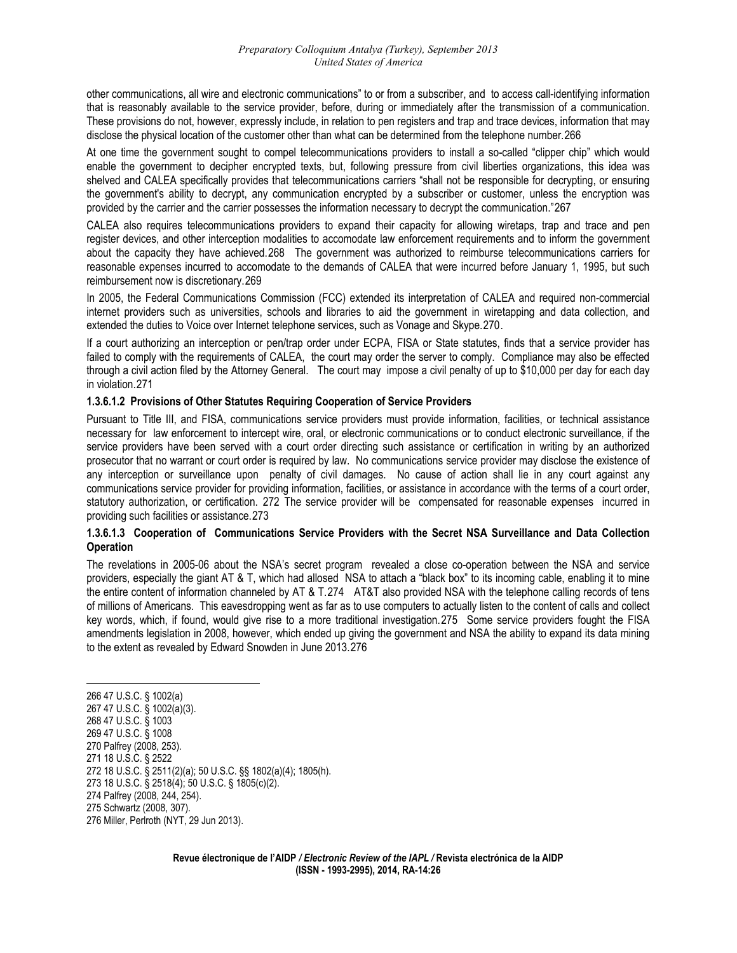other communications, all wire and electronic communications" to or from a subscriber, and to access call-identifying information that is reasonably available to the service provider, before, during or immediately after the transmission of a communication. These provisions do not, however, expressly include, in relation to pen registers and trap and trace devices, information that may disclose the physical location of the customer other than what can be determined from the telephone number.[266](#page-25-0) 

At one time the government sought to compel telecommunications providers to install a so-called "clipper chip" which would enable the government to decipher encrypted texts, but, following pressure from civil liberties organizations, this idea was shelved and CALEA specifically provides that telecommunications carriers "shall not be responsible for decrypting, or ensuring the government's ability to decrypt, any communication encrypted by a subscriber or customer, unless the encryption was provided by the carrier and the carrier possesses the information necessary to decrypt the communication."[267](#page-25-1) 

CALEA also requires telecommunications providers to expand their capacity for allowing wiretaps, trap and trace and pen register devices, and other interception modalities to accomodate law enforcement requirements and to inform the government about the capacity they have achieved.[268](#page-25-2) The government was authorized to reimburse telecommunications carriers for reasonable expenses incurred to accomodate to the demands of CALEA that were incurred before January 1, 1995, but such reimbursement now is discretionary.[269](#page-25-3) 

In 2005, the Federal Communications Commission (FCC) extended its interpretation of CALEA and required non-commercial internet providers such as universities, schools and libraries to aid the government in wiretapping and data collection, and extended the duties to Voice over Internet telephone services, such as Vonage and Skype.[270](#page-25-4).

If a court authorizing an interception or pen/trap order under ECPA, FISA or State statutes, finds that a service provider has failed to comply with the requirements of CALEA, the court may order the server to comply. Compliance may also be effected through a civil action filed by the Attorney General. The court may impose a civil penalty of up to \$10,000 per day for each day in violation.[271](#page-25-5) 

## **1.3.6.1.2 Provisions of Other Statutes Requiring Cooperation of Service Providers**

Pursuant to Title III, and FISA, communications service providers must provide information, facilities, or technical assistance necessary for law enforcement to intercept wire, oral, or electronic communications or to conduct electronic surveillance, if the service providers have been served with a court order directing such assistance or certification in writing by an authorized prosecutor that no warrant or court order is required by law. No communications service provider may disclose the existence of any interception or surveillance upon penalty of civil damages. No cause of action shall lie in any court against any communications service provider for providing information, facilities, or assistance in accordance with the terms of a court order, statutory authorization, or certification. [272](#page-25-6) The service provider will be compensated for reasonable expenses incurred in providing such facilities or assistance.[273](#page-25-7)

### **1.3.6.1.3 Cooperation of Communications Service Providers with the Secret NSA Surveillance and Data Collection Operation**

The revelations in 2005-06 about the NSA's secret program revealed a close co-operation between the NSA and service providers, especially the giant AT & T, which had allosed NSA to attach a "black box" to its incoming cable, enabling it to mine the entire content of information channeled by AT & T.[274](#page-25-8) AT&T also provided NSA with the telephone calling records of tens of millions of Americans. This eavesdropping went as far as to use computers to actually listen to the content of calls and collect key words, which, if found, would give rise to a more traditional investigation.[275](#page-25-9) Some service providers fought the FISA amendments legislation in 2008, however, which ended up giving the government and NSA the ability to expand its data mining to the extent as revealed by Edward Snowden in June 2013.[276](#page-25-10) 

<span id="page-25-10"></span><span id="page-25-9"></span><span id="page-25-8"></span><span id="page-25-7"></span><span id="page-25-6"></span><span id="page-25-5"></span><span id="page-25-4"></span><span id="page-25-3"></span><span id="page-25-2"></span><span id="page-25-1"></span><span id="page-25-0"></span> $\overline{a}$ 266 47 U.S.C. § 1002(a) 267 47 U.S.C. § 1002(a)(3). 268 47 U.S.C. § 1003 269 47 U.S.C. § 1008 270 Palfrey (2008, 253). 271 18 U.S.C. § 2522 272 18 U.S.C. § 2511(2)(a); 50 U.S.C. §§ 1802(a)(4); 1805(h). 273 18 U.S.C. § 2518(4); 50 U.S.C. § 1805(c)(2). 274 Palfrey (2008, 244, 254). 275 Schwartz (2008, 307). 276 Miller, Perlroth (NYT, 29 Jun 2013).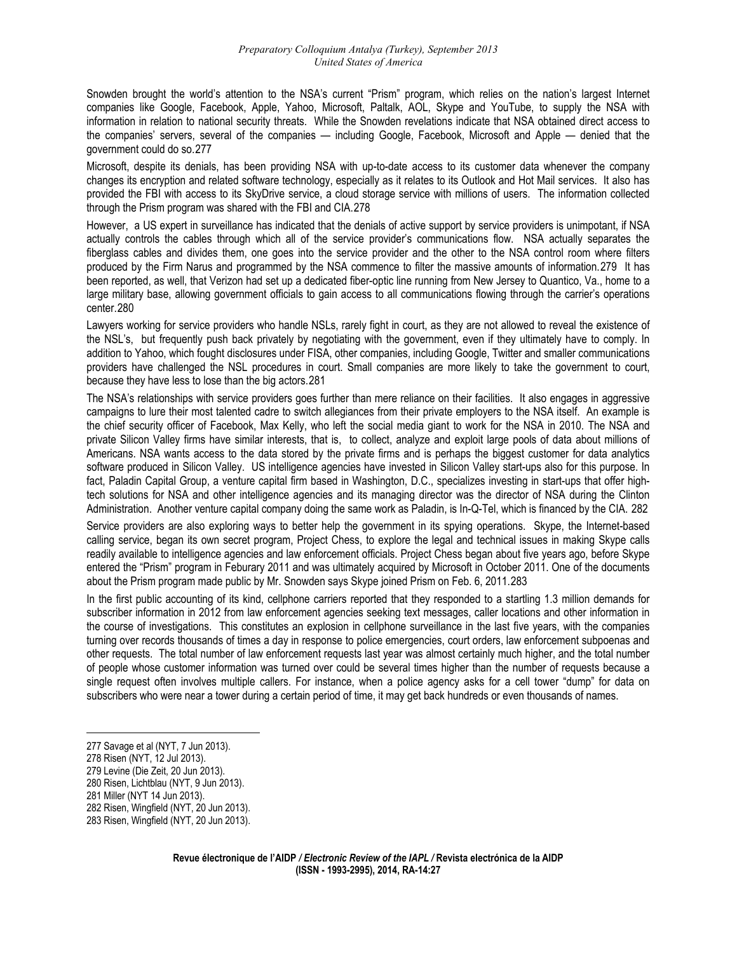Snowden brought the world's attention to the NSA's current "Prism" program, which relies on the nation's largest Internet companies like Google, Facebook, Apple, Yahoo, Microsoft, Paltalk, AOL, Skype and YouTube, to supply the NSA with information in relation to national security threats. While the Snowden revelations indicate that NSA obtained direct access to the companies' servers, several of the companies — including Google, Facebook, Microsoft and Apple — denied that the government could do so.[277](#page-26-0) 

Microsoft, despite its denials, has been providing NSA with up-to-date access to its customer data whenever the company changes its encryption and related software technology, especially as it relates to its Outlook and Hot Mail services. It also has provided the FBI with access to its SkyDrive service, a cloud storage service with millions of users. The information collected through the Prism program was shared with the FBI and CIA.[278](#page-26-1) 

However, a US expert in surveillance has indicated that the denials of active support by service providers is unimpotant, if NSA actually controls the cables through which all of the service provider's communications flow. NSA actually separates the fiberglass cables and divides them, one goes into the service provider and the other to the NSA control room where filters produced by the Firm Narus and programmed by the NSA commence to filter the massive amounts of information.[279](#page-26-2) It has been reported, as well, that Verizon had set up a dedicated fiber-optic line running from New Jersey to Quantico, Va., home to a large military base, allowing government officials to gain access to all communications flowing through the carrier's operations center.[280](#page-26-3)

Lawyers working for service providers who handle NSLs, rarely fight in court, as they are not allowed to reveal the existence of the NSL's, but frequently push back privately by negotiating with the government, even if they ultimately have to comply. In addition to Yahoo, which fought disclosures under FISA, other companies, including Google, Twitter and smaller communications providers have challenged the NSL procedures in court. Small companies are more likely to take the government to court, because they have less to lose than the big actors.[281](#page-26-4)

The NSA's relationships with service providers goes further than mere reliance on their facilities. It also engages in aggressive campaigns to lure their most talented cadre to switch allegiances from their private employers to the NSA itself. An example is the chief security officer of Facebook, Max Kelly, who left the social media giant to work for the NSA in 2010. The NSA and private Silicon Valley firms have similar interests, that is, to collect, analyze and exploit large pools of data about millions of Americans. NSA wants access to the data stored by the private firms and is perhaps the biggest customer for data analytics software produced in Silicon Valley. US intelligence agencies have invested in Silicon Valley start-ups also for this purpose. In fact, Paladin Capital Group, a venture capital firm based in Washington, D.C., specializes investing in start-ups that offer hightech solutions for NSA and other intelligence agencies and its managing director was the director of NSA during the Clinton Administration. Another venture capital company doing the same work as Paladin, is In-Q-Tel, which is financed by the CIA. [282](#page-26-5) 

Service providers are also exploring ways to better help the government in its spying operations. Skype, the Internet-based calling service, began its own secret program, Project Chess, to explore the legal and technical issues in making Skype calls readily available to intelligence agencies and law enforcement officials. Project Chess began about five years ago, before Skype entered the "Prism" program in Feburary 2011 and was ultimately acquired by Microsoft in October 2011. One of the documents about the Prism program made public by Mr. Snowden says Skype joined Prism on Feb. 6, 2011.[283](#page-26-6)

In the first public accounting of its kind, cellphone carriers reported that they responded to a startling 1.3 million demands for subscriber information in 2012 from law enforcement agencies seeking text messages, caller locations and other information in the course of investigations. This constitutes an explosion in cellphone surveillance in the last five years, with the companies turning over records thousands of times a day in response to police emergencies, court orders, law enforcement subpoenas and other requests. The total number of law enforcement requests last year was almost certainly much higher, and the total number of people whose customer information was turned over could be several times higher than the number of requests because a single request often involves multiple callers. For instance, when a police agency asks for a cell tower "dump" for data on subscribers who were near a tower during a certain period of time, it may get back hundreds or even thousands of names.

<span id="page-26-0"></span><sup>277</sup> Savage et al (NYT, 7 Jun 2013).

<span id="page-26-1"></span><sup>278</sup> Risen (NYT, 12 Jul 2013).

<span id="page-26-2"></span><sup>279</sup> Levine (Die Zeit, 20 Jun 2013).

<span id="page-26-3"></span><sup>280</sup> Risen, Lichtblau (NYT, 9 Jun 2013).

<span id="page-26-4"></span><sup>281</sup> Miller (NYT 14 Jun 2013).

<span id="page-26-5"></span><sup>282</sup> Risen, Wingfield (NYT, 20 Jun 2013).

<span id="page-26-6"></span><sup>283</sup> Risen, Wingfield (NYT, 20 Jun 2013).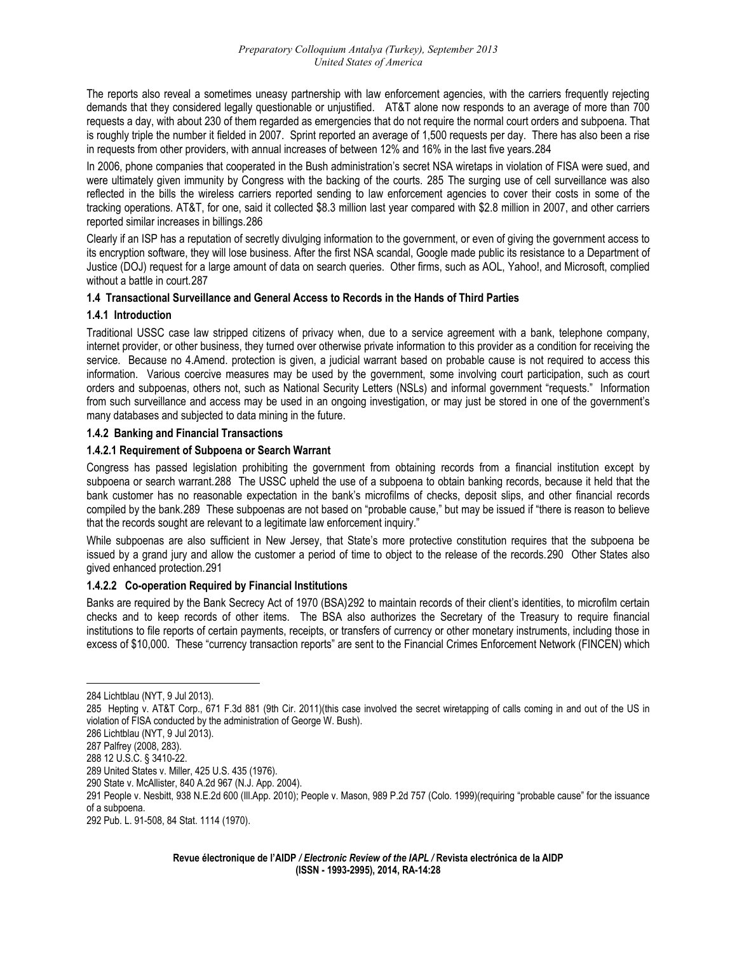The reports also reveal a sometimes uneasy partnership with law enforcement agencies, with the carriers frequently rejecting demands that they considered legally questionable or unjustified. AT&T alone now responds to an average of more than 700 requests a day, with about 230 of them regarded as emergencies that do not require the normal court orders and subpoena. That is roughly triple the number it fielded in 2007. Sprint reported an average of 1,500 requests per day. There has also been a rise in requests from other providers, with annual increases of between 12% and 16% in the last five years.[284](#page-27-0)

In 2006, phone companies that cooperated in the Bush administration's secret NSA wiretaps in violation of FISA were sued, and were ultimately given immunity by Congress with the backing of the courts. [285](#page-27-1) The surging use of cell surveillance was also reflected in the bills the wireless carriers reported sending to law enforcement agencies to cover their costs in some of the tracking operations. AT&T, for one, said it collected \$8.3 million last year compared with \$2.8 million in 2007, and other carriers reported similar increases in billings.[286](#page-27-2)

Clearly if an ISP has a reputation of secretly divulging information to the government, or even of giving the government access to its encryption software, they will lose business. After the first NSA scandal, Google made public its resistance to a Department of Justice (DOJ) request for a large amount of data on search queries. Other firms, such as AOL, Yahoo!, and Microsoft, complied without a battle in court.[287](#page-27-3)

## **1.4 Transactional Surveillance and General Access to Records in the Hands of Third Parties**

## **1.4.1 Introduction**

Traditional USSC case law stripped citizens of privacy when, due to a service agreement with a bank, telephone company, internet provider, or other business, they turned over otherwise private information to this provider as a condition for receiving the service. Because no 4.Amend. protection is given, a judicial warrant based on probable cause is not required to access this information. Various coercive measures may be used by the government, some involving court participation, such as court orders and subpoenas, others not, such as National Security Letters (NSLs) and informal government "requests." Information from such surveillance and access may be used in an ongoing investigation, or may just be stored in one of the government's many databases and subjected to data mining in the future.

### **1.4.2 Banking and Financial Transactions**

### **1.4.2.1 Requirement of Subpoena or Search Warrant**

Congress has passed legislation prohibiting the government from obtaining records from a financial institution except by subpoena or search warrant[.288](#page-27-4) The USSC upheld the use of a subpoena to obtain banking records, because it held that the bank customer has no reasonable expectation in the bank's microfilms of checks, deposit slips, and other financial records compiled by the bank.[289](#page-27-5) These subpoenas are not based on "probable cause," but may be issued if "there is reason to believe that the records sought are relevant to a legitimate law enforcement inquiry."

While subpoenas are also sufficient in New Jersey, that State's more protective constitution requires that the subpoena be issued by a grand jury and allow the customer a period of time to object to the release of the records.[290](#page-27-6) Other States also gived enhanced protection.[291](#page-27-7) 

### **1.4.2.2 Co-operation Required by Financial Institutions**

Banks are required by the Bank Secrecy Act of 1970 (BSA)[292](#page-27-8) to maintain records of their client's identities, to microfilm certain checks and to keep records of other items. The BSA also authorizes the Secretary of the Treasury to require financial institutions to file reports of certain payments, receipts, or transfers of currency or other monetary instruments, including those in excess of \$10,000. These "currency transaction reports" are sent to the Financial Crimes Enforcement Network (FINCEN) which

<span id="page-27-0"></span><sup>284</sup> Lichtblau (NYT, 9 Jul 2013).

<span id="page-27-1"></span><sup>285</sup> Hepting v. AT&T Corp., 671 F.3d 881 (9th Cir. 2011)(this case involved the secret wiretapping of calls coming in and out of the US in violation of FISA conducted by the administration of George W. Bush).

<span id="page-27-2"></span><sup>286</sup> Lichtblau (NYT, 9 Jul 2013).

<span id="page-27-3"></span><sup>287</sup> Palfrey (2008, 283).

<span id="page-27-4"></span><sup>288 12</sup> U.S.C. § 3410-22.

<span id="page-27-5"></span><sup>289</sup> United States v. Miller, 425 U.S. 435 (1976).

<span id="page-27-6"></span><sup>290</sup> State v. McAllister, 840 A.2d 967 (N.J. App. 2004).

<span id="page-27-7"></span><sup>291</sup> People v. Nesbitt, 938 N.E.2d 600 (Ill.App. 2010); People v. Mason, 989 P.2d 757 (Colo. 1999)(requiring "probable cause" for the issuance of a subpoena.

<span id="page-27-8"></span><sup>292</sup> Pub. L. 91-508, 84 Stat. 1114 (1970).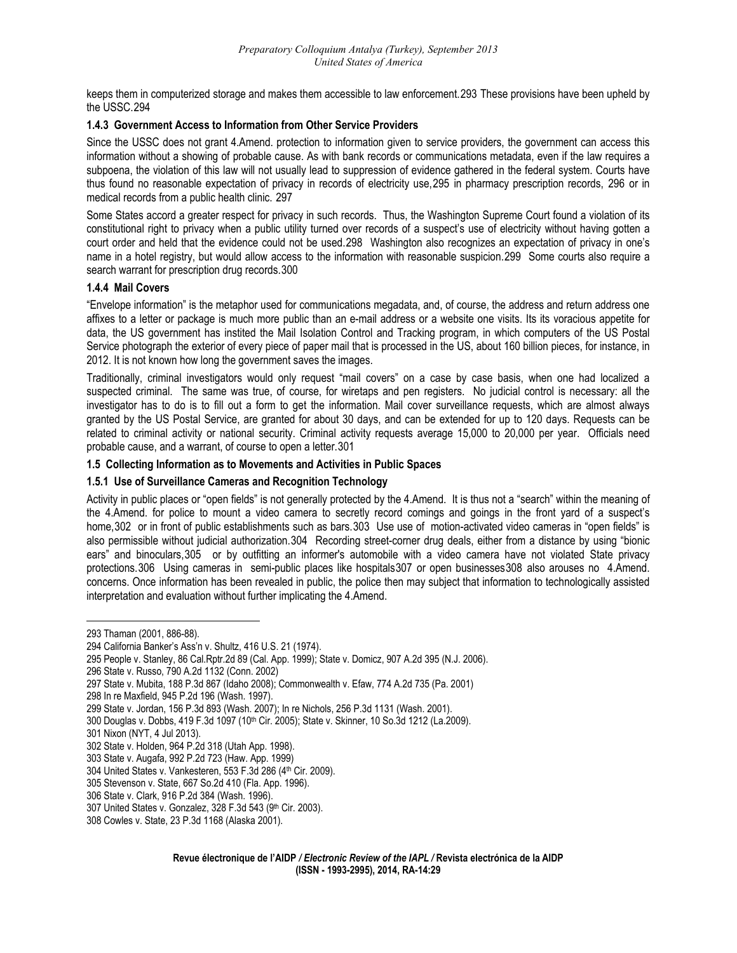keeps them in computerized storage and makes them accessible to law enforcement.[293](#page-28-0) These provisions have been upheld by the USSC.[294](#page-28-1)

### **1.4.3 Government Access to Information from Other Service Providers**

Since the USSC does not grant 4.Amend. protection to information given to service providers, the government can access this information without a showing of probable cause. As with bank records or communications metadata, even if the law requires a subpoena, the violation of this law will not usually lead to suppression of evidence gathered in the federal system. Courts have thus found no reasonable expectation of privacy in records of electricity use,[295](#page-28-2) in pharmacy prescription records, [296](#page-28-3) or in medical records from a public health clinic. [297](#page-28-4)

Some States accord a greater respect for privacy in such records. Thus, the Washington Supreme Court found a violation of its constitutional right to privacy when a public utility turned over records of a suspect's use of electricity without having gotten a court order and held that the evidence could not be used.[298](#page-28-5) Washington also recognizes an expectation of privacy in one's name in a hotel registry, but would allow access to the information with reasonable suspicion.[299](#page-28-6) Some courts also require a search warrant for prescription drug records.[300](#page-28-7)

### **1.4.4 Mail Covers**

"Envelope information" is the metaphor used for communications megadata, and, of course, the address and return address one affixes to a letter or package is much more public than an e-mail address or a website one visits. Its its voracious appetite for data, the US government has instited the Mail Isolation Control and Tracking program, in which computers of the US Postal Service photograph the exterior of every piece of paper mail that is processed in the US, about 160 billion pieces, for instance, in 2012. It is not known how long the government saves the images.

Traditionally, criminal investigators would only request "mail covers" on a case by case basis, when one had localized a suspected criminal. The same was true, of course, for wiretaps and pen registers. No judicial control is necessary: all the investigator has to do is to fill out a form to get the information. Mail cover surveillance requests, which are almost always granted by the US Postal Service, are granted for about 30 days, and can be extended for up to 120 days. Requests can be related to criminal activity or national security. Criminal activity requests average 15,000 to 20,000 per year. Officials need probable cause, and a warrant, of course to open a letter.[301](#page-28-8)

## **1.5 Collecting Information as to Movements and Activities in Public Spaces**

# **1.5.1 Use of Surveillance Cameras and Recognition Technology**

Activity in public places or "open fields" is not generally protected by the 4.Amend. It is thus not a "search" within the meaning of the 4.Amend. for police to mount a video camera to secretly record comings and goings in the front yard of a suspect's home,[302](#page-28-9) or in front of public establishments such as bars.[303](#page-28-10) Use use of motion-activated video cameras in "open fields" is also permissible without judicial authorization.[304](#page-28-11) Recording street-corner drug deals, either from a distance by using "bionic ears" and binoculars,[305](#page-28-12) or by outfitting an informer's automobile with a video camera have not violated State privacy protections.[306](#page-28-13) Using cameras in semi-public places like hospitals[307](#page-28-14) or open businesses[308](#page-28-15) also arouses no 4.Amend. concerns. Once information has been revealed in public, the police then may subject that information to technologically assisted interpretation and evaluation without further implicating the 4.Amend.

<span id="page-28-0"></span><sup>293</sup> Thaman (2001, 886-88).

<span id="page-28-1"></span><sup>294</sup> California Banker's Ass'n v. Shultz, 416 U.S. 21 (1974).

<span id="page-28-2"></span><sup>295</sup> People v. Stanley, 86 Cal.Rptr.2d 89 (Cal. App. 1999); State v. Domicz, 907 A.2d 395 (N.J. 2006).

<span id="page-28-3"></span><sup>296</sup> State v. Russo, 790 A.2d 1132 (Conn. 2002)

<span id="page-28-4"></span><sup>297</sup> State v. Mubita, 188 P.3d 867 (Idaho 2008); Commonwealth v. Efaw, 774 A.2d 735 (Pa. 2001)

<span id="page-28-5"></span><sup>298</sup> In re Maxfield, 945 P.2d 196 (Wash. 1997).

<span id="page-28-6"></span><sup>299</sup> State v. Jordan, 156 P.3d 893 (Wash. 2007); In re Nichols, 256 P.3d 1131 (Wash. 2001).

<span id="page-28-7"></span><sup>300</sup> Douglas v. Dobbs, 419 F.3d 1097 (10th Cir. 2005); State v. Skinner, 10 So.3d 1212 (La.2009).

<span id="page-28-8"></span><sup>301</sup> Nixon (NYT, 4 Jul 2013).

<span id="page-28-9"></span><sup>302</sup> State v. Holden, 964 P.2d 318 (Utah App. 1998).

<span id="page-28-10"></span><sup>303</sup> State v. Augafa, 992 P.2d 723 (Haw. App. 1999)

<span id="page-28-11"></span><sup>304</sup> United States v. Vankesteren, 553 F.3d 286 (4th Cir. 2009).

<span id="page-28-12"></span><sup>305</sup> Stevenson v. State, 667 So.2d 410 (Fla. App. 1996).

<span id="page-28-13"></span><sup>306</sup> State v. Clark, 916 P.2d 384 (Wash. 1996).

<span id="page-28-14"></span><sup>307</sup> United States v. Gonzalez, 328 F.3d 543 (9th Cir. 2003).

<span id="page-28-15"></span><sup>308</sup> Cowles v. State, 23 P.3d 1168 (Alaska 2001).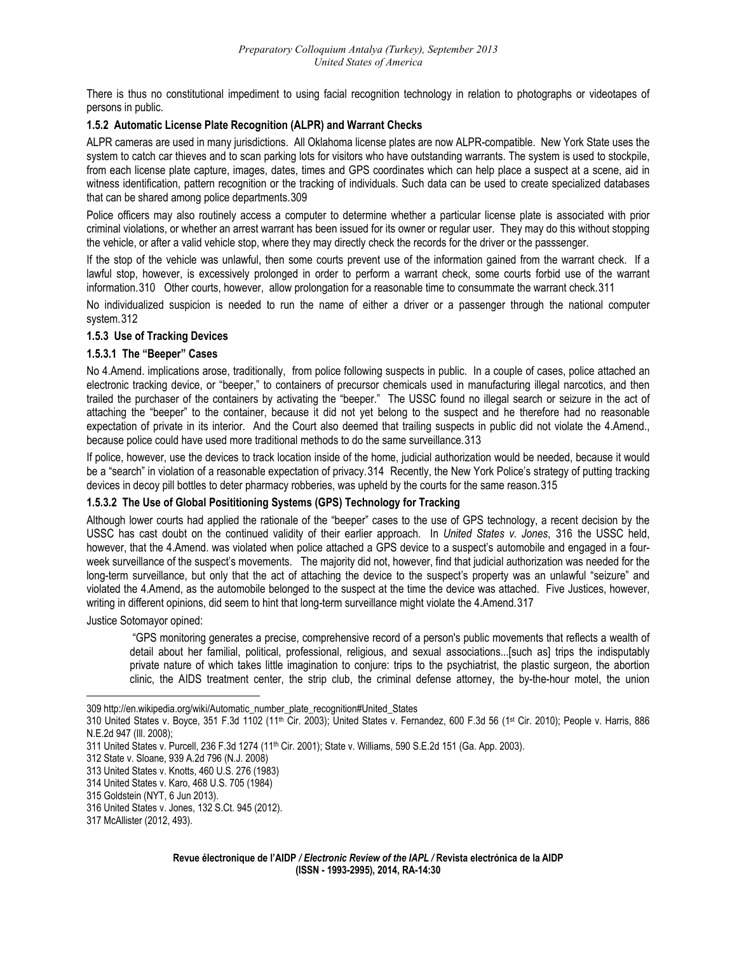There is thus no constitutional impediment to using facial recognition technology in relation to photographs or videotapes of persons in public.

## **1.5.2 Automatic License Plate Recognition (ALPR) and Warrant Checks**

ALPR cameras are used in many jurisdictions. All Oklahoma license plates are now ALPR-compatible. New York State uses the system to catch car thieves and to scan parking lots for visitors who have outstanding warrants. The system is used to stockpile, from each license plate capture, images, dates, times and GPS coordinates which can help place a suspect at a scene, aid in witness identification, pattern recognition or the tracking of individuals. Such data can be used to create specialized databases that can be shared among police departments.[309](#page-29-0) 

Police officers may also routinely access a computer to determine whether a particular license plate is associated with prior criminal violations, or whether an arrest warrant has been issued for its owner or regular user. They may do this without stopping the vehicle, or after a valid vehicle stop, where they may directly check the records for the driver or the passsenger.

If the stop of the vehicle was unlawful, then some courts prevent use of the information gained from the warrant check. If a lawful stop, however, is excessively prolonged in order to perform a warrant check, some courts forbid use of the warrant information.[310](#page-29-1) Other courts, however, allow prolongation for a reasonable time to consummate the warrant check.[311](#page-29-2)

No individualized suspicion is needed to run the name of either a driver or a passenger through the national computer system.[312](#page-29-3) 

### **1.5.3 Use of Tracking Devices**

## **1.5.3.1 The "Beeper" Cases**

No 4.Amend. implications arose, traditionally, from police following suspects in public. In a couple of cases, police attached an electronic tracking device, or "beeper," to containers of precursor chemicals used in manufacturing illegal narcotics, and then trailed the purchaser of the containers by activating the "beeper." The USSC found no illegal search or seizure in the act of attaching the "beeper" to the container, because it did not yet belong to the suspect and he therefore had no reasonable expectation of private in its interior. And the Court also deemed that trailing suspects in public did not violate the 4.Amend., because police could have used more traditional methods to do the same surveillance.[313](#page-29-4)

If police, however, use the devices to track location inside of the home, judicial authorization would be needed, because it would be a "search" in violation of a reasonable expectation of privacy.[314](#page-29-5) Recently, the New York Police's strategy of putting tracking devices in decoy pill bottles to deter pharmacy robberies, was upheld by the courts for the same reason.[315](#page-29-6) 

### **1.5.3.2 The Use of Global Posititioning Systems (GPS) Technology for Tracking**

Although lower courts had applied the rationale of the "beeper" cases to the use of GPS technology, a recent decision by the USSC has cast doubt on the continued validity of their earlier approach. In *United States v. Jones*, [316](#page-29-7) the USSC held, however, that the 4.Amend. was violated when police attached a GPS device to a suspect's automobile and engaged in a fourweek surveillance of the suspect's movements. The majority did not, however, find that judicial authorization was needed for the long-term surveillance, but only that the act of attaching the device to the suspect's property was an unlawful "seizure" and violated the 4.Amend, as the automobile belonged to the suspect at the time the device was attached. Five Justices, however, writing in different opinions, did seem to hint that long-term surveillance might violate the 4.Amend.[317](#page-29-8) 

Justice Sotomayor opined:

 $\overline{a}$ 

 "GPS monitoring generates a precise, comprehensive record of a person's public movements that reflects a wealth of detail about her familial, political, professional, religious, and sexual associations...[such as] trips the indisputably private nature of which takes little imagination to conjure: trips to the psychiatrist, the plastic surgeon, the abortion clinic, the AIDS treatment center, the strip club, the criminal defense attorney, the by-the-hour motel, the union

<span id="page-29-0"></span><sup>309</sup> http://en.wikipedia.org/wiki/Automatic\_number\_plate\_recognition#United\_States

<span id="page-29-1"></span><sup>310</sup> United States v. Boyce, 351 F.3d 1102 (11th Cir. 2003); United States v. Fernandez, 600 F.3d 56 (1st Cir. 2010); People v. Harris, 886 N.E.2d 947 (Ill. 2008);

<span id="page-29-2"></span><sup>311</sup> United States v. Purcell, 236 F.3d 1274 (11th Cir. 2001); State v. Williams, 590 S.E.2d 151 (Ga. App. 2003).

<span id="page-29-3"></span><sup>312</sup> State v. Sloane, 939 A.2d 796 (N.J. 2008)

<span id="page-29-4"></span><sup>313</sup> United States v. Knotts, 460 U.S. 276 (1983)

<span id="page-29-5"></span><sup>314</sup> United States v. Karo, 468 U.S. 705 (1984)

<span id="page-29-6"></span><sup>315</sup> Goldstein (NYT, 6 Jun 2013).

<span id="page-29-7"></span><sup>316</sup> United States v. Jones, 132 S.Ct. 945 (2012).

<span id="page-29-8"></span><sup>317</sup> McAllister (2012, 493).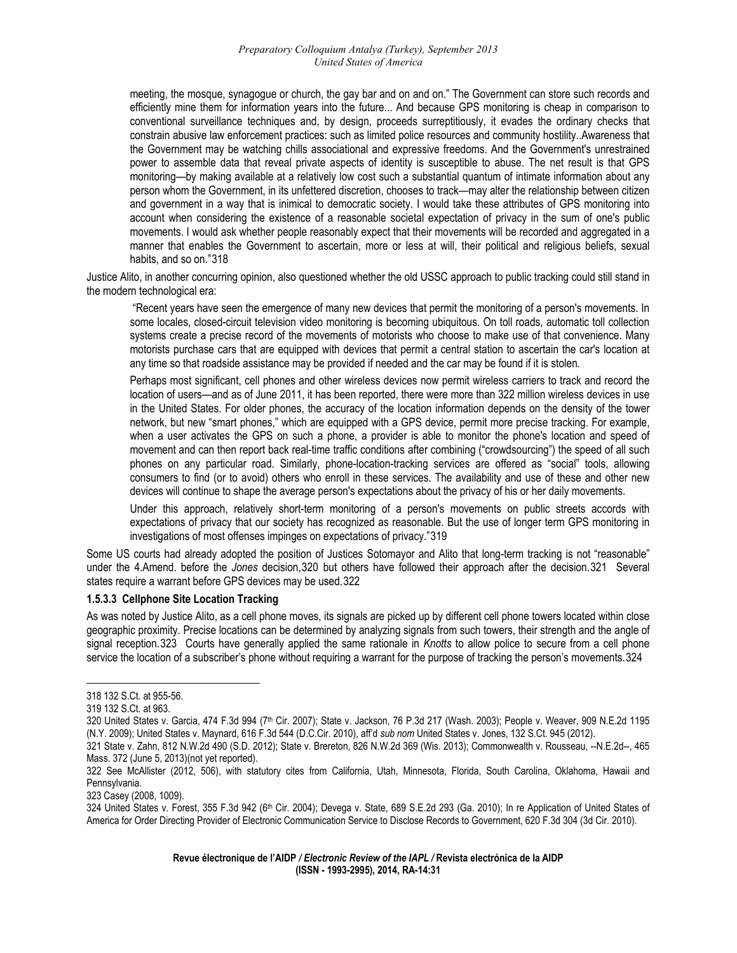meeting, the mosque, synagogue or church, the gay bar and on and on." The Government can store such records and efficiently mine them for information years into the future... And because GPS monitoring is cheap in comparison to conventional surveillance techniques and, by design, proceeds surreptitiously, it evades the ordinary checks that constrain abusive law enforcement practices: such as limited police resources and community hostility..Awareness that the Government may be watching chills associational and expressive freedoms. And the Government's unrestrained power to assemble data that reveal private aspects of identity is susceptible to abuse. The net result is that GPS monitoring—by making available at a relatively low cost such a substantial quantum of intimate information about any person whom the Government, in its unfettered discretion, chooses to track—may alter the relationship between citizen and government in a way that is inimical to democratic society. I would take these attributes of GPS monitoring into account when considering the existence of a reasonable societal expectation of privacy in the sum of one's public movements. I would ask whether people reasonably expect that their movements will be recorded and aggregated in a manner that enables the Government to ascertain, more or less at will, their political and religious beliefs, sexual habits, and so on."[318](#page-30-0) 

Justice Alito, in another concurring opinion, also questioned whether the old USSC approach to public tracking could still stand in the modern technological era:

 "Recent years have seen the emergence of many new devices that permit the monitoring of a person's movements. In some locales, closed-circuit television video monitoring is becoming ubiquitous. On toll roads, automatic toll collection systems create a precise record of the movements of motorists who choose to make use of that convenience. Many motorists purchase cars that are equipped with devices that permit a central station to ascertain the car's location at any time so that roadside assistance may be provided if needed and the car may be found if it is stolen.

Perhaps most significant, cell phones and other wireless devices now permit wireless carriers to track and record the location of users—and as of June 2011, it has been reported, there were more than 322 million wireless devices in use in the United States. For older phones, the accuracy of the location information depends on the density of the tower network, but new "smart phones," which are equipped with a GPS device, permit more precise tracking. For example, when a user activates the GPS on such a phone, a provider is able to monitor the phone's location and speed of movement and can then report back real-time traffic conditions after combining ("crowdsourcing") the speed of all such phones on any particular road. Similarly, phone-location-tracking services are offered as "social" tools, allowing consumers to find (or to avoid) others who enroll in these services. The availability and use of these and other new devices will continue to shape the average person's expectations about the privacy of his or her daily movements.

Under this approach, relatively short-term monitoring of a person's movements on public streets accords with expectations of privacy that our society has recognized as reasonable. But the use of longer term GPS monitoring in investigations of most offenses impinges on expectations of privacy."[319](#page-30-1) 

Some US courts had already adopted the position of Justices Sotomayor and Alito that long-term tracking is not "reasonable" under the 4.Amend. before the *Jones* decision,[320](#page-30-2) but others have followed their approach after the decision.[321](#page-30-3) Several states require a warrant before GPS devices may be used.[322](#page-30-4) 

#### **1.5.3.3 Cellphone Site Location Tracking**

As was noted by Justice Alito, as a cell phone moves, its signals are picked up by different cell phone towers located within close geographic proximity. Precise locations can be determined by analyzing signals from such towers, their strength and the angle of signal reception.[323](#page-30-5) Courts have generally applied the same rationale in *Knotts* to allow police to secure from a cell phone service the location of a subscriber's phone without requiring a warrant for the purpose of tracking the person's movements.[324](#page-30-6) 

 $\overline{a}$ 

<span id="page-30-5"></span>323 Casey (2008, 1009).

<span id="page-30-6"></span>324 United States v. Forest, 355 F.3d 942 (6<sup>th</sup> Cir. 2004); Devega v. State, 689 S.E.2d 293 (Ga. 2010); In re Application of United States of America for Order Directing Provider of Electronic Communication Service to Disclose Records to Government, 620 F.3d 304 (3d Cir. 2010).

<span id="page-30-0"></span><sup>318 132</sup> S.Ct. at 955-56.

<span id="page-30-1"></span><sup>319 132</sup> S.Ct. at 963.

<span id="page-30-2"></span><sup>320</sup> United States v. Garcia, 474 F.3d 994 (7th Cir. 2007); State v. Jackson, 76 P.3d 217 (Wash. 2003); People v. Weaver, 909 N.E.2d 1195 (N.Y. 2009); United States v. Maynard, 616 F.3d 544 (D.C.Cir. 2010), aff'd *sub nom* United States v. Jones, 132 S.Ct. 945 (2012).

<span id="page-30-3"></span><sup>321</sup> State v. Zahn, 812 N.W.2d 490 (S.D. 2012); [State v. Brereton](http://pub.bna.com/cl/2010ap1366.pdf), 826 N.W.2d 369 (Wis. 2013); Commonwealth v. Rousseau, --N.E.2d--, 465 Mass. 372 (June 5, 2013)(not yet reported).

<span id="page-30-4"></span><sup>322</sup> See McAllister (2012, 506), with statutory cites from California, Utah, Minnesota, Florida, South Carolina, Oklahoma, Hawaii and Pennsylvania.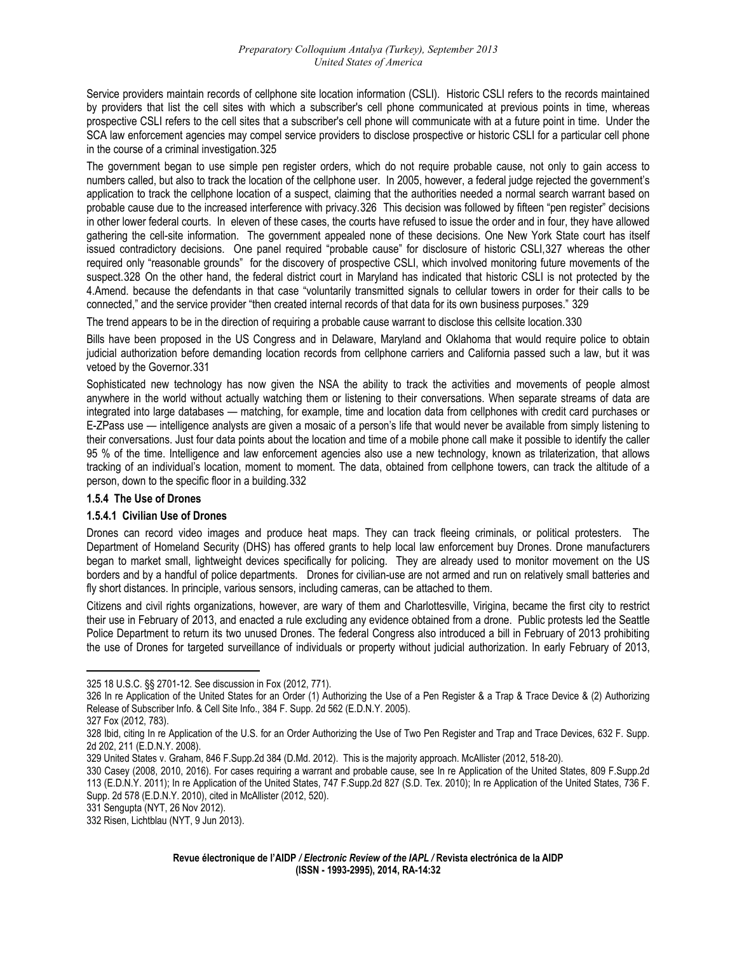Service providers maintain records of cellphone site location information (CSLI). Historic CSLI refers to the records maintained by providers that list the cell sites with which a subscriber's cell phone communicated at previous points in time, whereas prospective CSLI refers to the cell sites that a subscriber's cell phone will communicate with at a future point in time. Under the SCA law enforcement agencies may compel service providers to disclose prospective or historic CSLI for a particular cell phone in the course of a criminal investigation.[325](#page-31-0)

The government began to use simple pen register orders, which do not require probable cause, not only to gain access to numbers called, but also to track the location of the cellphone user. In 2005, however, a federal judge rejected the government's application to track the cellphone location of a suspect, claiming that the authorities needed a normal search warrant based on probable cause due to the increased interference with privacy.[326](#page-31-1) This decision was followed by fifteen "pen register" decisions in other lower federal courts. In eleven of these cases, the courts have refused to issue the order and in four, they have allowed gathering the cell-site information. The government appealed none of these decisions. One New York State court has itself issued contradictory decisions. One panel required "probable cause" for disclosure of historic CSLI,[327](#page-31-2) whereas the other required only "reasonable grounds" for the discovery of prospective CSLI, which involved monitoring future movements of the suspect.[328](#page-31-3) On the other hand, the federal district court in Maryland has indicated that historic CSLI is not protected by the 4.Amend. because the defendants in that case "voluntarily transmitted signals to cellular towers in order for their calls to be connected," and the service provider "then created internal records of that data for its own business purposes." [329](#page-31-4) 

The trend appears to be in the direction of requiring a probable cause warrant to disclose this cellsite location.[330](#page-31-5) 

Bills have been proposed in the US Congress and in Delaware, Maryland and Oklahoma that would require police to obtain judicial authorization before demanding location records from cellphone carriers and California passed such a law, but it was vetoed by the Governor.[331](#page-31-6) 

Sophisticated new technology has now given the NSA the ability to track the activities and movements of people almost anywhere in the world without actually watching them or listening to their conversations. When separate streams of data are integrated into large databases — matching, for example, time and location data from cellphones with credit card purchases or E-ZPass use — intelligence analysts are given a mosaic of a person's life that would never be available from simply listening to their conversations. Just four data points about the location and time of a mobile phone call make it possible to identify the caller 95 % of the time. Intelligence and law enforcement agencies also use a new technology, known as trilaterization, that allows tracking of an individual's location, moment to moment. The data, obtained from cellphone towers, can track the altitude of a person, down to the specific floor in a building.[332](#page-31-7)

### **1.5.4 The Use of Drones**

### **1.5.4.1 Civilian Use of Drones**

Drones can record video images and produce heat maps. They can track fleeing criminals, or political protesters. The Department of Homeland Security (DHS) has offered grants to help local law enforcement buy Drones. Drone manufacturers began to market small, lightweight devices specifically for policing. They are already used to monitor movement on the US borders and by a handful of police departments. Drones for civilian-use are not armed and run on relatively small batteries and fly short distances. In principle, various sensors, including cameras, can be attached to them.

Citizens and civil rights organizations, however, are wary of them and Charlottesville, Virigina, became the first city to restrict their use in February of 2013, and enacted a rule excluding any evidence obtained from a drone. Public protests led the Seattle Police Department to return its two unused Drones. The federal Congress also introduced a bill in February of 2013 prohibiting the use of Drones for targeted surveillance of individuals or property without judicial authorization. In early February of 2013,

 $\overline{a}$ 

<span id="page-31-6"></span>331 Sengupta (NYT, 26 Nov 2012).

<span id="page-31-0"></span><sup>325 18</sup> U.S.C. §§ 2701-12. See discussion in Fox (2012, 771).

<span id="page-31-1"></span><sup>326</sup> In re Application of the United States for an Order (1) Authorizing the Use of a Pen Register & a Trap & Trace Device & (2) Authorizing Release of Subscriber Info. & Cell Site Info., 384 F. Supp. 2d 562 (E.D.N.Y. 2005).

<span id="page-31-2"></span><sup>327</sup> Fox (2012, 783).

<span id="page-31-3"></span><sup>328</sup> Ibid, citing [In re Application of the U.S. for an Order Authorizing the Use of Two Pen Register and Trap and Trace Devices, 632 F. Supp.](http://web2.westlaw.com/find/default.wl?mt=208&db=4637&tc=-1&rp=%2ffind%2fdefault.wl&findtype=Y&ordoc=0373268800&serialnum=2017576131&vr=2.0&fn=_top&sv=Split&tf=-1&referencepositiontype=S&pbc=CEB49283&referenceposition=211&rs=WLW13.01)  [2d 202, 211 \(E.D.N.Y. 2008\)](http://web2.westlaw.com/find/default.wl?mt=208&db=4637&tc=-1&rp=%2ffind%2fdefault.wl&findtype=Y&ordoc=0373268800&serialnum=2017576131&vr=2.0&fn=_top&sv=Split&tf=-1&referencepositiontype=S&pbc=CEB49283&referenceposition=211&rs=WLW13.01).

<span id="page-31-4"></span><sup>329</sup> United States v. Graham, 846 F.Supp.2d 384 (D.Md. 2012). This is the majority approach. McAllister (2012, 518-20).

<span id="page-31-5"></span><sup>330</sup> Casey (2008, 2010, 2016). For cases requiring a warrant and probable cause, see [In re Application of the United States, 809 F.Supp.2d](http://web2.westlaw.com/find/default.wl?mt=208&db=4637&tc=-1&rp=%2ffind%2fdefault.wl&findtype=Y&ordoc=0374300370&serialnum=2025923082&vr=2.0&fn=_top&sv=Split&tf=-1&pbc=4F0F9738&rs=WLW13.01)  [113 \(E.D.N.Y. 2011\);](http://web2.westlaw.com/find/default.wl?mt=208&db=4637&tc=-1&rp=%2ffind%2fdefault.wl&findtype=Y&ordoc=0374300370&serialnum=2025923082&vr=2.0&fn=_top&sv=Split&tf=-1&pbc=4F0F9738&rs=WLW13.01) [In re Application of the United States, 747 F.Supp.2d 827 \(S.D. Tex. 2010\);](http://web2.westlaw.com/find/default.wl?mt=208&db=4637&tc=-1&rp=%2ffind%2fdefault.wl&findtype=Y&ordoc=0374300370&serialnum=2023571525&vr=2.0&fn=_top&sv=Split&tf=-1&pbc=4F0F9738&rs=WLW13.01) [In re Application of the United States, 736 F.](http://web2.westlaw.com/find/default.wl?mt=208&db=4637&tc=-1&rp=%2ffind%2fdefault.wl&findtype=Y&ordoc=0374300370&serialnum=2022926577&vr=2.0&fn=_top&sv=Split&tf=-1&pbc=4F0F9738&rs=WLW13.01)  [Supp. 2d 578 \(E.D.N.Y. 2010\),](http://web2.westlaw.com/find/default.wl?mt=208&db=4637&tc=-1&rp=%2ffind%2fdefault.wl&findtype=Y&ordoc=0374300370&serialnum=2022926577&vr=2.0&fn=_top&sv=Split&tf=-1&pbc=4F0F9738&rs=WLW13.01) cited in McAllister (2012, 520).

<span id="page-31-7"></span><sup>332</sup> Risen, Lichtblau (NYT, 9 Jun 2013).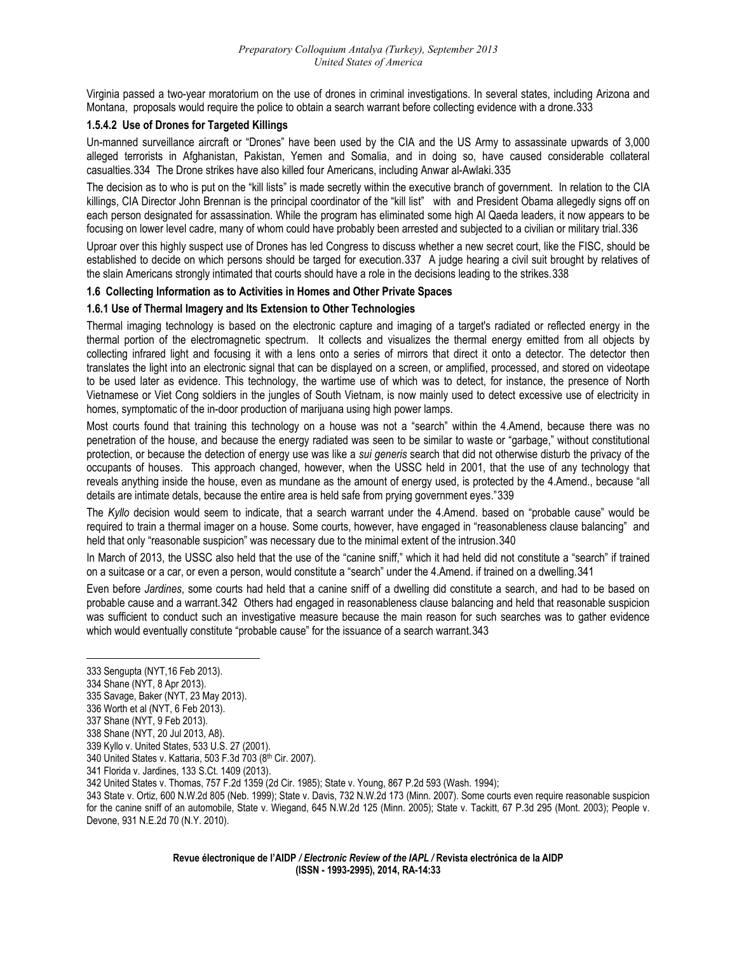Virginia passed a two-year moratorium on the use of drones in criminal investigations. In several states, including Arizona and Montana, proposals would require the police to obtain a search warrant before collecting evidence with a drone.[333](#page-32-0) 

### **1.5.4.2 Use of Drones for Targeted Killings**

Un-manned surveillance aircraft or "Drones" have been used by the CIA and the US Army to assassinate upwards of 3,000 alleged terrorists in Afghanistan, Pakistan, Yemen and Somalia, and in doing so, have caused considerable collateral casualties.[334](#page-32-1) The Drone strikes have also killed four Americans, including Anwar al-Awlaki.[335](#page-32-2) 

The decision as to who is put on the "kill lists" is made secretly within the executive branch of government. In relation to the CIA killings, CIA Director John Brennan is the principal coordinator of the "kill list" with and President Obama allegedly signs off on each person designated for assassination. While the program has eliminated some high Al Qaeda leaders, it now appears to be focusing on lower level cadre, many of whom could have probably been arrested and subjected to a civilian or military trial.[336](#page-32-3) 

Uproar over this highly suspect use of Drones has led Congress to discuss whether a new secret court, like the FISC, should be established to decide on which persons should be targed for execution.[337](#page-32-4) A judge hearing a civil suit brought by relatives of the slain Americans strongly intimated that courts should have a role in the decisions leading to the strikes.[338](#page-32-5) 

### **1.6 Collecting Information as to Activities in Homes and Other Private Spaces**

### **1.6.1 Use of Thermal Imagery and Its Extension to Other Technologies**

Thermal imaging technology is based on the electronic capture and imaging of a target's radiated or reflected energy in the thermal portion of the electromagnetic spectrum. It collects and visualizes the thermal energy emitted from all objects by collecting infrared light and focusing it with a lens onto a series of mirrors that direct it onto a detector. The detector then translates the light into an electronic signal that can be displayed on a screen, or amplified, processed, and stored on videotape to be used later as evidence. This technology, the wartime use of which was to detect, for instance, the presence of North Vietnamese or Viet Cong soldiers in the jungles of South Vietnam, is now mainly used to detect excessive use of electricity in homes, symptomatic of the in-door production of marijuana using high power lamps.

Most courts found that training this technology on a house was not a "search" within the 4.Amend, because there was no penetration of the house, and because the energy radiated was seen to be similar to waste or "garbage," without constitutional protection, or because the detection of energy use was like a *sui generis* search that did not otherwise disturb the privacy of the occupants of houses. This approach changed, however, when the USSC held in 2001, that the use of any technology that reveals anything inside the house, even as mundane as the amount of energy used, is protected by the 4.Amend., because "all details are intimate detals, because the entire area is held safe from prying government eyes."[339](#page-32-6) 

The *Kyllo* decision would seem to indicate, that a search warrant under the 4.Amend. based on "probable cause" would be required to train a thermal imager on a house. Some courts, however, have engaged in "reasonableness clause balancing" and held that only "reasonable suspicion" was necessary due to the minimal extent of the intrusion.340

In March of 2013, the USSC also held that the use of the "canine sniff," which it had held did not constitute a "search" if trained on a suitcase or a car, or even a person, would constitute a "search" under the 4.Amend. if trained on a dwelling.[341](#page-32-8)

Even before *Jardines*, some courts had held that a canine sniff of a dwelling did constitute a search, and had to be based on probable cause and a warrant.[342](#page-32-9) Others had engaged in reasonableness clause balancing and held that reasonable suspicion was sufficient to conduct such an investigative measure because the main reason for such searches was to gather evidence which would eventually constitute "probable cause" for the issuance of a search warrant.[343](#page-32-10) 

 $\overline{a}$ 

- <span id="page-32-2"></span>335 Savage, Baker (NYT, 23 May 2013).
- <span id="page-32-3"></span>336 Worth et al (NYT, 6 Feb 2013).
- <span id="page-32-4"></span>337 Shane (NYT, 9 Feb 2013).
- <span id="page-32-5"></span>338 Shane (NYT, 20 Jul 2013, A8).
- <span id="page-32-6"></span>339 Kyllo v. United States, 533 U.S. 27 (2001).
- <span id="page-32-7"></span>340 United States v. Kattaria, 503 F.3d 703 (8th Cir. 2007).

**Revue électronique de l'AIDP** */ Electronic Review of the IAPL /* **Revista electrónica de la AIDP (ISSN - 1993-2995), 2014, RA-14:33** 

<span id="page-32-0"></span><sup>333</sup> Sengupta (NYT,16 Feb 2013).

<span id="page-32-1"></span><sup>334</sup> Shane (NYT, 8 Apr 2013).

<span id="page-32-8"></span><sup>341</sup> Florida v. Jardines, 133 S.Ct. 1409 (2013).

<span id="page-32-9"></span><sup>342</sup> United States v. Thomas, 757 F.2d 1359 (2d Cir. 1985); State v. Young, 867 P.2d 593 (Wash. 1994);

<span id="page-32-10"></span><sup>343</sup> State v. Ortiz, 600 N.W.2d 805 (Neb. 1999); State v. Davis, 732 N.W.2d 173 (Minn. 2007). Some courts even require reasonable suspicion for the canine sniff of an automobile, State v. Wiegand, 645 N.W.2d 125 (Minn. 2005); State v. Tackitt, 67 P.3d 295 (Mont. 2003); People v. Devone, 931 N.E.2d 70 (N.Y. 2010).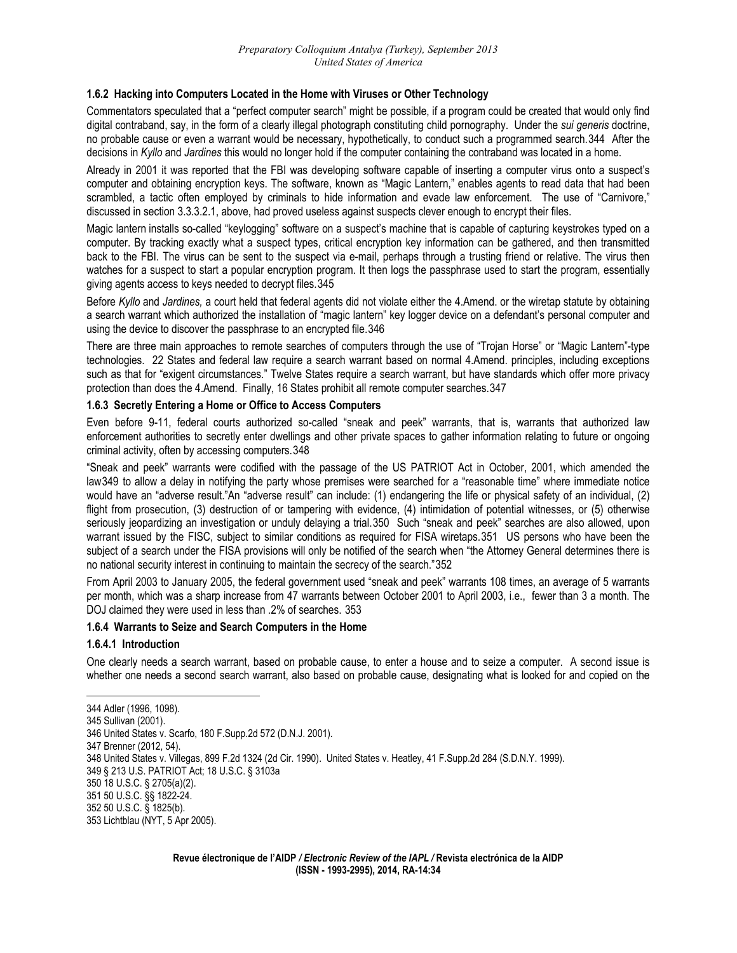### **1.6.2 Hacking into Computers Located in the Home with Viruses or Other Technology**

Commentators speculated that a "perfect computer search" might be possible, if a program could be created that would only find digital contraband, say, in the form of a clearly illegal photograph constituting child pornography. Under the *sui generis* doctrine, no probable cause or even a warrant would be necessary, hypothetically, to conduct such a programmed search.[344](#page-33-0) After the decisions in *Kyllo* and *Jardines* this would no longer hold if the computer containing the contraband was located in a home.

Already in 2001 it was reported that the FBI was developing software capable of inserting a computer virus onto a suspect's computer and obtaining encryption keys. The software, known as "Magic Lantern," enables agents to read data that had been scrambled, a tactic often employed by criminals to hide information and evade law enforcement. The use of "Carnivore," discussed in section 3.3.3.2.1, above, had proved useless against suspects clever enough to encrypt their files.

Magic lantern installs so-called "keylogging" software on a suspect's machine that is capable of capturing keystrokes typed on a computer. By tracking exactly what a suspect types, critical encryption key information can be gathered, and then transmitted back to the FBI. The virus can be sent to the suspect via e-mail, perhaps through a trusting friend or relative. The virus then watches for a suspect to start a popular encryption program. It then logs the passphrase used to start the program, essentially giving agents access to keys needed to decrypt files.[345](#page-33-1) 

Before *Kyllo* and *Jardines,* a court held that federal agents did not violate either the 4.Amend. or the wiretap statute by obtaining a search warrant which authorized the installation of "magic lantern" key logger device on a defendant's personal computer and using the device to discover the passphrase to an encrypted file.[346](#page-33-2) 

There are three main approaches to remote searches of computers through the use of "Trojan Horse" or "Magic Lantern"-type technologies. 22 States and federal law require a search warrant based on normal 4.Amend. principles, including exceptions such as that for "exigent circumstances." Twelve States require a search warrant, but have standards which offer more privacy protection than does the 4.Amend. Finally, 16 States prohibit all remote computer searches.[347](#page-33-3)

### **1.6.3 Secretly Entering a Home or Office to Access Computers**

Even before 9-11, federal courts authorized so-called "sneak and peek" warrants, that is, warrants that authorized law enforcement authorities to secretly enter dwellings and other private spaces to gather information relating to future or ongoing criminal activity, often by accessing computers.[348](#page-33-4)

"Sneak and peek" warrants were codified with the passage of the US PATRIOT Act in October, 2001, which amended the law[349](#page-33-5) to allow a delay in notifying the party whose premises were searched for a "reasonable time" where immediate notice would have an "adverse result."An "adverse result" can include: (1) endangering the life or physical safety of an individual, (2) flight from prosecution, (3) destruction of or tampering with evidence, (4) intimidation of potential witnesses, or (5) otherwise seriously jeopardizing an investigation or unduly delaying a trial.[350](#page-33-6) Such "sneak and peek" searches are also allowed, upon warrant issued by the FISC, subject to similar conditions as required for FISA wiretaps.[351](#page-33-7) US persons who have been the subject of a search under the FISA provisions will only be notified of the search when "the Attorney General determines there is no national security interest in continuing to maintain the secrecy of the search."[352](#page-33-8) 

From April 2003 to January 2005, the federal government used "sneak and peek" warrants 108 times, an average of 5 warrants per month, which was a sharp increase from 47 warrants between October 2001 to April 2003, i.e., fewer than 3 a month. The DOJ claimed they were used in less than .2% of searches. [353](#page-33-9) 

### **1.6.4 Warrants to Seize and Search Computers in the Home**

### **1.6.4.1 Introduction**

One clearly needs a search warrant, based on probable cause, to enter a house and to seize a computer. A second issue is whether one needs a second search warrant, also based on probable cause, designating what is looked for and copied on the

<span id="page-33-9"></span><span id="page-33-8"></span><span id="page-33-7"></span><span id="page-33-6"></span><span id="page-33-5"></span><span id="page-33-4"></span><span id="page-33-3"></span><span id="page-33-2"></span><span id="page-33-1"></span><span id="page-33-0"></span> $\overline{a}$ 344 Adler (1996, 1098). 345 Sullivan (2001). 346 United States v. Scarfo, 180 F.Supp.2d 572 (D.N.J. 2001). 347 Brenner (2012, 54). 348 United States v. Villegas, 899 F.2d 1324 (2d Cir. 1990). United States v. Heatley, 41 F.Supp.2d 284 (S.D.N.Y. 1999). 349 § 213 U.S. PATRIOT Act; 18 U.S.C. § 3103a 350 18 U.S.C. § 2705(a)(2). 351 50 U.S.C. §§ 1822-24. 352 50 U.S.C. § 1825(b). 353 Lichtblau (NYT, 5 Apr 2005).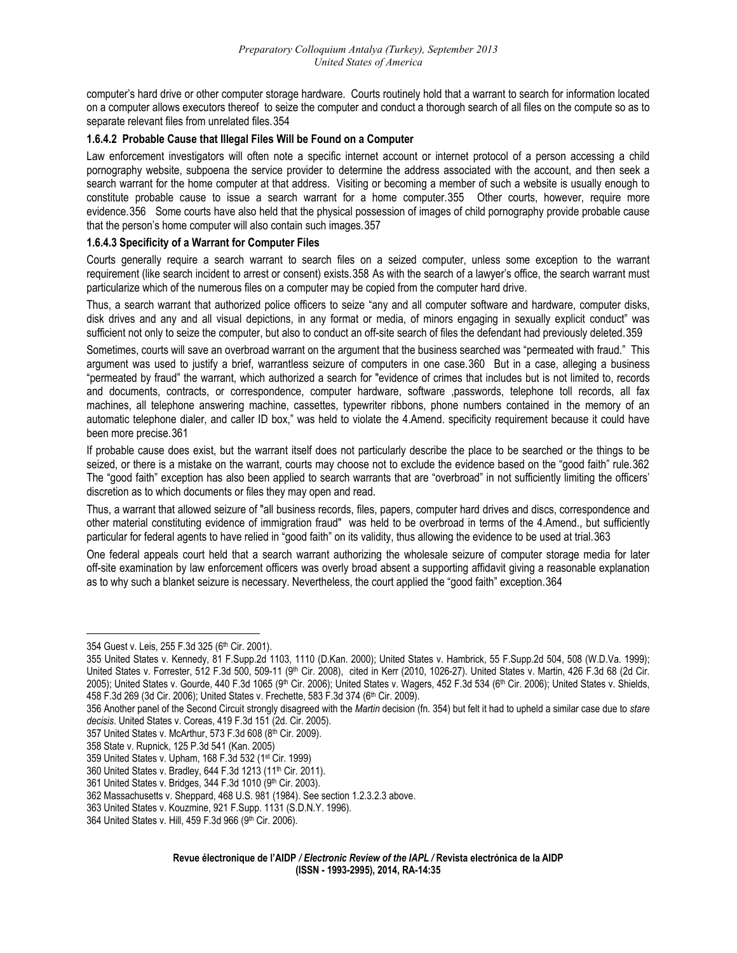computer's hard drive or other computer storage hardware. Courts routinely hold that a warrant to search for information located on a computer allows executors thereof to seize the computer and conduct a thorough search of all files on the compute so as to separate relevant files from unrelated files.[354](#page-34-0) 

### **1.6.4.2 Probable Cause that Illegal Files Will be Found on a Computer**

Law enforcement investigators will often note a specific internet account or internet protocol of a person accessing a child pornography website, subpoena the service provider to determine the address associated with the account, and then seek a search warrant for the home computer at that address. Visiting or becoming a member of such a website is usually enough to constitute probable cause to issue a search warrant for a home computer.[355](#page-34-1) Other courts, however, require more evidence.[356](#page-34-2) Some courts have also held that the physical possession of images of child pornography provide probable cause that the person's home computer will also contain such images.[357](#page-34-3)

#### **1.6.4.3 Specificity of a Warrant for Computer Files**

Courts generally require a search warrant to search files on a seized computer, unless some exception to the warrant requirement (like search incident to arrest or consent) exists.[358](#page-34-4) As with the search of a lawyer's office, the search warrant must particularize which of the numerous files on a computer may be copied from the computer hard drive.

Thus, a search warrant that authorized police officers to seize "any and all computer software and hardware, computer disks, disk drives and any and all visual depictions, in any format or media, of minors engaging in sexually explicit conduct" was sufficient not only to seize the computer, but also to conduct an off-site search of files the defendant had previously deleted.[359](#page-34-5)

Sometimes, courts will save an overbroad warrant on the argument that the business searched was "permeated with fraud." This argument was used to justify a brief, warrantless seizure of computers in one case.[360](#page-34-6) But in a case, alleging a business "permeated by fraud" the warrant, which authorized a search for "evidence of crimes that includes but is not limited to, records and documents, contracts, or correspondence, computer hardware, software ,passwords, telephone toll records, all fax machines, all telephone answering machine, cassettes, typewriter ribbons, phone numbers contained in the memory of an automatic telephone dialer, and caller ID box," was held to violate the 4.Amend. specificity requirement because it could have been more precise.[361](#page-34-7) 

If probable cause does exist, but the warrant itself does not particularly describe the place to be searched or the things to be seized, or there is a mistake on the warrant, courts may choose not to exclude the evidence based on the "good faith" rule.[362](#page-34-8) The "good faith" exception has also been applied to search warrants that are "overbroad" in not sufficiently limiting the officers' discretion as to which documents or files they may open and read.

Thus, a warrant that allowed seizure of "all business records, files, papers, computer hard drives and discs, correspondence and other material constituting evidence of immigration fraud" was held to be overbroad in terms of the 4.Amend., but sufficiently particular for federal agents to have relied in "good faith" on its validity, thus allowing the evidence to be used at trial.[363](#page-34-9)

One federal appeals court held that a search warrant authorizing the wholesale seizure of computer storage media for later off-site examination by law enforcement officers was overly broad absent a supporting affidavit giving a reasonable explanation as to why such a blanket seizure is necessary. Nevertheless, the court applied the "good faith" exception.[364](#page-34-10)

<span id="page-34-0"></span><sup>354</sup> Guest v. Leis, 255 F.3d 325 (6th Cir. 2001).

<span id="page-34-1"></span><sup>355</sup> United States v. Kennedy, 81 F.Supp.2d 1103, 1110 (D.Kan. 2000); United States v. Hambrick, 55 F.Supp.2d 504, 508 (W.D.Va. 1999); United States v. Forrester, 512 F.3d 500, 509-11 (9<sup>th</sup> Cir. 2008), cited in Kerr (2010, 1026-27). United States v. Martin, 426 F.3d 68 (2d Cir. 2005); United States v. Gourde, 440 F.3d 1065 (9<sup>th</sup> Cir. 2006); United States v. Wagers, 452 F.3d 534 (6<sup>th</sup> Cir. 2006); United States v. Shields, 458 F.3d 269 (3d Cir. 2006); United States v. Frechette, 583 F.3d 374 (6th Cir. 2009).

<span id="page-34-2"></span><sup>356</sup> Another panel of the Second Circuit strongly disagreed with the *Martin* decision (fn. 354) but felt it had to upheld a similar case due to *stare decisis*. United States v. Coreas, 419 F.3d 151 (2d. Cir. 2005).

<span id="page-34-3"></span><sup>357</sup> United States v. McArthur, 573 F.3d 608 (8th Cir. 2009).

<span id="page-34-4"></span><sup>358</sup> State v. Rupnick, 125 P.3d 541 (Kan. 2005)

<span id="page-34-5"></span><sup>359</sup> United States v. Upham, 168 F.3d 532 (1st Cir. 1999)

<span id="page-34-6"></span><sup>360</sup> United States v. Bradley, 644 F.3d 1213 (11th Cir. 2011).

<span id="page-34-7"></span><sup>361</sup> United States v. Bridges, 344 F.3d 1010 (9th Cir. 2003).

<span id="page-34-8"></span><sup>362</sup> Massachusetts v. Sheppard, 468 U.S. 981 (1984). See section 1.2.3.2.3 above.

<span id="page-34-9"></span><sup>363</sup> United States v. Kouzmine, 921 F.Supp. 1131 (S.D.N.Y. 1996).

<span id="page-34-10"></span><sup>364</sup> United States v. Hill, 459 F.3d 966 (9th Cir. 2006).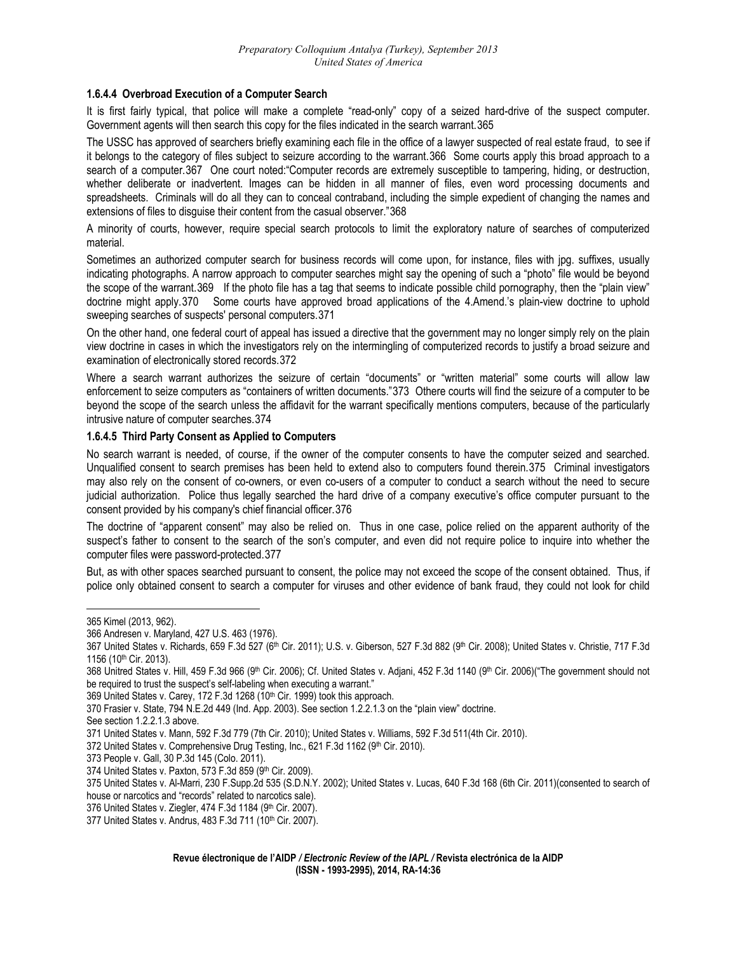### **1.6.4.4 Overbroad Execution of a Computer Search**

It is first fairly typical, that police will make a complete "read-only" copy of a seized hard-drive of the suspect computer. Government agents will then search this copy for the files indicated in the search warrant.[365](#page-35-0) 

The USSC has approved of searchers briefly examining each file in the office of a lawyer suspected of real estate fraud, to see if it belongs to the category of files subject to seizure according to the warrant.[366](#page-35-1) Some courts apply this broad approach to a search of a computer.[367](#page-35-2) One court noted:"Computer records are extremely susceptible to tampering, hiding, or destruction, whether deliberate or inadvertent. Images can be hidden in all manner of files, even word processing documents and spreadsheets. Criminals will do all they can to conceal contraband, including the simple expedient of changing the names and extensions of files to disguise their content from the casual observer."[368](#page-35-3)

A minority of courts, however, require special search protocols to limit the exploratory nature of searches of computerized material.

Sometimes an authorized computer search for business records will come upon, for instance, files with jpg. suffixes, usually indicating photographs. A narrow approach to computer searches might say the opening of such a "photo" file would be beyond the scope of the warrant.[369](#page-35-4) If the photo file has a tag that seems to indicate possible child pornography, then the "plain view" doctrine might apply.[370](#page-35-5) Some courts have approved broad applications of the 4.Amend.'s plain-view doctrine to uphold sweeping searches of suspects' personal computers.[371](#page-35-6)

On the other hand, one federal court of appeal has issued a directive that the government may no longer simply rely on the plain view doctrine in cases in which the investigators rely on the intermingling of computerized records to justify a broad seizure and examination of electronically stored records[.372](#page-35-7)

Where a search warrant authorizes the seizure of certain "documents" or "written material" some courts will allow law enforcement to seize computers as "containers of written documents."[373](#page-35-8) Othere courts will find the seizure of a computer to be beyond the scope of the search unless the affidavit for the warrant specifically mentions computers, because of the particularly intrusive nature of computer searches.[374](#page-35-9) 

#### **1.6.4.5 Third Party Consent as Applied to Computers**

No search warrant is needed, of course, if the owner of the computer consents to have the computer seized and searched. Unqualified consent to search premises has been held to extend also to computers found therein.[375](#page-35-10) Criminal investigators may also rely on the consent of co-owners, or even co-users of a computer to conduct a search without the need to secure judicial authorization. Police thus legally searched the hard drive of a company executive's office computer pursuant to the consent provided by his company's chief financial officer.[376](#page-35-11)

The doctrine of "apparent consent" may also be relied on. Thus in one case, police relied on the apparent authority of the suspect's father to consent to the search of the son's computer, and even did not require police to inquire into whether the computer files were password-protected.[377](#page-35-12)

But, as with other spaces searched pursuant to consent, the police may not exceed the scope of the consent obtained. Thus, if police only obtained consent to search a computer for viruses and other evidence of bank fraud, they could not look for child

 $\overline{a}$ 

<span id="page-35-8"></span>373 People v. Gall, 30 P.3d 145 (Colo. 2011).

<span id="page-35-0"></span><sup>365</sup> Kimel (2013, 962).

<span id="page-35-1"></span><sup>366</sup> Andresen v. Maryland, 427 U.S. 463 (1976).

<span id="page-35-2"></span><sup>367</sup> United States v. Richards, 659 F.3d 527 (6<sup>th</sup> Cir. 2011); U.S. v. Giberson, 527 F.3d 882 (9<sup>th</sup> Cir. 2008); United States v. Christie, 717 F.3d 1156 (10th Cir. 2013).

<span id="page-35-3"></span><sup>368</sup> Unitred States v. Hill, 459 F.3d 966 (9th Cir. 2006); Cf. United States v. Adjani, 452 F.3d 1140 (9th Cir. 2006)("The government should not be required to trust the suspect's self-labeling when executing a warrant."

<span id="page-35-4"></span><sup>369</sup> United States v. Carey, 172 F.3d 1268 (10th Cir. 1999) took this approach.

<span id="page-35-5"></span><sup>370</sup> Frasier v. State, 794 N.E.2d 449 (Ind. App. 2003). See section 1.2.2.1.3 on the "plain view" doctrine.

See section 1.2.2.1.3 above.

<span id="page-35-6"></span><sup>371</sup> United States v. Mann, 592 F.3d 779 (7th Cir. 2010); United States v. Williams, 592 F.3d 511(4th Cir. 2010).

<span id="page-35-7"></span><sup>372</sup> United States v. Comprehensive Drug Testing, Inc., 621 F.3d 1162 (9<sup>th</sup> Cir. 2010).

<span id="page-35-9"></span><sup>374</sup> United States v. Paxton, 573 F.3d 859 (9th Cir. 2009).

<span id="page-35-10"></span><sup>375</sup> United States v. Al-Marri, 230 F.Supp.2d 535 (S.D.N.Y. 2002); United States v. Lucas, 640 F.3d 168 (6th Cir. 2011)(consented to search of house or narcotics and "records" related to narcotics sale).

<span id="page-35-11"></span><sup>376</sup> United States v. Ziegler, 474 F.3d 1184 (9th Cir. 2007).

<span id="page-35-12"></span><sup>377</sup> United States v. Andrus, 483 F.3d 711 (10th Cir. 2007).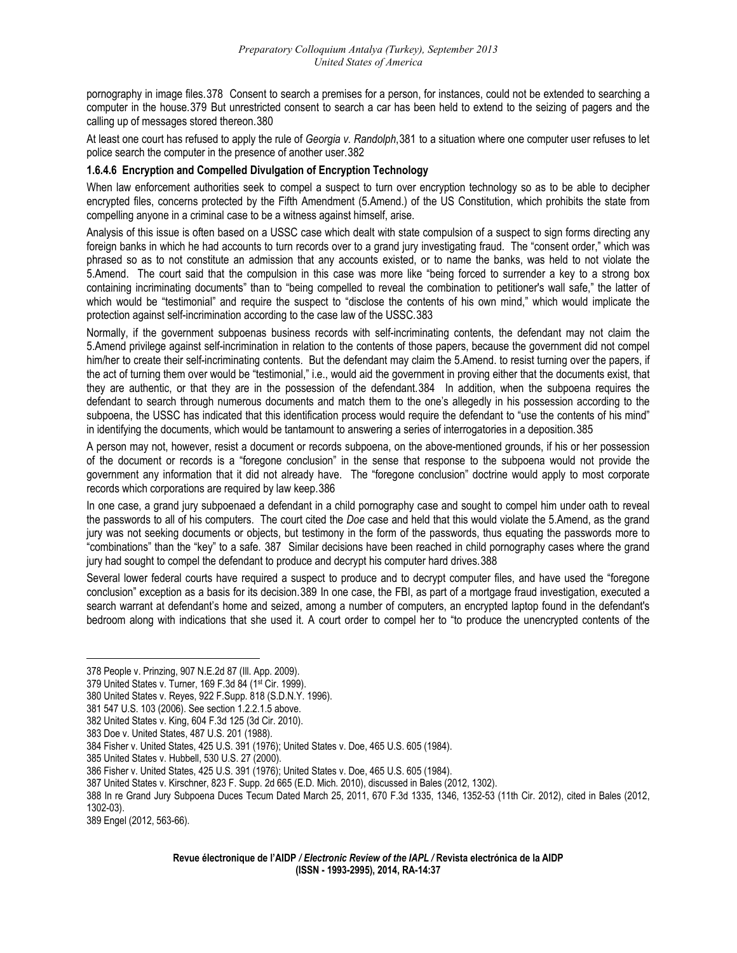pornography in image files.[378](#page-36-0) Consent to search a premises for a person, for instances, could not be extended to searching a computer in the house.[379](#page-36-1) But unrestricted consent to search a car has been held to extend to the seizing of pagers and the calling up of messages stored thereon.[380](#page-36-2) 

At least one court has refused to apply the rule of *Georgia v. Randolph*,[381](#page-36-3) to a situation where one computer user refuses to let police search the computer in the presence of another user.[382](#page-36-4) 

### **1.6.4.6 Encryption and Compelled Divulgation of Encryption Technology**

When law enforcement authorities seek to compel a suspect to turn over encryption technology so as to be able to decipher encrypted files, concerns protected by the Fifth Amendment (5.Amend.) of the US Constitution, which prohibits the state from compelling anyone in a criminal case to be a witness against himself, arise.

Analysis of this issue is often based on a USSC case which dealt with state compulsion of a suspect to sign forms directing any foreign banks in which he had accounts to turn records over to a grand jury investigating fraud. The "consent order," which was phrased so as to not constitute an admission that any accounts existed, or to name the banks, was held to not violate the 5.Amend. The court said that the compulsion in this case was more like "being forced to surrender a key to a strong box containing incriminating documents" than to "being compelled to reveal the combination to petitioner's wall safe," the latter of which would be "testimonial" and require the suspect to "disclose the contents of his own mind," which would implicate the protection against self-incrimination according to the case law of the USSC.[383](#page-36-5) 

Normally, if the government subpoenas business records with self-incriminating contents, the defendant may not claim the 5.Amend privilege against self-incrimination in relation to the contents of those papers, because the government did not compel him/her to create their self-incriminating contents. But the defendant may claim the 5.Amend. to resist turning over the papers, if the act of turning them over would be "testimonial," i.e., would aid the government in proving either that the documents exist, that they are authentic, or that they are in the possession of the defendant.[384](#page-36-6) In addition, when the subpoena requires the defendant to search through numerous documents and match them to the one's allegedly in his possession according to the subpoena, the USSC has indicated that this identification process would require the defendant to "use the contents of his mind" in identifying the documents, which would be tantamount to answering a series of interrogatories in a deposition.[385](#page-36-7) 

A person may not, however, resist a document or records subpoena, on the above-mentioned grounds, if his or her possession of the document or records is a "foregone conclusion" in the sense that response to the subpoena would not provide the government any information that it did not already have. The "foregone conclusion" doctrine would apply to most corporate records which corporations are required by law keep.[386](#page-36-8) 

In one case, a grand jury subpoenaed a defendant in a child pornography case and sought to compel him under oath to reveal the passwords to all of his computers. The court cited the *Doe* case and held that this would violate the 5.Amend, as the grand jury was not seeking documents or objects, but testimony in the form of the passwords, thus equating the passwords more to "combinations" than the "key" to a safe. [387](#page-36-9) Similar decisions have been reached in child pornography cases where the grand jury had sought to compel the defendant to produce and decrypt his computer hard drives.[388](#page-36-10) 

Several lower federal courts have required a suspect to produce and to decrypt computer files, and have used the "foregone" conclusion" exception as a basis for its decision.[389](#page-36-11) In one case, the FBI, as part of a mortgage fraud investigation, executed a search warrant at defendant's home and seized, among a number of computers, an encrypted laptop found in the defendant's bedroom along with indications that she used it. A court order to compel her to "to produce the unencrypted contents of the

<span id="page-36-11"></span>389 Engel (2012, 563-66).

<span id="page-36-0"></span><sup>378</sup> People v. Prinzing, 907 N.E.2d 87 (Ill. App. 2009).

<span id="page-36-1"></span><sup>379</sup> United States v. Turner, 169 F.3d 84 (1st Cir. 1999).

<span id="page-36-2"></span><sup>380</sup> United States v. Reyes, 922 F.Supp. 818 (S.D.N.Y. 1996).

<span id="page-36-3"></span><sup>381 547</sup> U.S. 103 (2006). See section 1.2.2.1.5 above.

<span id="page-36-4"></span><sup>382</sup> United States v. King, 604 F.3d 125 (3d Cir. 2010).

<span id="page-36-5"></span><sup>383</sup> Doe v. United States, 487 U.S. 201 (1988).

<span id="page-36-6"></span><sup>384</sup> Fisher v. United States, 425 U.S. 391 (1976); United States v. Doe, 465 U.S. 605 (1984).

<span id="page-36-7"></span><sup>385</sup> United States v. Hubbell, 530 U.S. 27 (2000).

<span id="page-36-8"></span><sup>386</sup> Fisher v. United States, 425 U.S. 391 (1976); United States v. Doe, 465 U.S. 605 (1984).

<span id="page-36-9"></span><sup>387</sup> United States v. Kirschner, [823 F. Supp. 2d 665 \(E.D. Mich. 2010\)](http://web2.westlaw.com/find/default.wl?mt=208&db=0004637&tc=-1&rp=%2ffind%2fdefault.wl&findtype=Y&ordoc=0379063173&serialnum=2021676206&vr=2.0&fn=_top&sv=Split&tf=-1&pbc=4D173ACF&rs=WLW13.01), discussed in Bales (2012, 1302).

<span id="page-36-10"></span><sup>388</sup> [In re Grand Jury Subpoena Duces Tecum Dated March 25, 2011, 670 F.3d 1335, 1346, 1352-53 \(11th Cir. 2012\)](http://web2.westlaw.com/find/default.wl?mt=208&db=0000506&tc=-1&rp=%2ffind%2fdefault.wl&findtype=Y&ordoc=0379063173&serialnum=2027190448&vr=2.0&fn=_top&sv=Split&tf=-1&pbc=4D173ACF&rs=WLW13.01), cited in Bales (2012, 1302-03).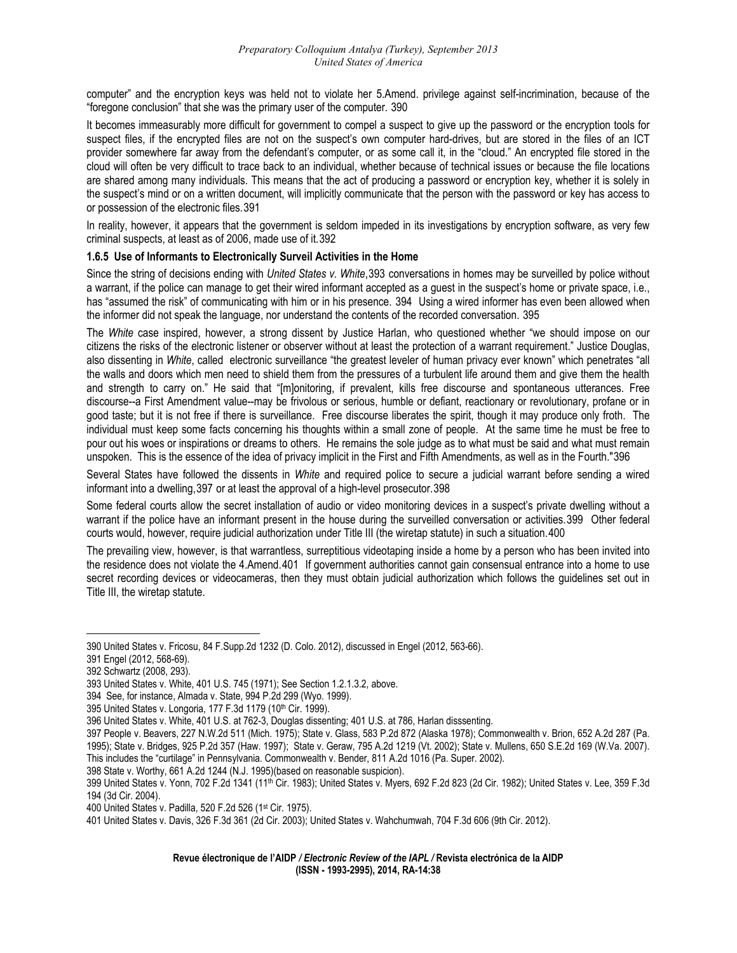computer" and the encryption keys was held not to violate her 5.Amend. privilege against self-incrimination, because of the "foregone conclusion" that she was the primary user of the computer. [390](#page-37-0) 

It becomes immeasurably more difficult for government to compel a suspect to give up the password or the encryption tools for suspect files, if the encrypted files are not on the suspect's own computer hard-drives, but are stored in the files of an ICT provider somewhere far away from the defendant's computer, or as some call it, in the "cloud." An encrypted file stored in the cloud will often be very difficult to trace back to an individual, whether because of technical issues or because the file locations are shared among many individuals. This means that the act of producing a password or encryption key, whether it is solely in the suspect's mind or on a written document, will implicitly communicate that the person with the password or key has access to or possession of the electronic files.[391](#page-37-1) 

In reality, however, it appears that the government is seldom impeded in its investigations by encryption software, as very few criminal suspects, at least as of 2006, made use of it.[392](#page-37-2) 

### **1.6.5 Use of Informants to Electronically Surveil Activities in the Home**

Since the string of decisions ending with *United States v. White*,[393](#page-37-3) conversations in homes may be surveilled by police without a warrant, if the police can manage to get their wired informant accepted as a guest in the suspect's home or private space, i.e., has "assumed the risk" of communicating with him or in his presence. [394](#page-37-4) Using a wired informer has even been allowed when the informer did not speak the language, nor understand the contents of the recorded conversation. [395](#page-37-5) 

The *White* case inspired, however, a strong dissent by Justice Harlan, who questioned whether "we should impose on our citizens the risks of the electronic listener or observer without at least the protection of a warrant requirement." Justice Douglas, also dissenting in *White*, called electronic surveillance "the greatest leveler of human privacy ever known" which penetrates "all the walls and doors which men need to shield them from the pressures of a turbulent life around them and give them the health and strength to carry on." He said that "[m]onitoring, if prevalent, kills free discourse and spontaneous utterances. Free discourse--a First Amendment value--may be frivolous or serious, humble or defiant, reactionary or revolutionary, profane or in good taste; but it is not free if there is surveillance. Free discourse liberates the spirit, though it may produce only froth. The individual must keep some facts concerning his thoughts within a small zone of people. At the same time he must be free to pour out his woes or inspirations or dreams to others. He remains the sole judge as to what must be said and what must remain unspoken. This is the essence of the idea of privacy implicit in the First and Fifth Amendments, as well as in the Fourth."[396](#page-37-6) 

Several States have followed the dissents in *White* and required police to secure a judicial warrant before sending a wired informant into a dwelling,[397](#page-37-7) or at least the approval of a high-level prosecutor.[398](#page-37-8)

Some federal courts allow the secret installation of audio or video monitoring devices in a suspect's private dwelling without a warrant if the police have an informant present in the house during the surveilled conversation or activities.[399](#page-37-9) Other federal courts would, however, require judicial authorization under Title III (the wiretap statute) in such a situation.[400](#page-37-10)

The prevailing view, however, is that warrantless, surreptitious videotaping inside a home by a person who has been invited into the residence does not violate the 4.Amend.[401](#page-37-11) If government authorities cannot gain consensual entrance into a home to use secret recording devices or videocameras, then they must obtain judicial authorization which follows the guidelines set out in Title III, the wiretap statute.

 $\overline{a}$ 

<span id="page-37-8"></span>398 State v. Worthy, 661 A.2d 1244 (N.J. 1995)(based on reasonable suspicion).

<span id="page-37-0"></span><sup>390</sup> United States v. Fricosu, 84 F.Supp.2d 1232 (D. Colo. 2012), discussed in Engel (2012, 563-66).

<span id="page-37-1"></span><sup>391</sup> Engel (2012, 568-69).

<span id="page-37-2"></span><sup>392</sup> Schwartz (2008, 293).

<span id="page-37-3"></span><sup>393</sup> United States v. White, 401 U.S. 745 (1971); See Section 1.2.1.3.2, above.

<span id="page-37-4"></span><sup>394</sup> See, for instance, Almada v. State, 994 P.2d 299 (Wyo. 1999).

<span id="page-37-5"></span><sup>395</sup> United States v. Longoria, 177 F.3d 1179 (10<sup>th</sup> Cir. 1999).

<span id="page-37-6"></span><sup>396</sup> United States v. White, 401 U.S. at 762-3, Douglas dissenting; 401 U.S. at 786, Harlan disssenting.

<span id="page-37-7"></span><sup>397</sup> People v. Beavers, 227 N.W.2d 511 (Mich. 1975); State v. Glass, 583 P.2d 872 (Alaska 1978); Commonwealth v. Brion, 652 A.2d 287 (Pa. 1995); State v. Bridges, 925 P.2d 357 (Haw. 1997); State v. Geraw, 795 A.2d 1219 (Vt. 2002); State v. Mullens, 650 S.E.2d 169 (W.Va. 2007). This includes the "curtilage" in Pennsylvania. Commonwealth v. Bender, 811 A.2d 1016 (Pa. Super. 2002).

<span id="page-37-9"></span><sup>399</sup> United States v. Yonn, 702 F.2d 1341 (11th Cir. 1983); United States v. Myers, 692 F.2d 823 (2d Cir. 1982); United States v. Lee, 359 F.3d 194 (3d Cir. 2004).

<span id="page-37-10"></span><sup>400</sup> United States v. Padilla, 520 F.2d 526 (1st Cir. 1975).

<span id="page-37-11"></span><sup>401</sup> United States v. Davis, 326 F.3d 361 (2d Cir. 2003); [United States v. Wahchumwah,](http://pub.bna.com/cl/11-30101.pdf) 704 F.3d 606 (9th Cir. 2012).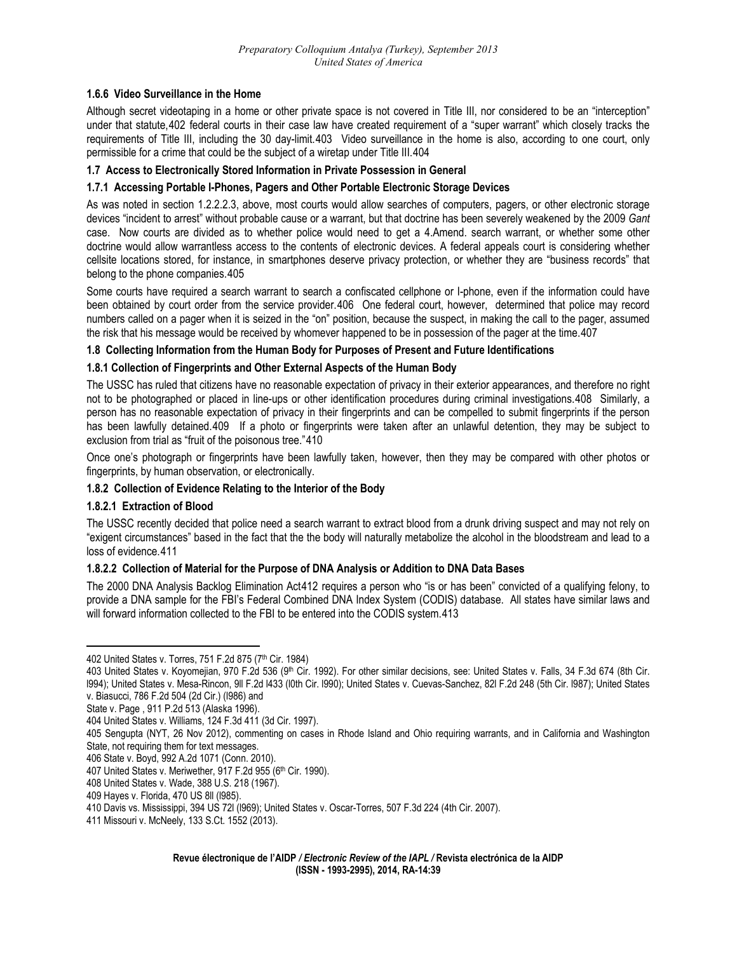### **1.6.6 Video Surveillance in the Home**

Although secret videotaping in a home or other private space is not covered in Title III, nor considered to be an "interception" under that statute,[402](#page-38-0) federal courts in their case law have created requirement of a "super warrant" which closely tracks the requirements of Title III, including the 30 day-limit.[403](#page-38-1) Video surveillance in the home is also, according to one court, only permissible for a crime that could be the subject of a wiretap under Title III.[404](#page-38-2)

## **1.7 Access to Electronically Stored Information in Private Possession in General**

## **1.7.1 Accessing Portable I-Phones, Pagers and Other Portable Electronic Storage Devices**

As was noted in section 1.2.2.2.3, above, most courts would allow searches of computers, pagers, or other electronic storage devices "incident to arrest" without probable cause or a warrant, but that doctrine has been severely weakened by the 2009 *Gant* case. Now courts are divided as to whether police would need to get a 4.Amend. search warrant, or whether some other doctrine would allow warrantless access to the contents of electronic devices. A federal appeals court is considering whether cellsite locations stored, for instance, in smartphones deserve privacy protection, or whether they are "business records" that belong to the phone companies.[405](#page-38-3)

Some courts have required a search warrant to search a confiscated cellphone or I-phone, even if the information could have been obtained by court order from the service provider.[406](#page-38-4) One federal court, however, determined that police may record numbers called on a pager when it is seized in the "on" position, because the suspect, in making the call to the pager, assumed the risk that his message would be received by whomever happened to be in possession of the pager at the time.[407](#page-38-5)

## **1.8 Collecting Information from the Human Body for Purposes of Present and Future Identifications**

## **1.8.1 Collection of Fingerprints and Other External Aspects of the Human Body**

The USSC has ruled that citizens have no reasonable expectation of privacy in their exterior appearances, and therefore no right not to be photographed or placed in line-ups or other identification procedures during criminal investigations.[408](#page-38-6) Similarly, a person has no reasonable expectation of privacy in their fingerprints and can be compelled to submit fingerprints if the person has been lawfully detained.[409](#page-38-7) If a photo or fingerprints were taken after an unlawful detention, they may be subject to exclusion from trial as "fruit of the poisonous tree."[410](#page-38-8) 

Once one's photograph or fingerprints have been lawfully taken, however, then they may be compared with other photos or fingerprints, by human observation, or electronically.

### **1.8.2 Collection of Evidence Relating to the Interior of the Body**

### **1.8.2.1 Extraction of Blood**

The USSC recently decided that police need a search warrant to extract blood from a drunk driving suspect and may not rely on "exigent circumstances" based in the fact that the the body will naturally metabolize the alcohol in the bloodstream and lead to a loss of evidence.[411](#page-38-9) 

### **1.8.2.2 Collection of Material for the Purpose of DNA Analysis or Addition to DNA Data Bases**

<span id="page-38-10"></span>The 2000 DNA Analysis Backlog Elimination Act[412](#page-38-10) requires a person who "is or has been" convicted of a qualifying felony, to provide a DNA sample for the FBI's Federal Combined DNA Index System (CODIS) database. All states have similar laws and will forward information collected to the FBI to be entered into the CODIS system.[413](#page-38-11)

State v. Page , 911 P.2d 513 (Alaska 1996).

<span id="page-38-11"></span> $\overline{a}$ 402 United States v. Torres, 751 F.2d 875 (7th Cir. 1984)

<span id="page-38-1"></span><span id="page-38-0"></span><sup>403</sup> United States v. Koyomejian, 970 F.2d 536 (9<sup>th</sup> Cir. 1992). For other similar decisions, see: United States v. Falls, 34 F.3d 674 (8th Cir. l994); United States v. Mesa-Rincon, 9ll F.2d l433 (l0th Cir. l990); United States v. Cuevas-Sanchez, 82l F.2d 248 (5th Cir. l987); United States v. Biasucci, 786 F.2d 504 (2d Cir.) (l986) and

<span id="page-38-2"></span><sup>404</sup> United States v. Williams, 124 F.3d 411 (3d Cir. 1997).

<span id="page-38-3"></span><sup>405</sup> Sengupta (NYT, 26 Nov 2012), commenting on cases in Rhode Island and Ohio requiring warrants, and in California and Washington State, not requiring them for text messages.

<span id="page-38-4"></span><sup>406</sup> State v. Boyd, 992 A.2d 1071 (Conn. 2010).

<span id="page-38-5"></span><sup>407</sup> United States v. Meriwether, 917 F.2d 955 (6th Cir. 1990).

<span id="page-38-6"></span><sup>408</sup> United States v. Wade, 388 U.S. 218 (1967).

<span id="page-38-7"></span><sup>409</sup> Hayes v. Florida, 470 US 8ll (l985).

<span id="page-38-8"></span><sup>410</sup> Davis vs. Mississippi, 394 US 72l (l969); United States v. Oscar-Torres, 507 F.3d 224 (4th Cir. 2007).

<span id="page-38-9"></span><sup>411</sup> Missouri v. McNeely, 133 S.Ct. 1552 (2013).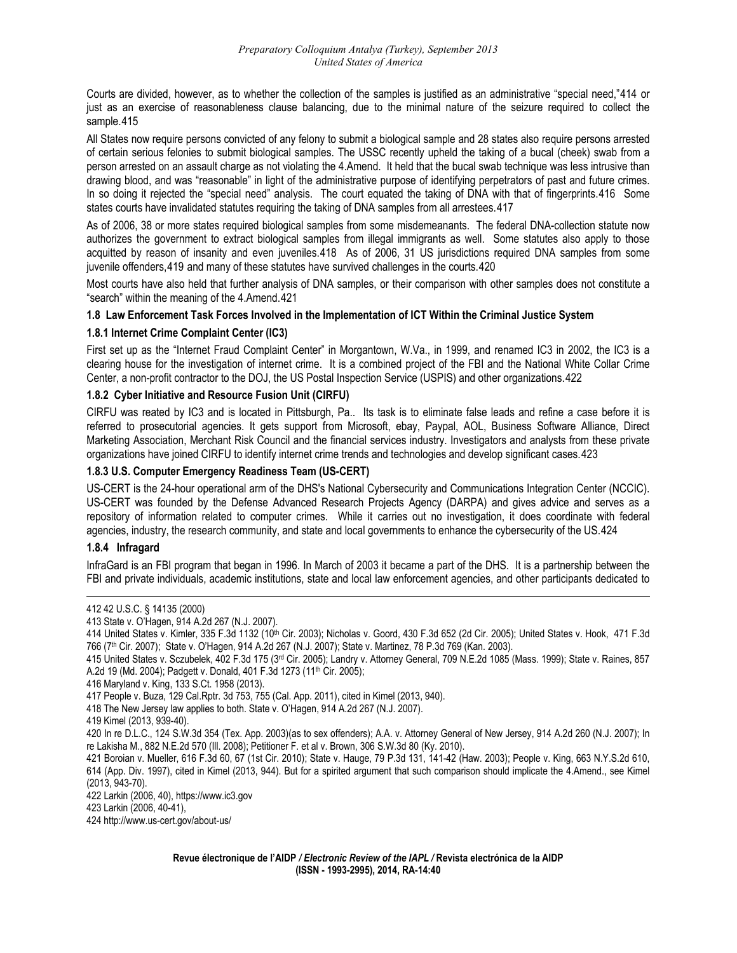Courts are divided, however, as to whether the collection of the samples is justified as an administrative "special need,"[414](#page-39-0) or just as an exercise of reasonableness clause balancing, due to the minimal nature of the seizure required to collect the sample.[415](#page-39-1)

All States now require persons convicted of any felony to submit a biological sample and 28 states also require persons arrested of certain serious felonies to submit biological samples. The USSC recently upheld the taking of a bucal (cheek) swab from a person arrested on an assault charge as not violating the 4.Amend. It held that the bucal swab technique was less intrusive than drawing blood, and was "reasonable" in light of the administrative purpose of identifying perpetrators of past and future crimes. In so doing it rejected the "special need" analysis. The court equated the taking of DNA with that of fingerprints.[416](#page-39-2) Some states courts have invalidated statutes requiring the taking of DNA samples from all arrestees.[417](#page-39-3) 

As of 2006, 38 or more states required biological samples from some misdemeanants. The federal DNA-collection statute now authorizes the government to extract biological samples from illegal immigrants as well. Some statutes also apply to those acquitted by reason of insanity and even juveniles.[418](#page-39-4) As of 2006, 31 US jurisdictions required DNA samples from some juvenile offenders,[419](#page-39-5) and many of these statutes have survived challenges in the courts.[420](#page-39-6)

Most courts have also held that further analysis of DNA samples, or their comparison with other samples does not constitute a "search" within the meaning of the 4.Amend.[421](#page-39-7) 

## **1.8 Law Enforcement Task Forces Involved in the Implementation of ICT Within the Criminal Justice System**

## **1.8.1 Internet Crime Complaint Center (IC3)**

First set up as the "Internet Fraud Complaint Center" in Morgantown, W.Va., in 1999, and renamed IC3 in 2002, the IC3 is a clearing house for the investigation of internet crime. It is a combined project of the FBI and the National White Collar Crime Center, a non-profit contractor to the DOJ, the US Postal Inspection Service (USPIS) and other organizations.[422](#page-39-8)

## **1.8.2 Cyber Initiative and Resource Fusion Unit (CIRFU)**

CIRFU was reated by IC3 and is located in Pittsburgh, Pa.. Its task is to eliminate false leads and refine a case before it is referred to prosecutorial agencies. It gets support from Microsoft, ebay, Paypal, AOL, Business Software Alliance, Direct Marketing Association, Merchant Risk Council and the financial services industry. Investigators and analysts from these private organizations have joined CIRFU to identify internet crime trends and technologies and develop significant cases.[423](#page-39-9)

### **1.8.3 U.S. Computer Emergency Readiness Team (US-CERT)**

US-CERT is the 24-hour operational arm of the DHS's National Cybersecurity and Communications Integration Center (NCCIC). US-CERT was founded by the Defense Advanced Research Projects Agency (DARPA) and gives advice and serves as a repository of information related to computer crimes. While it carries out no investigation, it does coordinate with federal agencies, industry, the research community, and state and local governments to enhance the cybersecurity of the US.[424](#page-39-10)

### **1.8.4 Infragard**

 $\overline{a}$ 

InfraGard is an FBI program that began in 1996. In March of 2003 it became a part of the DHS. It is a partnership between the FBI and private individuals, academic institutions, state and local law enforcement agencies, and other participants dedicated to

<span id="page-39-5"></span>419 Kimel (2013, 939-40).

<sup>412 42</sup> U.S.C. § 14135 (2000)

<sup>413</sup> State v. O'Hagen, 914 A.2d 267 (N.J. 2007).

<span id="page-39-0"></span><sup>414</sup> United States v. Kimler, 335 F.3d 1132 (10th Cir. 2003); Nicholas v. Goord, 430 F.3d 652 (2d Cir. 2005); United States v. Hook, 471 F.3d 766 (7th Cir. 2007); State v. O'Hagen, 914 A.2d 267 (N.J. 2007); State v. Martinez, 78 P.3d 769 (Kan. 2003).

<span id="page-39-1"></span><sup>415</sup> United States v. Sczubelek, 402 F.3d 175 (3rd Cir. 2005); Landry v. Attorney General, 709 N.E.2d 1085 (Mass. 1999); State v. Raines, 857 A.2d 19 (Md. 2004); Padgett v. Donald, 401 F.3d 1273 (11<sup>th</sup> Cir. 2005);

<span id="page-39-2"></span><sup>416</sup> Maryland v. King, 133 S.Ct. 1958 (2013).

<span id="page-39-3"></span><sup>417</sup> People v. Buza, 129 Cal.Rptr. 3d 753, 755 (Cal. App. 2011), cited in Kimel (2013, 940).

<span id="page-39-4"></span><sup>418</sup> The New Jersey law applies to both. State v. O'Hagen, 914 A.2d 267 (N.J. 2007).

<span id="page-39-6"></span><sup>420</sup> In re D.L.C., 124 S.W.3d 354 (Tex. App. 2003)(as to sex offenders); A.A. v. Attorney General of New Jersey, 914 A.2d 260 (N.J. 2007); In re Lakisha M., 882 N.E.2d 570 (Ill. 2008); Petitioner F. et al v. Brown, 306 S.W.3d 80 (Ky. 2010).

<span id="page-39-7"></span><sup>421</sup> [Boroian v. Mueller, 616 F.3d 60, 67 \(1st Cir. 2010\)](http://web2.westlaw.com/find/default.wl?mt=208&db=0000506&tc=-1&rp=%2ffind%2fdefault.wl&findtype=Y&ordoc=0379546582&serialnum=2022750225&vr=2.0&fn=_top&sv=Split&tf=-1&referencepositiontype=S&pbc=E4E9F9DB&referenceposition=67&rs=WLW13.01); [State v. Hauge, 79 P.3d 131, 141-42 \(Haw. 2003\);](http://web2.westlaw.com/find/default.wl?mt=208&db=0004645&tc=-1&rp=%2ffind%2fdefault.wl&findtype=Y&ordoc=0379546582&serialnum=2003850085&vr=2.0&fn=_top&sv=Split&tf=-1&referencepositiontype=S&pbc=E4E9F9DB&referenceposition=141&rs=WLW13.01) [People v. King, 663 N.Y.S.2d 610,](http://web2.westlaw.com/find/default.wl?mt=208&db=0000602&tc=-1&rp=%2ffind%2fdefault.wl&findtype=Y&ordoc=0379546582&serialnum=1997204933&vr=2.0&fn=_top&sv=Split&tf=-1&referencepositiontype=S&pbc=E4E9F9DB&referenceposition=614&rs=WLW13.01)  [614 \(App. Div. 1997\)](http://web2.westlaw.com/find/default.wl?mt=208&db=0000602&tc=-1&rp=%2ffind%2fdefault.wl&findtype=Y&ordoc=0379546582&serialnum=1997204933&vr=2.0&fn=_top&sv=Split&tf=-1&referencepositiontype=S&pbc=E4E9F9DB&referenceposition=614&rs=WLW13.01), cited in Kimel (2013, 944). But for a spirited argument that such comparison should implicate the 4.Amend., see Kimel (2013, 943-70).

<span id="page-39-8"></span><sup>422</sup> Larkin (2006, 40), https://www.ic3.gov

<span id="page-39-9"></span><sup>423</sup> Larkin (2006, 40-41),

<span id="page-39-10"></span><sup>424</sup><http://www.us-cert.gov/about-us/>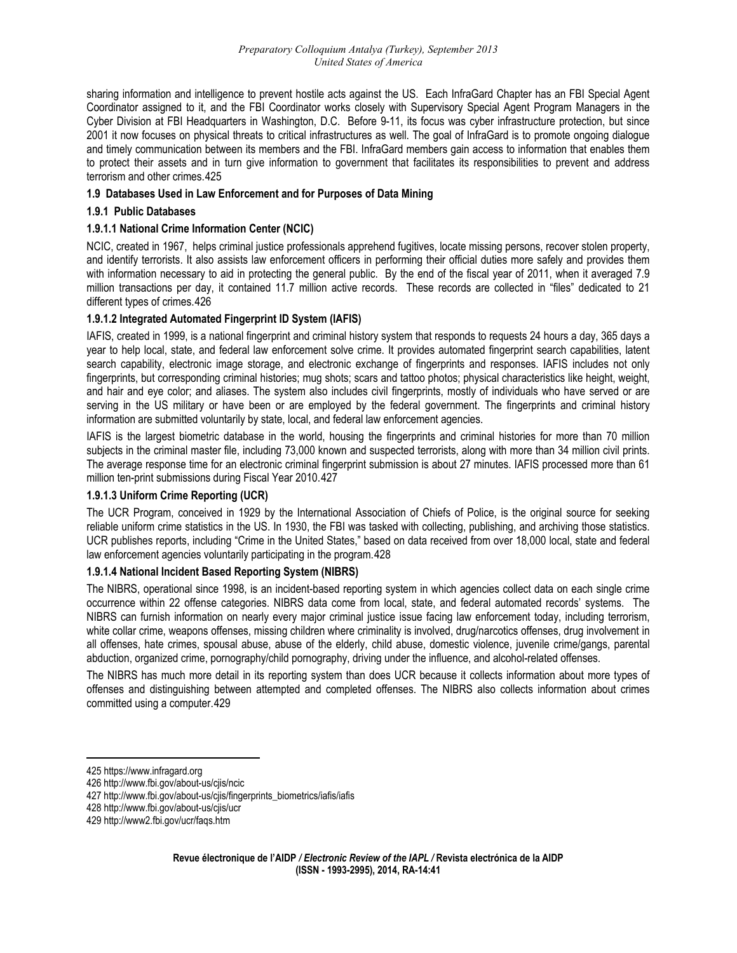sharing information and intelligence to prevent hostile acts against the US. Each InfraGard Chapter has an FBI Special Agent Coordinator assigned to it, and the FBI Coordinator works closely with Supervisory Special Agent Program Managers in the Cyber Division at FBI Headquarters in Washington, D.C. Before 9-11, its focus was cyber infrastructure protection, but since 2001 it now focuses on physical threats to critical infrastructures as well. The goal of InfraGard is to promote ongoing dialogue and timely communication between its members and the FBI. InfraGard members gain access to information that enables them to protect their assets and in turn give information to government that facilitates its responsibilities to prevent and address terrorism and other crimes.[425](#page-40-0) 

## **1.9 Databases Used in Law Enforcement and for Purposes of Data Mining**

### **1.9.1 Public Databases**

# **1.9.1.1 National Crime Information Center (NCIC)**

NCIC, created in 1967, helps criminal justice professionals apprehend fugitives, locate missing persons, recover stolen property, and identify terrorists. It also assists law enforcement officers in performing their official duties more safely and provides them with information necessary to aid in protecting the general public. By the end of the fiscal year of 2011, when it averaged 7.9 million transactions per day, it contained 11.7 million active records. These records are collected in "files" dedicated to 21 different types of crimes.[426](#page-40-1) 

## **1.9.1.2 Integrated Automated Fingerprint ID System (IAFIS)**

IAFIS, created in 1999, is a national fingerprint and criminal history system that responds to requests 24 hours a day, 365 days a year to help local, state, and federal law enforcement solve crime. It provides automated fingerprint search capabilities, latent search capability, electronic image storage, and electronic exchange of fingerprints and responses. IAFIS includes not only fingerprints, but corresponding criminal histories; mug shots; scars and tattoo photos; physical characteristics like height, weight, and hair and eye color; and aliases. The system also includes civil fingerprints, mostly of individuals who have served or are serving in the US military or have been or are employed by the federal government. The fingerprints and criminal history information are submitted voluntarily by state, local, and federal law enforcement agencies.

IAFIS is the largest biometric database in the world, housing the fingerprints and criminal histories for more than 70 million subjects in the criminal master file, including 73,000 known and suspected terrorists, along with more than 34 million civil prints. The average response time for an electronic criminal fingerprint submission is about 27 minutes. IAFIS processed more than 61 million ten-print submissions during Fiscal Year 2010.[427](#page-40-2) 

### **1.9.1.3 Uniform Crime Reporting (UCR)**

The UCR Program, conceived in 1929 by the International Association of Chiefs of Police, is the original source for seeking reliable uniform crime statistics in the US. In 1930, the FBI was tasked with collecting, publishing, and archiving those statistics. UCR publishes reports, including "Crime in the United States," based on data received from over 18,000 local, state and federal law enforcement agencies voluntarily participating in the program.[428](#page-40-3)

### **1.9.1.4 National Incident Based Reporting System (NIBRS)**

The NIBRS, operational since 1998, is an incident-based reporting system in which agencies collect data on each single crime occurrence within 22 offense categories. NIBRS data come from local, state, and federal automated records' systems. The NIBRS can furnish information on nearly every major criminal justice issue facing law enforcement today, including terrorism, white collar crime, weapons offenses, missing children where criminality is involved, drug/narcotics offenses, drug involvement in all offenses, hate crimes, spousal abuse, abuse of the elderly, child abuse, domestic violence, juvenile crime/gangs, parental abduction, organized crime, pornography/child pornography, driving under the influence, and alcohol-related offenses.

The NIBRS has much more detail in its reporting system than does UCR because it collects information about more types of offenses and distinguishing between attempted and completed offenses. The NIBRS also collects information about crimes committed using a computer.[429](#page-40-4)

<span id="page-40-0"></span><sup>425</sup> https://www.infragard.org

<span id="page-40-1"></span><sup>426</sup><http://www.fbi.gov/about-us/cjis/ncic>

<span id="page-40-2"></span><sup>427</sup> http://www.fbi.gov/about-us/cjis/fingerprints\_biometrics/iafis/iafis

<span id="page-40-3"></span><sup>428</sup> http://www.fbi.gov/about-us/cjis/ucr

<span id="page-40-4"></span><sup>429</sup> http://www2.fbi.gov/ucr/faqs.htm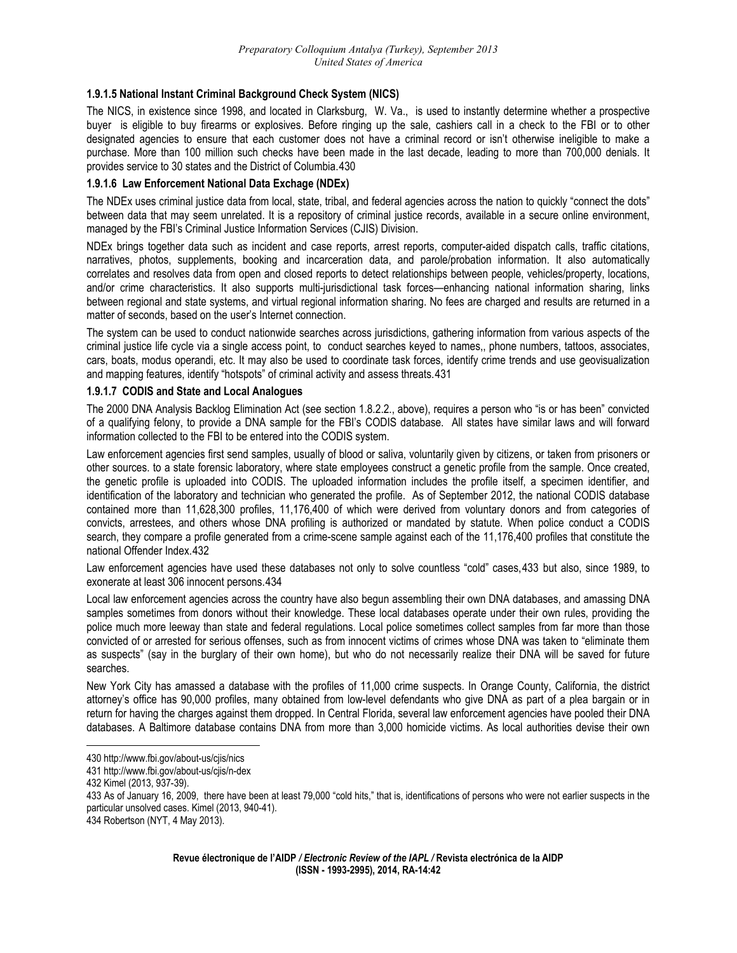### **1.9.1.5 National Instant Criminal Background Check System (NICS)**

The NICS, in existence since 1998, and located in Clarksburg, W. Va., is used to instantly determine whether a prospective buyer is eligible to buy firearms or explosives. Before ringing up the sale, cashiers call in a check to the FBI or to other designated agencies to ensure that each customer does not have a criminal record or isn't otherwise ineligible to make a purchase. More than 100 million such checks have been made in the last decade, leading to more than 700,000 denials. It provides service to 30 states and the District of Columbia.[430](#page-41-0) 

### **1.9.1.6 Law Enforcement National Data Exchage (NDEx)**

The NDEx uses criminal justice data from local, state, tribal, and federal agencies across the nation to quickly "connect the dots" between data that may seem unrelated. It is a repository of criminal justice records, available in a secure online environment, managed by the FBI's Criminal Justice Information Services (CJIS) Division.

NDEx brings together data such as incident and case reports, arrest reports, computer-aided dispatch calls, traffic citations, narratives, photos, supplements, booking and incarceration data, and parole/probation information. It also automatically correlates and resolves data from open and closed reports to detect relationships between people, vehicles/property, locations, and/or crime characteristics. It also supports multi-jurisdictional task forces—enhancing national information sharing, links between regional and state systems, and virtual regional information sharing. No fees are charged and results are returned in a matter of seconds, based on the user's Internet connection.

The system can be used to conduct nationwide searches across jurisdictions, gathering information from various aspects of the criminal justice life cycle via a single access point, to conduct searches keyed to names,, phone numbers, tattoos, associates, cars, boats, modus operandi, etc. It may also be used to coordinate task forces, identify crime trends and use geovisualization and mapping features, identify "hotspots" of criminal activity and assess threats.[431](#page-41-1)

### **1.9.1.7 CODIS and State and Local Analogues**

The 2000 DNA Analysis Backlog Elimination Act (see section 1.8.2.2., above), requires a person who "is or has been" convicted of a qualifying felony, to provide a DNA sample for the FBI's CODIS database. All states have similar laws and will forward information collected to the FBI to be entered into the CODIS system.

Law enforcement agencies first send samples, usually of blood or saliva, voluntarily given by citizens, or taken from prisoners or other sources. to a state forensic laboratory, where state employees construct a genetic profile from the sample. Once created, the genetic profile is uploaded into CODIS. The uploaded information includes the profile itself, a specimen identifier, and identification of the laboratory and technician who generated the profile. As of September 2012, the national CODIS database contained more than 11,628,300 profiles, 11,176,400 of which were derived from voluntary donors and from categories of convicts, arrestees, and others whose DNA profiling is authorized or mandated by statute. When police conduct a CODIS search, they compare a profile generated from a crime-scene sample against each of the 11,176,400 profiles that constitute the national Offender Index.[432](#page-41-2) 

Law enforcement agencies have used these databases not only to solve countless "cold" cases, [433](#page-41-3) but also, since 1989, to exonerate at least 306 innocent persons.[434](#page-41-4) 

Local law enforcement agencies across the country have also begun assembling their own DNA databases, and amassing DNA samples sometimes from donors without their knowledge. These local databases operate under their own rules, providing the police much more leeway than state and federal regulations. Local police sometimes collect samples from far more than those convicted of or arrested for serious offenses, such as from innocent victims of crimes whose DNA was taken to "eliminate them as suspects" (say in the burglary of their own home), but who do not necessarily realize their DNA will be saved for future searches.

New York City has amassed a database with the profiles of 11,000 crime suspects. In Orange County, California, the district attorney's office has 90,000 profiles, many obtained from low-level defendants who give DNA as part of a plea bargain or in return for having the charges against them dropped. In Central Florida, several law enforcement agencies have pooled their DNA databases. A Baltimore database contains DNA from more than 3,000 homicide victims. As local authorities devise their own

<span id="page-41-0"></span><sup>430</sup><http://www.fbi.gov/about-us/cjis/nics>

<span id="page-41-1"></span><sup>431</sup><http://www.fbi.gov/about-us/cjis/n-dex>

<span id="page-41-2"></span><sup>432</sup> Kimel (2013, 937-39).

<span id="page-41-3"></span><sup>433</sup> As of January 16, 2009, there have been at least 79,000 "cold hits," that is, identifications of persons who were not earlier suspects in the particular unsolved cases. Kimel (2013, 940-41).

<span id="page-41-4"></span><sup>434</sup> Robertson (NYT, 4 May 2013).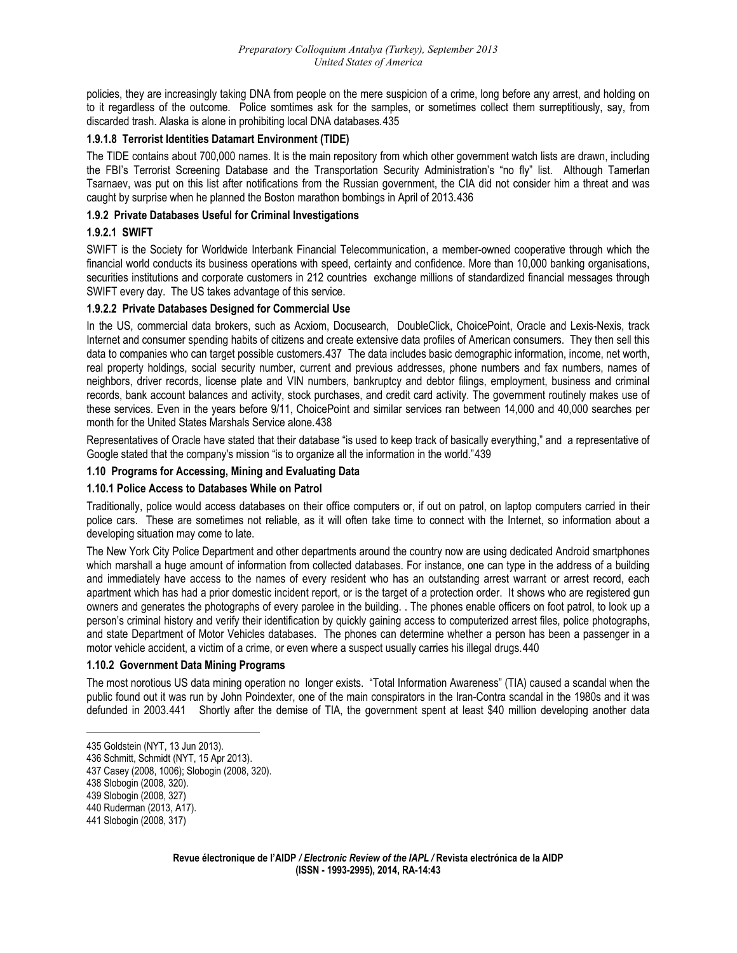policies, they are increasingly taking DNA from people on the mere suspicion of a crime, long before any arrest, and holding on to it regardless of the outcome. Police somtimes ask for the samples, or sometimes collect them surreptitiously, say, from discarded trash. Alaska is alone in prohibiting local DNA databases.[435](#page-42-0) 

## **1.9.1.8 Terrorist Identities Datamart Environment (TIDE)**

The TIDE contains about 700,000 names. It is the main repository from which other government watch lists are drawn, including the FBI's Terrorist Screening Database and the Transportation Security Administration's "no fly" list. Although Tamerlan Tsarnaev, was put on this list after notifications from the Russian government, the CIA did not consider him a threat and was caught by surprise when he planned the Boston marathon bombings in April of 2013.[436](#page-42-1) 

# **1.9.2 Private Databases Useful for Criminal Investigations**

# **1.9.2.1 SWIFT**

SWIFT is the Society for Worldwide Interbank Financial Telecommunication, a member-owned cooperative through which the financial world conducts its business operations with speed, certainty and confidence. More than 10,000 banking organisations, securities institutions and corporate customers in 212 countries exchange millions of standardized financial messages through SWIFT every day. The US takes advantage of this service.

## **1.9.2.2 Private Databases Designed for Commercial Use**

In the US, commercial data brokers, such as Acxiom, Docusearch, DoubleClick, ChoicePoint, Oracle and Lexis-Nexis, track Internet and consumer spending habits of citizens and create extensive data profiles of American consumers. They then sell this data to companies who can target possible customers.[437](#page-42-2) The data includes basic demographic information, income, net worth, real property holdings, social security number, current and previous addresses, phone numbers and fax numbers, names of neighbors, driver records, license plate and VIN numbers, bankruptcy and debtor filings, employment, business and criminal records, bank account balances and activity, stock purchases, and credit card activity. The government routinely makes use of these services. Even in the years before 9/11, ChoicePoint and similar services ran between 14,000 and 40,000 searches per month for the United States Marshals Service alone.[438](#page-42-3) 

Representatives of Oracle have stated that their database "is used to keep track of basically everything," and a representative of Google stated that the company's mission "is to organize all the information in the world."[439](#page-42-4)

### **1.10 Programs for Accessing, Mining and Evaluating Data**

### **1.10.1 Police Access to Databases While on Patrol**

Traditionally, police would access databases on their office computers or, if out on patrol, on laptop computers carried in their police cars. These are sometimes not reliable, as it will often take time to connect with the Internet, so information about a developing situation may come to late.

The New York City Police Department and other departments around the country now are using dedicated Android smartphones which marshall a huge amount of information from collected databases. For instance, one can type in the address of a building and immediately have access to the names of every resident who has an outstanding arrest warrant or arrest record, each apartment which has had a prior domestic incident report, or is the target of a protection order. It shows who are registered gun owners and generates the photographs of every parolee in the building. . The phones enable officers on foot patrol, to look up a person's criminal history and verify their identification by quickly gaining access to computerized arrest files, police photographs, and state Department of Motor Vehicles databases. The phones can determine whether a person has been a passenger in a motor vehicle accident, a victim of a crime, or even where a suspect usually carries his illegal drugs.[440](#page-42-5)

### **1.10.2 Government Data Mining Programs**

The most norotious US data mining operation no longer exists. "Total Information Awareness" (TIA) caused a scandal when the public found out it was run by John Poindexter, one of the main conspirators in the Iran-Contra scandal in the 1980s and it was defunded in 2003.[441](#page-42-6) Shortly after the demise of TIA, the government spent at least \$40 million developing another data

<span id="page-42-0"></span><sup>435</sup> Goldstein (NYT, 13 Jun 2013).

<span id="page-42-1"></span><sup>436</sup> Schmitt, Schmidt (NYT, 15 Apr 2013).

<span id="page-42-2"></span><sup>437</sup> Casey (2008, 1006); Slobogin (2008, 320).

<span id="page-42-3"></span><sup>438</sup> Slobogin (2008, 320).

<span id="page-42-4"></span><sup>439</sup> Slobogin (2008, 327)

<span id="page-42-5"></span><sup>440</sup> Ruderman (2013, A17).

<span id="page-42-6"></span><sup>441</sup> Slobogin (2008, 317)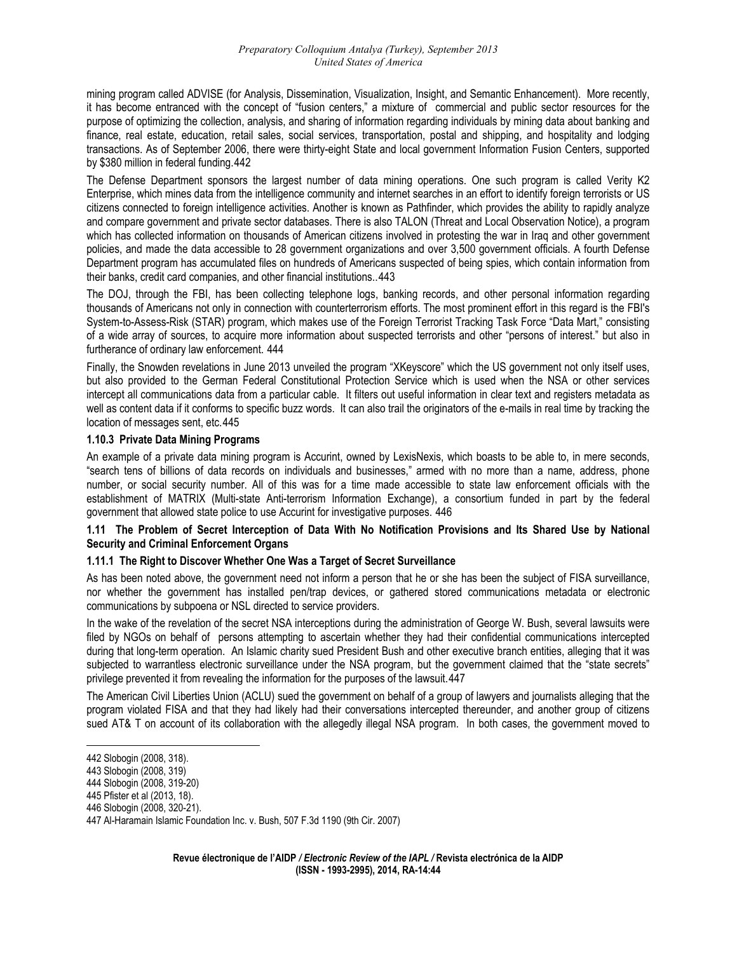mining program called ADVISE (for Analysis, Dissemination, Visualization, Insight, and Semantic Enhancement). More recently, it has become entranced with the concept of "fusion centers," a mixture of commercial and public sector resources for the purpose of optimizing the collection, analysis, and sharing of information regarding individuals by mining data about banking and finance, real estate, education, retail sales, social services, transportation, postal and shipping, and hospitality and lodging transactions. As of September 2006, there were thirty-eight State and local government Information Fusion Centers, supported by \$380 million in federal funding.[442](#page-43-0) 

The Defense Department sponsors the largest number of data mining operations. One such program is called Verity K2 Enterprise, which mines data from the intelligence community and internet searches in an effort to identify foreign terrorists or US citizens connected to foreign intelligence activities. Another is known as Pathfinder, which provides the ability to rapidly analyze and compare government and private sector databases. There is also TALON (Threat and Local Observation Notice), a program which has collected information on thousands of American citizens involved in protesting the war in Iraq and other government policies, and made the data accessible to 28 government organizations and over 3,500 government officials. A fourth Defense Department program has accumulated files on hundreds of Americans suspected of being spies, which contain information from their banks, credit card companies, and other financial institutions..[443](#page-43-1)

The DOJ, through the FBI, has been collecting telephone logs, banking records, and other personal information regarding thousands of Americans not only in connection with counterterrorism efforts. The most prominent effort in this regard is the FBI's System-to-Assess-Risk (STAR) program, which makes use of the Foreign Terrorist Tracking Task Force "Data Mart," consisting of a wide array of sources, to acquire more information about suspected terrorists and other "persons of interest." but also in furtherance of ordinary law enforcement. [444](#page-43-2)

Finally, the Snowden revelations in June 2013 unveiled the program "XKeyscore" which the US government not only itself uses, but also provided to the German Federal Constitutional Protection Service which is used when the NSA or other services intercept all communications data from a particular cable. It filters out useful information in clear text and registers metadata as well as content data if it conforms to specific buzz words. It can also trail the originators of the e-mails in real time by tracking the location of messages sent, etc.[445](#page-43-3) 

## **1.10.3 Private Data Mining Programs**

An example of a private data mining program is Accurint, owned by LexisNexis, which boasts to be able to, in mere seconds, "search tens of billions of data records on individuals and businesses," armed with no more than a name, address, phone number, or social security number. All of this was for a time made accessible to state law enforcement officials with the establishment of MATRIX (Multi-state Anti-terrorism Information Exchange), a consortium funded in part by the federal government that allowed state police to use Accurint for investigative purposes. [446](#page-43-4)

## **1.11 The Problem of Secret Interception of Data With No Notification Provisions and Its Shared Use by National Security and Criminal Enforcement Organs**

### **1.11.1 The Right to Discover Whether One Was a Target of Secret Surveillance**

As has been noted above, the government need not inform a person that he or she has been the subject of FISA surveillance, nor whether the government has installed pen/trap devices, or gathered stored communications metadata or electronic communications by subpoena or NSL directed to service providers.

In the wake of the revelation of the secret NSA interceptions during the administration of George W. Bush, several lawsuits were filed by NGOs on behalf of persons attempting to ascertain whether they had their confidential communications intercepted during that long-term operation. An Islamic charity sued President Bush and other executive branch entities, alleging that it was subjected to warrantless electronic surveillance under the NSA program, but the government claimed that the "state secrets" privilege prevented it from revealing the information for the purposes of the lawsuit.[447](#page-43-5)

The American Civil Liberties Union (ACLU) sued the government on behalf of a group of lawyers and journalists alleging that the program violated FISA and that they had likely had their conversations intercepted thereunder, and another group of citizens sued AT& T on account of its collaboration with the allegedly illegal NSA program. In both cases, the government moved to

<span id="page-43-0"></span><sup>442</sup> Slobogin (2008, 318).

<span id="page-43-1"></span><sup>443</sup> Slobogin (2008, 319)

<span id="page-43-2"></span><sup>444</sup> Slobogin (2008, 319-20)

<span id="page-43-3"></span><sup>445</sup> Pfister et al (2013, 18).

<span id="page-43-4"></span><sup>446</sup> Slobogin (2008, 320-21).

<span id="page-43-5"></span><sup>447</sup> Al-Haramain Islamic Foundation Inc. v. Bush, 507 F.3d 1190 (9th Cir. 2007)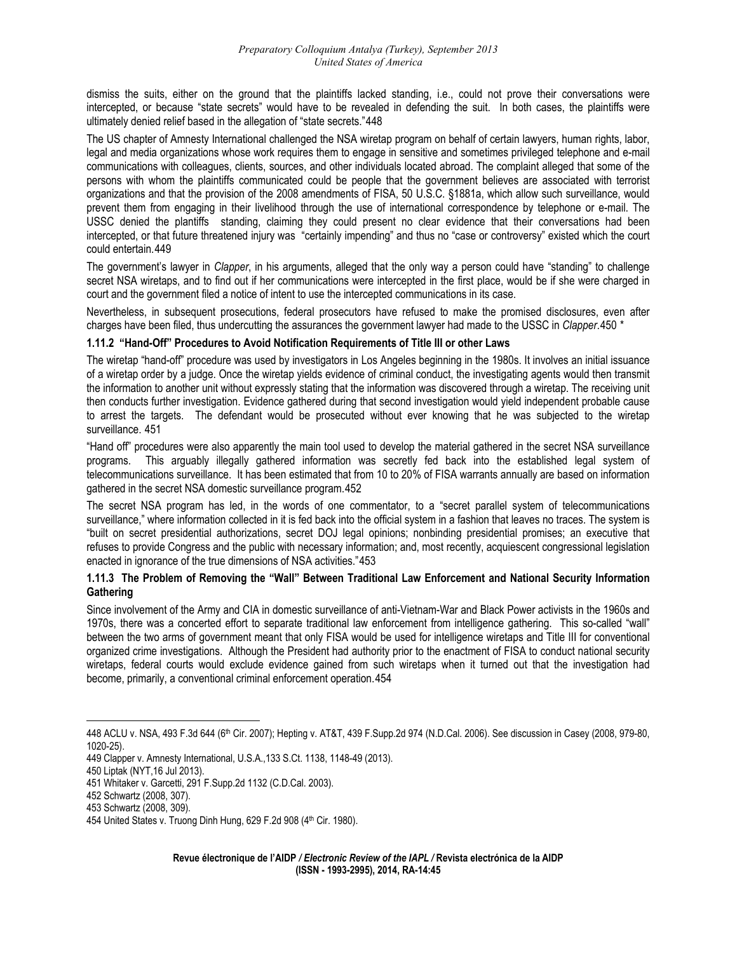dismiss the suits, either on the ground that the plaintiffs lacked standing, i.e., could not prove their conversations were intercepted, or because "state secrets" would have to be revealed in defending the suit. In both cases, the plaintiffs were ultimately denied relief based in the allegation of "state secrets."[448](#page-44-0)

The US chapter of Amnesty International challenged the NSA wiretap program on behalf of certain lawyers, human rights, labor, legal and media organizations whose work requires them to engage in sensitive and sometimes privileged telephone and e-mail communications with colleagues, clients, sources, and other individuals located abroad. The complaint alleged that some of the persons with whom the plaintiffs communicated could be people that the government believes are associated with terrorist organizations and that the provision of the 2008 amendments of FISA, 50 U.S.C. §1881a, which allow such surveillance, would prevent them from engaging in their livelihood through the use of international correspondence by telephone or e-mail. The USSC denied the plantiffs standing, claiming they could present no clear evidence that their conversations had been intercepted, or that future threatened injury was "certainly impending" and thus no "case or controversy" existed which the court could entertain.[449](#page-44-1)

The government's lawyer in *Clapper*, in his arguments, alleged that the only way a person could have "standing" to challenge secret NSA wiretaps, and to find out if her communications were intercepted in the first place, would be if she were charged in court and the government filed a notice of intent to use the intercepted communications in its case.

Nevertheless, in subsequent prosecutions, federal prosecutors have refused to make the promised disclosures, even after charges have been filed, thus undercutting the assurances the government lawyer had made to the USSC in *Clapper*.[450](#page-44-2) \*

### **1.11.2 "Hand-Off" Procedures to Avoid Notification Requirements of Title III or other Laws**

The wiretap "hand-off" procedure was used by investigators in Los Angeles beginning in the 1980s. It involves an initial issuance of a wiretap order by a judge. Once the wiretap yields evidence of criminal conduct, the investigating agents would then transmit the information to another unit without expressly stating that the information was discovered through a wiretap. The receiving unit then conducts further investigation. Evidence gathered during that second investigation would yield independent probable cause to arrest the targets. The defendant would be prosecuted without ever knowing that he was subjected to the wiretap surveillance. [451](#page-44-3) 

"Hand off" procedures were also apparently the main tool used to develop the material gathered in the secret NSA surveillance programs. This arguably illegally gathered information was secretly fed back into the established legal system of telecommunications surveillance. It has been estimated that from 10 to 20% of FISA warrants annually are based on information gathered in the secret NSA domestic surveillance program.[452](#page-44-4)

The secret NSA program has led, in the words of one commentator, to a "secret parallel system of telecommunications surveillance," where information collected in it is fed back into the official system in a fashion that leaves no traces. The system is "built on secret presidential authorizations, secret DOJ legal opinions; nonbinding presidential promises; an executive that refuses to provide Congress and the public with necessary information; and, most recently, acquiescent congressional legislation enacted in ignorance of the true dimensions of NSA activities."[453](#page-44-5) 

## **1.11.3 The Problem of Removing the "Wall" Between Traditional Law Enforcement and National Security Information Gathering**

Since involvement of the Army and CIA in domestic surveillance of anti-Vietnam-War and Black Power activists in the 1960s and 1970s, there was a concerted effort to separate traditional law enforcement from intelligence gathering. This so-called "wall" between the two arms of government meant that only FISA would be used for intelligence wiretaps and Title III for conventional organized crime investigations. Although the President had authority prior to the enactment of FISA to conduct national security wiretaps, federal courts would exclude evidence gained from such wiretaps when it turned out that the investigation had become, primarily, a conventional criminal enforcement operation.[454](#page-44-6) 

<span id="page-44-0"></span><sup>448</sup> ACLU v. NSA, 493 F.3d 644 (6th Cir. 2007); Hepting v. AT&T, 439 F.Supp.2d 974 (N.D.Cal. 2006). See discussion in Casey (2008, 979-80, 1020-25).

<span id="page-44-1"></span><sup>449</sup> Clapper v. Amnesty International, U.S.A.,133 S.Ct. 1138, 1148-49 (2013).

<span id="page-44-2"></span><sup>450</sup> Liptak (NYT,16 Jul 2013).

<span id="page-44-3"></span><sup>451</sup> Whitaker v. Garcetti, 291 F.Supp.2d 1132 (C.D.Cal. 2003).

<span id="page-44-4"></span><sup>452</sup> Schwartz (2008, 307).

<span id="page-44-5"></span><sup>453</sup> Schwartz (2008, 309).

<span id="page-44-6"></span><sup>454</sup> United States v. Truong Dinh Hung, 629 F.2d 908 (4th Cir. 1980).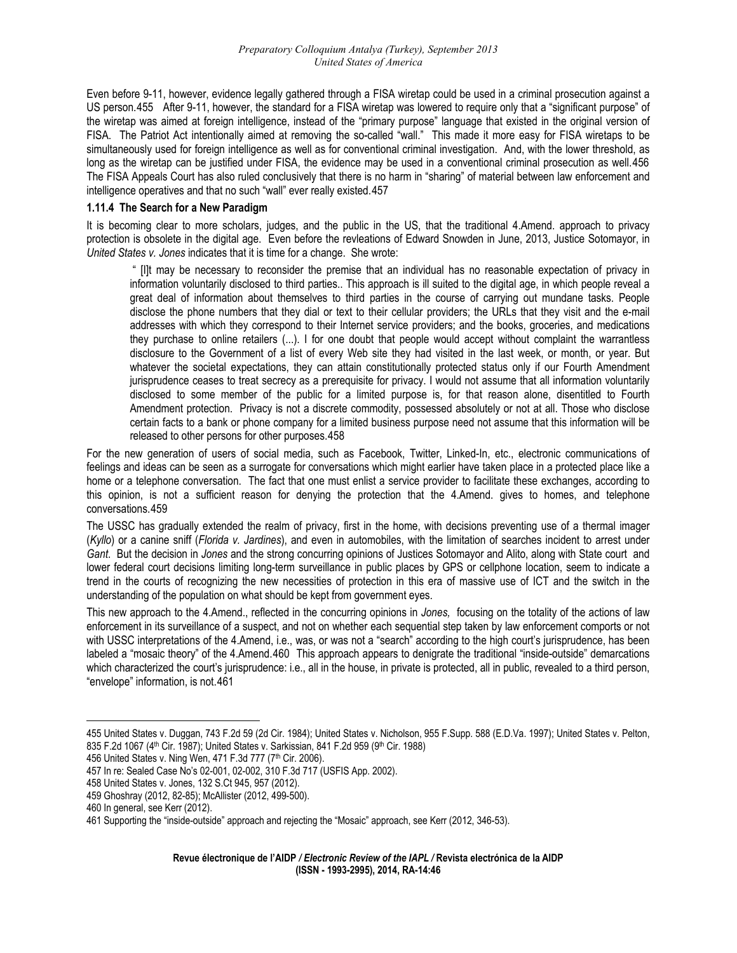Even before 9-11, however, evidence legally gathered through a FISA wiretap could be used in a criminal prosecution against a US person.[455](#page-45-0) After 9-11, however, the standard for a FISA wiretap was lowered to require only that a "significant purpose" of the wiretap was aimed at foreign intelligence, instead of the "primary purpose" language that existed in the original version of FISA. The Patriot Act intentionally aimed at removing the so-called "wall." This made it more easy for FISA wiretaps to be simultaneously used for foreign intelligence as well as for conventional criminal investigation. And, with the lower threshold, as long as the wiretap can be justified under FISA, the evidence may be used in a conventional criminal prosecution as well.[456](#page-45-1) The FISA Appeals Court has also ruled conclusively that there is no harm in "sharing" of material between law enforcement and intelligence operatives and that no such "wall" ever really existed.[457](#page-45-2)

### **1.11.4 The Search for a New Paradigm**

It is becoming clear to more scholars, judges, and the public in the US, that the traditional 4.Amend. approach to privacy protection is obsolete in the digital age. Even before the revleations of Edward Snowden in June, 2013, Justice Sotomayor, in *United States v. Jones* indicates that it is time for a change. She wrote:

 " [I]t may be necessary to reconsider the premise that an individual has no reasonable expectation of privacy in information voluntarily disclosed to third parties.. This approach is ill suited to the digital age, in which people reveal a great deal of information about themselves to third parties in the course of carrying out mundane tasks. People disclose the phone numbers that they dial or text to their cellular providers; the URLs that they visit and the e-mail addresses with which they correspond to their Internet service providers; and the books, groceries, and medications they purchase to online retailers (...). I for one doubt that people would accept without complaint the warrantless disclosure to the Government of a list of every Web site they had visited in the last week, or month, or year. But whatever the societal expectations, they can attain constitutionally protected status only if our Fourth Amendment jurisprudence ceases to treat secrecy as a prerequisite for privacy. I would not assume that all information voluntarily disclosed to some member of the public for a limited purpose is, for that reason alone, disentitled to Fourth Amendment protection. Privacy is not a discrete commodity, possessed absolutely or not at all. Those who disclose certain facts to a bank or phone company for a limited business purpose need not assume that this information will be released to other persons for other purposes.[458](#page-45-3) 

For the new generation of users of social media, such as Facebook, Twitter, Linked-In, etc., electronic communications of feelings and ideas can be seen as a surrogate for conversations which might earlier have taken place in a protected place like a home or a telephone conversation. The fact that one must enlist a service provider to facilitate these exchanges, according to this opinion, is not a sufficient reason for denying the protection that the 4.Amend. gives to homes, and telephone conversations.[459](#page-45-4) 

The USSC has gradually extended the realm of privacy, first in the home, with decisions preventing use of a thermal imager (*Kyllo*) or a canine sniff (*Florida v. Jardines*), and even in automobiles, with the limitation of searches incident to arrest under *Gant*. But the decision in *Jones* and the strong concurring opinions of Justices Sotomayor and Alito, along with State court and lower federal court decisions limiting long-term surveillance in public places by GPS or cellphone location, seem to indicate a trend in the courts of recognizing the new necessities of protection in this era of massive use of ICT and the switch in the understanding of the population on what should be kept from government eyes.

This new approach to the 4.Amend., reflected in the concurring opinions in *Jones,* focusing on the totality of the actions of law enforcement in its surveillance of a suspect, and not on whether each sequential step taken by law enforcement comports or not with USSC interpretations of the 4.Amend, i.e., was, or was not a "search" according to the high court's jurisprudence, has been labeled a "mosaic theory" of the 4.Amend.[460](#page-45-5) This approach appears to denigrate the traditional "inside-outside" demarcations which characterized the court's jurisprudence: i.e., all in the house, in private is protected, all in public, revealed to a third person, "envelope" information, is not.[461](#page-45-6) 

<span id="page-45-0"></span><sup>455</sup> United States v. Duggan, 743 F.2d 59 (2d Cir. 1984); United States v. Nicholson, 955 F.Supp. 588 (E.D.Va. 1997); United States v. Pelton, 835 F.2d 1067 (4<sup>th</sup> Cir. 1987); United States v. Sarkissian, 841 F.2d 959 (9<sup>th</sup> Cir. 1988)

<span id="page-45-1"></span><sup>456</sup> United States v. Ning Wen, 471 F.3d 777 (7<sup>th</sup> Cir. 2006).

<span id="page-45-2"></span><sup>457</sup> In re: Sealed Case No's 02-001, 02-002, 310 F.3d 717 (USFIS App. 2002).

<span id="page-45-3"></span><sup>458</sup> United States v. Jones, 132 S.Ct 945, 957 (2012).

<span id="page-45-4"></span><sup>459</sup> Ghoshray (2012, 82-85); McAllister (2012, 499-500).

<span id="page-45-5"></span><sup>460</sup> In general, see Kerr (2012).

<span id="page-45-6"></span><sup>461</sup> Supporting the "inside-outside" approach and rejecting the "Mosaic" approach, see Kerr (2012, 346-53).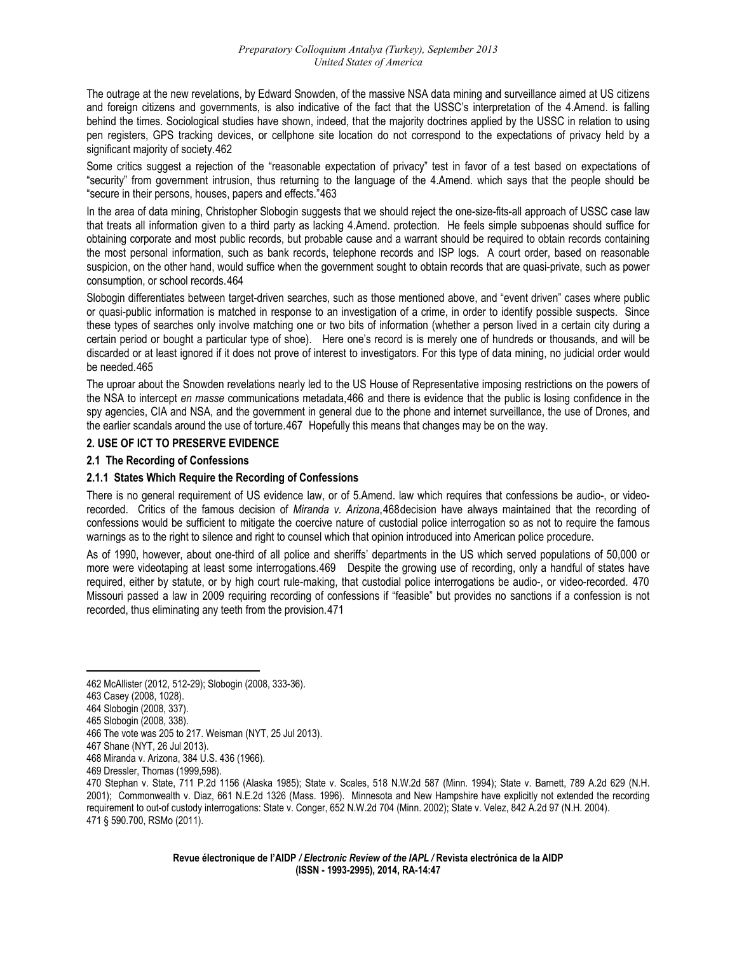The outrage at the new revelations, by Edward Snowden, of the massive NSA data mining and surveillance aimed at US citizens and foreign citizens and governments, is also indicative of the fact that the USSC's interpretation of the 4.Amend. is falling behind the times. Sociological studies have shown, indeed, that the majority doctrines applied by the USSC in relation to using pen registers, GPS tracking devices, or cellphone site location do not correspond to the expectations of privacy held by a significant majority of society.[462](#page-46-0) 

Some critics suggest a rejection of the "reasonable expectation of privacy" test in favor of a test based on expectations of "security" from government intrusion, thus returning to the language of the 4.Amend. which says that the people should be "secure in their persons, houses, papers and effects."[463](#page-46-1)

In the area of data mining, Christopher Slobogin suggests that we should reject the one-size-fits-all approach of USSC case law that treats all information given to a third party as lacking 4.Amend. protection. He feels simple subpoenas should suffice for obtaining corporate and most public records, but probable cause and a warrant should be required to obtain records containing the most personal information, such as bank records, telephone records and ISP logs. A court order, based on reasonable suspicion, on the other hand, would suffice when the government sought to obtain records that are quasi-private, such as power consumption, or school records.[464](#page-46-2) 

Slobogin differentiates between target-driven searches, such as those mentioned above, and "event driven" cases where public or quasi-public information is matched in response to an investigation of a crime, in order to identify possible suspects. Since these types of searches only involve matching one or two bits of information (whether a person lived in a certain city during a certain period or bought a particular type of shoe). Here one's record is is merely one of hundreds or thousands, and will be discarded or at least ignored if it does not prove of interest to investigators. For this type of data mining, no judicial order would be needed.[465](#page-46-3) 

The uproar about the Snowden revelations nearly led to the US House of Representative imposing restrictions on the powers of the NSA to intercept *en masse* communications metadata[,466](#page-46-4) and there is evidence that the public is losing confidence in the spy agencies, CIA and NSA, and the government in general due to the phone and internet surveillance, the use of Drones, and the earlier scandals around the use of torture.[467](#page-46-5) Hopefully this means that changes may be on the way.

# **2. USE OF ICT TO PRESERVE EVIDENCE**

## **2.1 The Recording of Confessions**

### **2.1.1 States Which Require the Recording of Confessions**

There is no general requirement of US evidence law, or of 5.Amend. law which requires that confessions be audio-, or videorecorded. Critics of the famous decision of *Miranda v. Arizona*,[468](#page-46-6)decision have always maintained that the recording of confessions would be sufficient to mitigate the coercive nature of custodial police interrogation so as not to require the famous warnings as to the right to silence and right to counsel which that opinion introduced into American police procedure.

As of 1990, however, about one-third of all police and sheriffs' departments in the US which served populations of 50,000 or more were videotaping at least some interrogations.[469](#page-46-7) Despite the growing use of recording, only a handful of states have required, either by statute, or by high court rule-making, that custodial police interrogations be audio-, or video-recorded. [470](#page-46-8) Missouri passed a law in 2009 requiring recording of confessions if "feasible" but provides no sanctions if a confession is not recorded, thus eliminating any teeth from the provision.[471](#page-46-9) 

 $\overline{a}$ 462 McAllister (2012, 512-29); Slobogin (2008, 333-36).

<span id="page-46-1"></span><span id="page-46-0"></span><sup>463</sup> Casey (2008, 1028).

<span id="page-46-2"></span><sup>464</sup> Slobogin (2008, 337).

<span id="page-46-3"></span><sup>465</sup> Slobogin (2008, 338).

<span id="page-46-4"></span><sup>466</sup> The vote was 205 to 217. Weisman (NYT, 25 Jul 2013).

<span id="page-46-5"></span><sup>467</sup> Shane (NYT, 26 Jul 2013).

<span id="page-46-6"></span><sup>468</sup> Miranda v. Arizona, 384 U.S. 436 (1966).

<span id="page-46-7"></span><sup>469</sup> Dressler, Thomas (1999,598).

<span id="page-46-9"></span><span id="page-46-8"></span><sup>470</sup> Stephan v. State, 711 P.2d 1156 (Alaska 1985); State v. Scales, 518 N.W.2d 587 (Minn. 1994); State v. Barnett, 789 A.2d 629 (N.H. 2001); Commonwealth v. Diaz, 661 N.E.2d 1326 (Mass. 1996). Minnesota and New Hampshire have explicitly not extended the recording requirement to out-of custody interrogations: State v. Conger, 652 N.W.2d 704 (Minn. 2002); State v. Velez, 842 A.2d 97 (N.H. 2004). 471 § 590.700, RSMo (2011).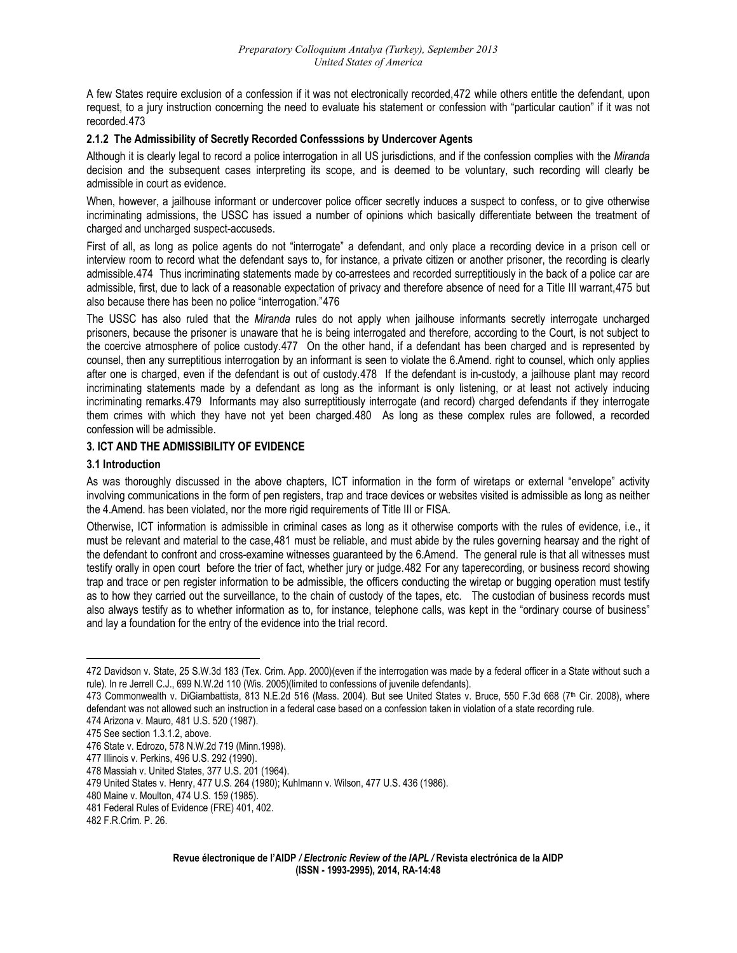A few States require exclusion of a confession if it was not electronically recorded,[472](#page-47-0) while others entitle the defendant, upon request, to a jury instruction concerning the need to evaluate his statement or confession with "particular caution" if it was not recorded.[473](#page-47-1) 

### **2.1.2 The Admissibility of Secretly Recorded Confesssions by Undercover Agents**

Although it is clearly legal to record a police interrogation in all US jurisdictions, and if the confession complies with the *Miranda* decision and the subsequent cases interpreting its scope, and is deemed to be voluntary, such recording will clearly be admissible in court as evidence.

When, however, a jailhouse informant or undercover police officer secretly induces a suspect to confess, or to give otherwise incriminating admissions, the USSC has issued a number of opinions which basically differentiate between the treatment of charged and uncharged suspect-accuseds.

First of all, as long as police agents do not "interrogate" a defendant, and only place a recording device in a prison cell or interview room to record what the defendant says to, for instance, a private citizen or another prisoner, the recording is clearly admissible.[474](#page-47-2) Thus incriminating statements made by co-arrestees and recorded surreptitiously in the back of a police car are admissible, first, due to lack of a reasonable expectation of privacy and therefore absence of need for a Title III warrant,[475](#page-47-3) but also because there has been no police "interrogation."[476](#page-47-4) 

The USSC has also ruled that the *Miranda* rules do not apply when jailhouse informants secretly interrogate uncharged prisoners, because the prisoner is unaware that he is being interrogated and therefore, according to the Court, is not subject to the coercive atmosphere of police custody.[477](#page-47-5) On the other hand, if a defendant has been charged and is represented by counsel, then any surreptitious interrogation by an informant is seen to violate the 6.Amend. right to counsel, which only applies after one is charged, even if the defendant is out of custody.[478](#page-47-6) If the defendant is in-custody, a jailhouse plant may record incriminating statements made by a defendant as long as the informant is only listening, or at least not actively inducing incriminating remarks.[479](#page-47-7) Informants may also surreptitiously interrogate (and record) charged defendants if they interrogate them crimes with which they have not yet been charged.[480](#page-47-8) As long as these complex rules are followed, a recorded confession will be admissible.

# **3. ICT AND THE ADMISSIBILITY OF EVIDENCE**

### **3.1 Introduction**

As was thoroughly discussed in the above chapters, ICT information in the form of wiretaps or external "envelope" activity involving communications in the form of pen registers, trap and trace devices or websites visited is admissible as long as neither the 4.Amend. has been violated, nor the more rigid requirements of Title III or FISA.

Otherwise, ICT information is admissible in criminal cases as long as it otherwise comports with the rules of evidence, i.e., it must be relevant and material to the case,[481](#page-47-9) must be reliable, and must abide by the rules governing hearsay and the right of the defendant to confront and cross-examine witnesses guaranteed by the 6.Amend. The general rule is that all witnesses must testify orally in open court before the trier of fact, whether jury or judge.[482](#page-47-10) For any taperecording, or business record showing trap and trace or pen register information to be admissible, the officers conducting the wiretap or bugging operation must testify as to how they carried out the surveillance, to the chain of custody of the tapes, etc. The custodian of business records must also always testify as to whether information as to, for instance, telephone calls, was kept in the "ordinary course of business" and lay a foundation for the entry of the evidence into the trial record.

<span id="page-47-0"></span> $\overline{a}$ 472 Davidson v. State, 25 S.W.3d 183 (Tex. Crim. App. 2000)(even if the interrogation was made by a federal officer in a State without such a rule). In re Jerrell C.J., 699 N.W.2d 110 (Wis. 2005)(limited to confessions of juvenile defendants).

<span id="page-47-1"></span><sup>473</sup> Commonwealth v. DiGiambattista, 813 N.E.2d 516 (Mass. 2004). But see United States v. Bruce, 550 F.3d 668 (7<sup>th</sup> Cir. 2008), where defendant was not allowed such an instruction in a federal case based on a confession taken in violation of a state recording rule.

<span id="page-47-2"></span><sup>474</sup> Arizona v. Mauro, 481 U.S. 520 (1987).

<span id="page-47-3"></span><sup>475</sup> See section 1.3.1.2, above.

<span id="page-47-4"></span><sup>476</sup> State v. Edrozo, 578 N.W.2d 719 (Minn.1998).

<span id="page-47-5"></span><sup>477</sup> Illinois v. Perkins, 496 U.S. 292 (1990).

<span id="page-47-6"></span><sup>478</sup> Massiah v. United States, 377 U.S. 201 (1964).

<span id="page-47-7"></span><sup>479</sup> United States v. Henry, 477 U.S. 264 (1980); Kuhlmann v. Wilson, 477 U.S. 436 (1986).

<span id="page-47-8"></span><sup>480</sup> Maine v. Moulton, 474 U.S. 159 (1985).

<span id="page-47-9"></span><sup>481</sup> Federal Rules of Evidence (FRE) 401, 402.

<span id="page-47-10"></span><sup>482</sup> F.R.Crim. P. 26.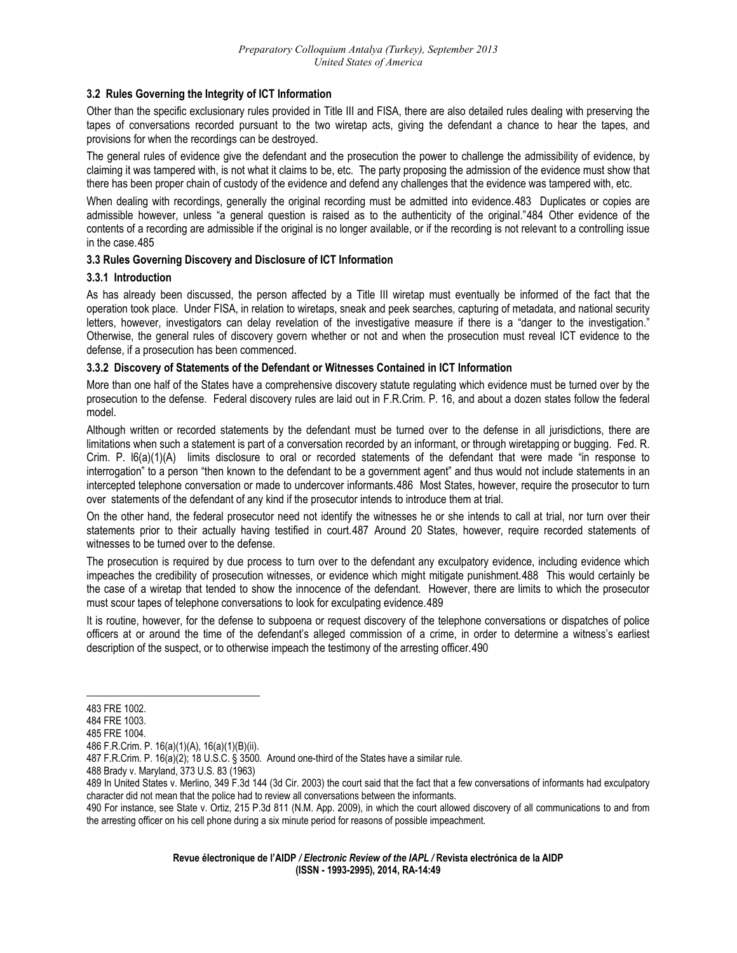### **3.2 Rules Governing the Integrity of ICT Information**

Other than the specific exclusionary rules provided in Title III and FISA, there are also detailed rules dealing with preserving the tapes of conversations recorded pursuant to the two wiretap acts, giving the defendant a chance to hear the tapes, and provisions for when the recordings can be destroyed.

The general rules of evidence give the defendant and the prosecution the power to challenge the admissibility of evidence, by claiming it was tampered with, is not what it claims to be, etc. The party proposing the admission of the evidence must show that there has been proper chain of custody of the evidence and defend any challenges that the evidence was tampered with, etc.

When dealing with recordings, generally the original recording must be admitted into evidence.[483](#page-48-0) Duplicates or copies are admissible however, unless "a general question is raised as to the authenticity of the original."[484](#page-48-1) Other evidence of the contents of a recording are admissible if the original is no longer available, or if the recording is not relevant to a controlling issue in the case.[485](#page-48-2) 

#### **3.3 Rules Governing Discovery and Disclosure of ICT Information**

#### **3.3.1 Introduction**

As has already been discussed, the person affected by a Title III wiretap must eventually be informed of the fact that the operation took place. Under FISA, in relation to wiretaps, sneak and peek searches, capturing of metadata, and national security letters, however, investigators can delay revelation of the investigative measure if there is a "danger to the investigation." Otherwise, the general rules of discovery govern whether or not and when the prosecution must reveal ICT evidence to the defense, if a prosecution has been commenced.

### **3.3.2 Discovery of Statements of the Defendant or Witnesses Contained in ICT Information**

More than one half of the States have a comprehensive discovery statute regulating which evidence must be turned over by the prosecution to the defense. Federal discovery rules are laid out in F.R.Crim. P. 16, and about a dozen states follow the federal model.

Although written or recorded statements by the defendant must be turned over to the defense in all jurisdictions, there are limitations when such a statement is part of a conversation recorded by an informant, or through wiretapping or bugging. Fed. R. Crim. P. l6(a)(1)(A) limits disclosure to oral or recorded statements of the defendant that were made "in response to interrogation" to a person "then known to the defendant to be a government agent" and thus would not include statements in an intercepted telephone conversation or made to undercover informants.[486](#page-48-3) Most States, however, require the prosecutor to turn over statements of the defendant of any kind if the prosecutor intends to introduce them at trial.

On the other hand, the federal prosecutor need not identify the witnesses he or she intends to call at trial, nor turn over their statements prior to their actually having testified in court.[487](#page-48-4) Around 20 States, however, require recorded statements of witnesses to be turned over to the defense.

The prosecution is required by due process to turn over to the defendant any exculpatory evidence, including evidence which impeaches the credibility of prosecution witnesses, or evidence which might mitigate punishment.[488](#page-48-5) This would certainly be the case of a wiretap that tended to show the innocence of the defendant. However, there are limits to which the prosecutor must scour tapes of telephone conversations to look for exculpating evidence.[489](#page-48-6) 

It is routine, however, for the defense to subpoena or request discovery of the telephone conversations or dispatches of police officers at or around the time of the defendant's alleged commission of a crime, in order to determine a witness's earliest description of the suspect, or to otherwise impeach the testimony of the arresting officer.[490](#page-48-7) 

<span id="page-48-0"></span>483 FRE 1002.

 $\overline{a}$ 

**Revue électronique de l'AIDP** */ Electronic Review of the IAPL /* **Revista electrónica de la AIDP (ISSN - 1993-2995), 2014, RA-14:49** 

<span id="page-48-1"></span><sup>484</sup> FRE 1003.

<span id="page-48-2"></span><sup>485</sup> FRE 1004.

<span id="page-48-3"></span><sup>486</sup> F.R.Crim. P. 16(a)(1)(A), 16(a)(1)(B)(ii).

<span id="page-48-4"></span><sup>487</sup> F.R.Crim. P. 16(a)(2); 18 U.S.C. § 3500. Around one-third of the States have a similar rule.

<span id="page-48-5"></span><sup>488</sup> Brady v. Maryland, 373 U.S. 83 (1963)

<span id="page-48-6"></span><sup>489</sup> In United States v. Merlino, 349 F.3d 144 (3d Cir. 2003) the court said that the fact that a few conversations of informants had exculpatory character did not mean that the police had to review all conversations between the informants.

<span id="page-48-7"></span><sup>490</sup> For instance, see State v. Ortiz, 215 P.3d 811 (N.M. App. 2009), in which the court allowed discovery of all communications to and from the arresting officer on his cell phone during a six minute period for reasons of possible impeachment.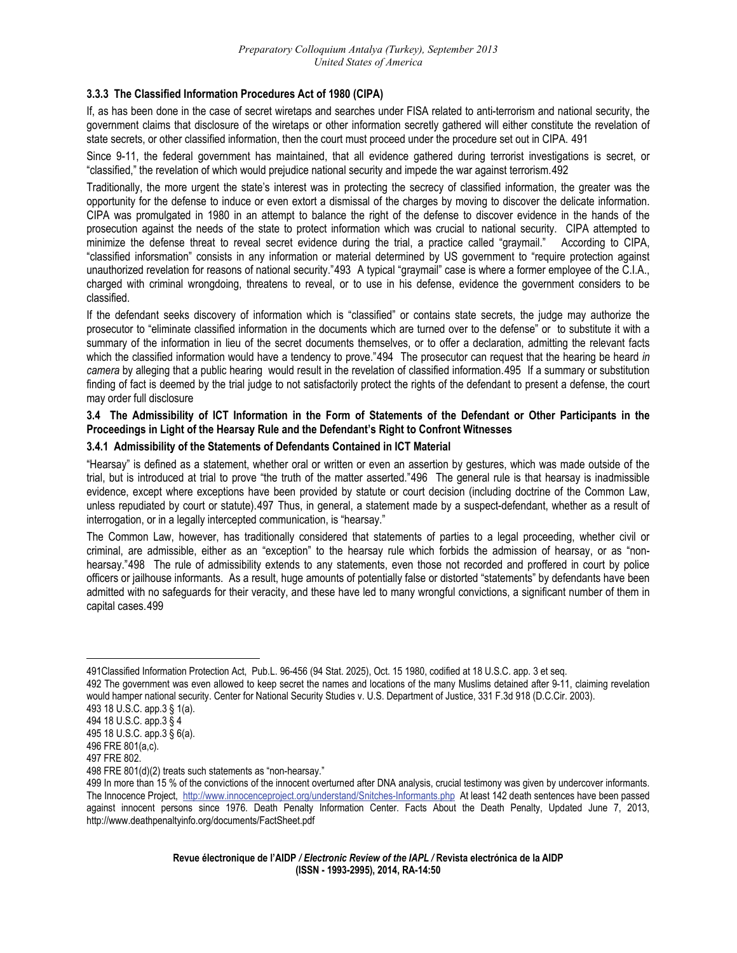### **3.3.3 The Classified Information Procedures Act of 1980 (CIPA)**

If, as has been done in the case of secret wiretaps and searches under FISA related to anti-terrorism and national security, the government claims that disclosure of the wiretaps or other information secretly gathered will either constitute the revelation of state secrets, or other classified information, then the court must proceed under the procedure set out in CIPA. [491](#page-49-0) 

Since 9-11, the federal government has maintained, that all evidence gathered during terrorist investigations is secret, or "classified," the revelation of which would prejudice national security and impede the war against terrorism.[492](#page-49-1) 

Traditionally, the more urgent the state's interest was in protecting the secrecy of classified information, the greater was the opportunity for the defense to induce or even extort a dismissal of the charges by moving to discover the delicate information. CIPA was promulgated in 1980 in an attempt to balance the right of the defense to discover evidence in the hands of the prosecution against the needs of the state to protect information which was crucial to national security. CIPA attempted to minimize the defense threat to reveal secret evidence during the trial, a practice called "graymail." According to CIPA, "classified inforsmation" consists in any information or material determined by US government to "require protection against unauthorized revelation for reasons of national security."[493](#page-49-2) A typical "graymail" case is where a former employee of the C.I.A., charged with criminal wrongdoing, threatens to reveal, or to use in his defense, evidence the government considers to be classified.

If the defendant seeks discovery of information which is "classified" or contains state secrets, the judge may authorize the prosecutor to "eliminate classified information in the documents which are turned over to the defense" or to substitute it with a summary of the information in lieu of the secret documents themselves, or to offer a declaration, admitting the relevant facts which the classified information would have a tendency to prove."[494](#page-49-3) The prosecutor can request that the hearing be heard *in camera* by alleging that a public hearing would result in the revelation of classified information.[495](#page-49-4) If a summary or substitution finding of fact is deemed by the trial judge to not satisfactorily protect the rights of the defendant to present a defense, the court may order full disclosure

#### **3.4 The Admissibility of ICT Information in the Form of Statements of the Defendant or Other Participants in the Proceedings in Light of the Hearsay Rule and the Defendant's Right to Confront Witnesses**

### **3.4.1 Admissibility of the Statements of Defendants Contained in ICT Material**

"Hearsay" is defined as a statement, whether oral or written or even an assertion by gestures, which was made outside of the trial, but is introduced at trial to prove "the truth of the matter asserted."[496](#page-49-5) The general rule is that hearsay is inadmissible evidence, except where exceptions have been provided by statute or court decision (including doctrine of the Common Law, unless repudiated by court or statute).[497](#page-49-6) Thus, in general, a statement made by a suspect-defendant, whether as a result of interrogation, or in a legally intercepted communication, is "hearsay."

The Common Law, however, has traditionally considered that statements of parties to a legal proceeding, whether civil or criminal, are admissible, either as an "exception" to the hearsay rule which forbids the admission of hearsay, or as "nonhearsay."[498](#page-49-7) The rule of admissibility extends to any statements, even those not recorded and proffered in court by police officers or jailhouse informants. As a result, huge amounts of potentially false or distorted "statements" by defendants have been admitted with no safeguards for their veracity, and these have led to many wrongful convictions, a significant number of them in capital cases.[499](#page-49-8) 

 $\overline{a}$ 491Classified Information Protection Act, Pub.L. 96-456 (94 Stat. 2025), Oct. 15 1980, codified at 18 U.S.C. app. 3 et seq.

<span id="page-49-1"></span><span id="page-49-0"></span><sup>492</sup> The government was even allowed to keep secret the names and locations of the many Muslims detained after 9-11, claiming revelation would hamper national security. Center for National Security Studies v. U.S. Department of Justice, 331 F.3d 918 (D.C.Cir. 2003).

<span id="page-49-2"></span><sup>493 18</sup> U.S.C. app.3 § 1(a).

<span id="page-49-3"></span><sup>494 18</sup> U.S.C. app.3 § 4

<span id="page-49-4"></span><sup>495 18</sup> U.S.C. app.3 § 6(a).

<span id="page-49-5"></span><sup>496</sup> FRE 801(a,c).

<span id="page-49-6"></span><sup>497</sup> FRE 802.

<span id="page-49-7"></span><sup>498</sup> FRE 801(d)(2) treats such statements as "non-hearsay."

<span id="page-49-8"></span><sup>499</sup> In more than 15 % of the convictions of the innocent overturned after DNA analysis, crucial testimony was given by undercover informants. The Innocence Project, <http://www.innocenceproject.org/understand/Snitches-Informants.php> At least 142 death sentences have been passed against innocent persons since 1976. Death Penalty Information Center. Facts About the Death Penalty, Updated June 7, 2013, http://www.deathpenaltyinfo.org/documents/FactSheet.pdf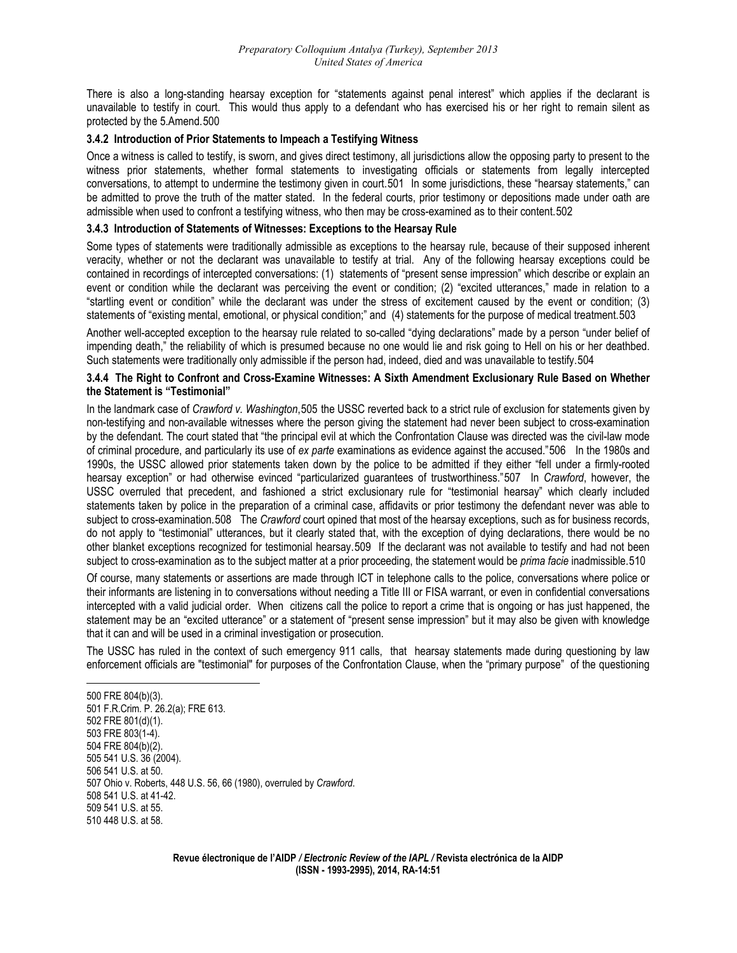There is also a long-standing hearsay exception for "statements against penal interest" which applies if the declarant is unavailable to testify in court. This would thus apply to a defendant who has exercised his or her right to remain silent as protected by the 5.Amend.[500](#page-50-0)

#### **3.4.2 Introduction of Prior Statements to Impeach a Testifying Witness**

Once a witness is called to testify, is sworn, and gives direct testimony, all jurisdictions allow the opposing party to present to the witness prior statements, whether formal statements to investigating officials or statements from legally intercepted conversations, to attempt to undermine the testimony given in court.[501](#page-50-1) In some jurisdictions, these "hearsay statements," can be admitted to prove the truth of the matter stated. In the federal courts, prior testimony or depositions made under oath are admissible when used to confront a testifying witness, who then may be cross-examined as to their content.[502](#page-50-2) 

#### **3.4.3 Introduction of Statements of Witnesses: Exceptions to the Hearsay Rule**

Some types of statements were traditionally admissible as exceptions to the hearsay rule, because of their supposed inherent veracity, whether or not the declarant was unavailable to testify at trial. Any of the following hearsay exceptions could be contained in recordings of intercepted conversations: (1) statements of "present sense impression" which describe or explain an event or condition while the declarant was perceiving the event or condition; (2) "excited utterances," made in relation to a "startling event or condition" while the declarant was under the stress of excitement caused by the event or condition; (3) statements of "existing mental, emotional, or physical condition;" and (4) statements for the purpose of medical treatment.[503](#page-50-3) 

Another well-accepted exception to the hearsay rule related to so-called "dying declarations" made by a person "under belief of impending death," the reliability of which is presumed because no one would lie and risk going to Hell on his or her deathbed. Such statements were traditionally only admissible if the person had, indeed, died and was unavailable to testify.[504](#page-50-4) 

#### **3.4.4 The Right to Confront and Cross-Examine Witnesses: A Sixth Amendment Exclusionary Rule Based on Whether the Statement is "Testimonial"**

In the landmark case of *Crawford v. Washington*,[505](#page-50-5) the USSC reverted back to a strict rule of exclusion for statements given by non-testifying and non-available witnesses where the person giving the statement had never been subject to cross-examination by the defendant. The court stated that "the principal evil at which the Confrontation Clause was directed was the civil-law mode of criminal procedure, and particularly its use of *ex parte* examinations as evidence against the accused."[506](#page-50-6) In the 1980s and 1990s, the USSC allowed prior statements taken down by the police to be admitted if they either "fell under a firmly-rooted hearsay exception" or had otherwise evinced "particularized guarantees of trustworthiness."[507](#page-50-7) In *Crawford*, however, the USSC overruled that precedent, and fashioned a strict exclusionary rule for "testimonial hearsay" which clearly included statements taken by police in the preparation of a criminal case, affidavits or prior testimony the defendant never was able to subject to cross-examination.[508](#page-50-8) The *Crawford* court opined that most of the hearsay exceptions, such as for business records, do not apply to "testimonial" utterances, but it clearly stated that, with the exception of dying declarations, there would be no other blanket exceptions recognized for testimonial hearsay.[509](#page-50-9) If the declarant was not available to testify and had not been subject to cross-examination as to the subject matter at a prior proceeding, the statement would be *prima facie* inadmissible.[510](#page-50-10) 

Of course, many statements or assertions are made through ICT in telephone calls to the police, conversations where police or their informants are listening in to conversations without needing a Title III or FISA warrant, or even in confidential conversations intercepted with a valid judicial order. When citizens call the police to report a crime that is ongoing or has just happened, the statement may be an "excited utterance" or a statement of "present sense impression" but it may also be given with knowledge that it can and will be used in a criminal investigation or prosecution.

The USSC has ruled in the context of such emergency 911 calls, that hearsay statements made during questioning by law enforcement officials are "testimonial" for purposes of the Confrontation Clause, when the "primary purpose" of the questioning

<span id="page-50-10"></span><span id="page-50-9"></span><span id="page-50-8"></span><span id="page-50-7"></span><span id="page-50-6"></span><span id="page-50-5"></span><span id="page-50-4"></span><span id="page-50-3"></span><span id="page-50-2"></span><span id="page-50-1"></span><span id="page-50-0"></span>500 FRE 804(b)(3). 501 F.R.Crim. P. 26.2(a); FRE 613. 502 FRE 801(d)(1). 503 FRE 803(1-4). 504 FRE 804(b)(2). 505 541 U.S. 36 (2004). 506 541 U.S. at 50. 507 Ohio v. Roberts, 448 U.S. 56, 66 (1980), overruled by *Crawford*. 508 541 U.S. at 41-42. 509 541 U.S. at 55. 510 448 U.S. at 58.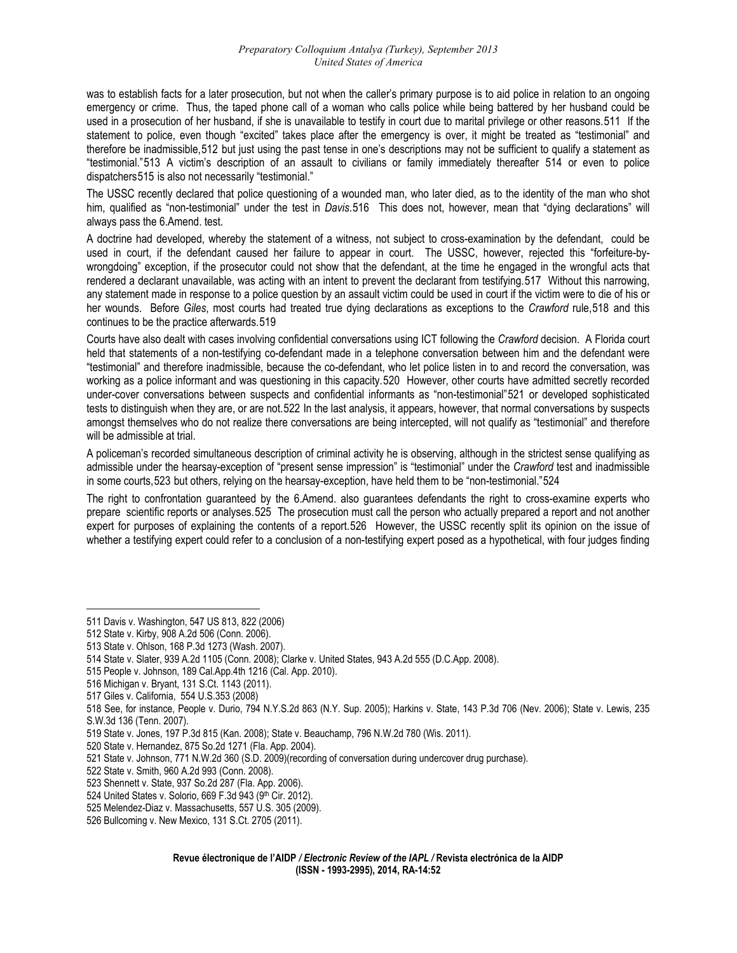was to establish facts for a later prosecution, but not when the caller's primary purpose is to aid police in relation to an ongoing emergency or crime. Thus, the taped phone call of a woman who calls police while being battered by her husband could be used in a prosecution of her husband, if she is unavailable to testify in court due to marital privilege or other reasons.[511](#page-51-0) If the statement to police, even though "excited" takes place after the emergency is over, it might be treated as "testimonial" and therefore be inadmissible,[512](#page-51-1) but just using the past tense in one's descriptions may not be sufficient to qualify a statement as "testimonial."[513](#page-51-2) A victim's description of an assault to civilians or family immediately thereafter [514](#page-51-3) or even to police dispatchers[515](#page-51-4) is also not necessarily "testimonial."

The USSC recently declared that police questioning of a wounded man, who later died, as to the identity of the man who shot him, qualified as "non-testimonial" under the test in *Davis*.[516](#page-51-5) This does not, however, mean that "dying declarations" will always pass the 6.Amend. test.

A doctrine had developed, whereby the statement of a witness, not subject to cross-examination by the defendant, could be used in court, if the defendant caused her failure to appear in court. The USSC, however, rejected this "forfeiture-bywrongdoing" exception, if the prosecutor could not show that the defendant, at the time he engaged in the wrongful acts that rendered a declarant unavailable, was acting with an intent to prevent the declarant from testifying.[517](#page-51-6) Without this narrowing, any statement made in response to a police question by an assault victim could be used in court if the victim were to die of his or her wounds. Before *Giles*, most courts had treated true dying declarations as exceptions to the *Crawford* rule,[518](#page-51-7) and this continues to be the practice afterwards.[519](#page-51-8) 

Courts have also dealt with cases involving confidential conversations using ICT following the *Crawford* decision. A Florida court held that statements of a non-testifying co-defendant made in a telephone conversation between him and the defendant were "testimonial" and therefore inadmissible, because the co-defendant, who let police listen in to and record the conversation, was working as a police informant and was questioning in this capacity.[520](#page-51-9) However, other courts have admitted secretly recorded under-cover conversations between suspects and confidential informants as "non-testimonial"[521](#page-51-10) or developed sophisticated tests to distinguish when they are, or are not.[522](#page-51-11) In the last analysis, it appears, however, that normal conversations by suspects amongst themselves who do not realize there conversations are being intercepted, will not qualify as "testimonial" and therefore will be admissible at trial.

A policeman's recorded simultaneous description of criminal activity he is observing, although in the strictest sense qualifying as admissible under the hearsay-exception of "present sense impression" is "testimonial" under the *Crawford* test and inadmissible in some courts,[523](#page-51-12) but others, relying on the hearsay-exception, have held them to be "non-testimonial."[524](#page-51-13) 

The right to confrontation guaranteed by the 6.Amend. also guarantees defendants the right to cross-examine experts who prepare scientific reports or analyses.[525](#page-51-14) The prosecution must call the person who actually prepared a report and not another expert for purposes of explaining the contents of a report.[526](#page-51-15) However, the USSC recently split its opinion on the issue of whether a testifying expert could refer to a conclusion of a non-testifying expert posed as a hypothetical, with four judges finding

 $\overline{a}$ 

<span id="page-51-11"></span>522 State v. Smith, 960 A.2d 993 (Conn. 2008).

<span id="page-51-0"></span><sup>511</sup> Davis v. Washington, 547 US 813, 822 (2006)

<span id="page-51-1"></span><sup>512</sup> State v. Kirby, 908 A.2d 506 (Conn. 2006).

<span id="page-51-2"></span><sup>513</sup> State v. Ohlson, 168 P.3d 1273 (Wash. 2007).

<span id="page-51-3"></span><sup>514</sup> State v. Slater, 939 A.2d 1105 (Conn. 2008); Clarke v. United States, 943 A.2d 555 (D.C.App. 2008).

<span id="page-51-4"></span><sup>515</sup> People v. Johnson, 189 Cal.App.4th 1216 (Cal. App. 2010).

<span id="page-51-5"></span><sup>516</sup> Michigan v. Bryant, 131 S.Ct. 1143 (2011).

<span id="page-51-6"></span><sup>517</sup> Giles v. California, 554 U.S.353 (2008)

<span id="page-51-7"></span><sup>518</sup> See, for instance, People v. Durio, 794 N.Y.S.2d 863 (N.Y. Sup. 2005); Harkins v. State, 143 P.3d 706 (Nev. 2006); State v. Lewis, 235 S.W.3d 136 (Tenn. 2007).

<span id="page-51-8"></span><sup>519</sup> State v. Jones, 197 P.3d 815 (Kan. 2008); State v. Beauchamp, 796 N.W.2d 780 (Wis. 2011).

<span id="page-51-9"></span><sup>520</sup> State v. Hernandez, 875 So.2d 1271 (Fla. App. 2004).

<span id="page-51-10"></span><sup>521</sup> State v. Johnson, 771 N.W.2d 360 (S.D. 2009)(recording of conversation during undercover drug purchase).

<span id="page-51-12"></span><sup>523</sup> Shennett v. State, 937 So.2d 287 (Fla. App. 2006).

<span id="page-51-13"></span><sup>524</sup> United States v. Solorio, 669 F.3d 943 (9th Cir. 2012).

<sup>525</sup> Melendez-Diaz v. Massachusetts, 557 U.S. 305 (2009).

<span id="page-51-15"></span><span id="page-51-14"></span><sup>526</sup> Bullcoming v. New Mexico, 131 S.Ct. 2705 (2011).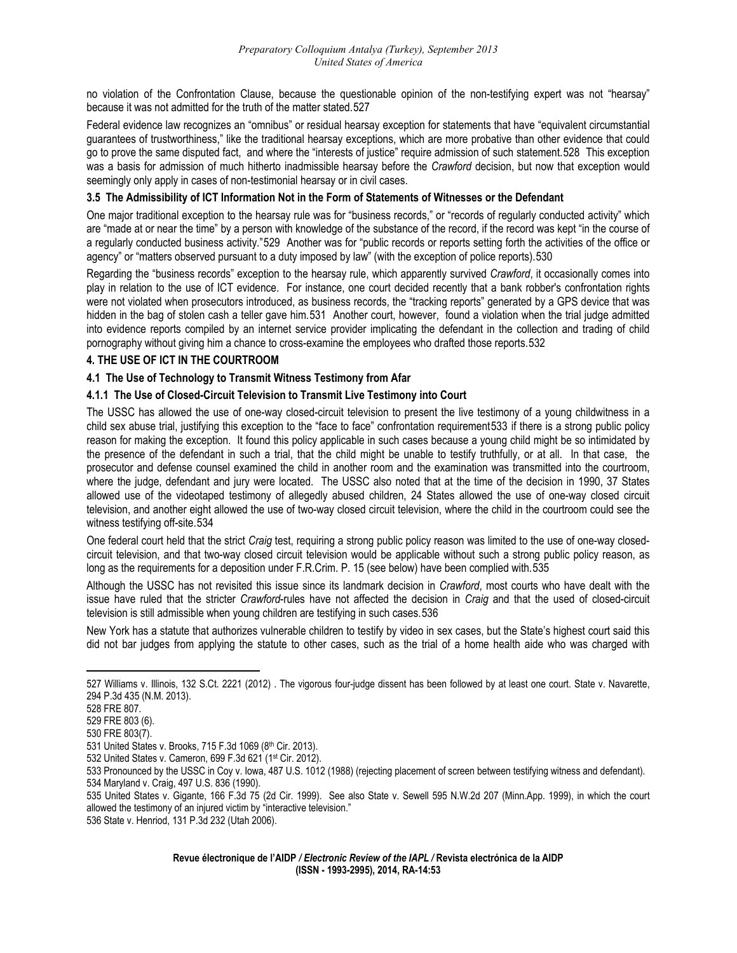no violation of the Confrontation Clause, because the questionable opinion of the non-testifying expert was not "hearsay" because it was not admitted for the truth of the matter stated.[527](#page-52-0) 

Federal evidence law recognizes an "omnibus" or residual hearsay exception for statements that have "equivalent circumstantial guarantees of trustworthiness," like the traditional hearsay exceptions, which are more probative than other evidence that could go to prove the same disputed fact, and where the "interests of justice" require admission of such statement.[528](#page-52-1) This exception was a basis for admission of much hitherto inadmissible hearsay before the *Crawford* decision, but now that exception would seemingly only apply in cases of non-testimonial hearsay or in civil cases.

### **3.5 The Admissibility of ICT Information Not in the Form of Statements of Witnesses or the Defendant**

One major traditional exception to the hearsay rule was for "business records," or "records of regularly conducted activity" which are "made at or near the time" by a person with knowledge of the substance of the record, if the record was kept "in the course of a regularly conducted business activity."[529](#page-52-2) Another was for "public records or reports setting forth the activities of the office or agency" or "matters observed pursuant to a duty imposed by law" (with the exception of police reports).[530](#page-52-3) 

Regarding the "business records" exception to the hearsay rule, which apparently survived *Crawford*, it occasionally comes into play in relation to the use of ICT evidence. For instance, one court decided recently that a bank robber's confrontation rights were not violated when prosecutors introduced, as business records, the "tracking reports" generated by a GPS device that was hidden in the bag of stolen cash a teller gave him.[531](#page-52-4) Another court, however, found a violation when the trial judge admitted into evidence reports compiled by an internet service provider implicating the defendant in the collection and trading of child pornography without giving him a chance to cross-examine the employees who drafted those reports.[532](#page-52-5) 

### **4. THE USE OF ICT IN THE COURTROOM**

#### **4.1 The Use of Technology to Transmit Witness Testimony from Afar**

#### **4.1.1 The Use of Closed-Circuit Television to Transmit Live Testimony into Court**

The USSC has allowed the use of one-way closed-circuit television to present the live testimony of a young childwitness in a child sex abuse trial, justifying this exception to the "face to face" confrontation requirement[533](#page-52-6) if there is a strong public policy reason for making the exception. It found this policy applicable in such cases because a young child might be so intimidated by the presence of the defendant in such a trial, that the child might be unable to testify truthfully, or at all. In that case, the prosecutor and defense counsel examined the child in another room and the examination was transmitted into the courtroom, where the judge, defendant and jury were located. The USSC also noted that at the time of the decision in 1990, 37 States allowed use of the videotaped testimony of allegedly abused children, 24 States allowed the use of one-way closed circuit television, and another eight allowed the use of two-way closed circuit television, where the child in the courtroom could see the witness testifying off-site.[534](#page-52-7) 

One federal court held that the strict *Craig* test, requiring a strong public policy reason was limited to the use of one-way closedcircuit television, and that two-way closed circuit television would be applicable without such a strong public policy reason, as long as the requirements for a deposition under F.R.Crim. P. 15 (see below) have been complied with.[535](#page-52-8)

Although the USSC has not revisited this issue since its landmark decision in *Crawford*, most courts who have dealt with the issue have ruled that the stricter *Crawford*-rules have not affected the decision in *Craig* and that the used of closed-circuit television is still admissible when young children are testifying in such cases.[536](#page-52-9) 

New York has a statute that authorizes vulnerable children to testify by video in sex cases, but the State's highest court said this did not bar judges from applying the statute to other cases, such as the trial of a home health aide who was charged with

 $\overline{a}$ 

<span id="page-52-9"></span>536 State v. Henriod, 131 P.3d 232 (Utah 2006).

<span id="page-52-0"></span><sup>527</sup> Williams v. Illinois, 132 S.Ct. 2221 (2012) . The vigorous four-judge dissent has been followed by at least one court. [State v. Navarette,](http://pub.bna.com/cl/32898.pdf) 294 P.3d 435 (N.M. 2013).

<span id="page-52-1"></span><sup>528</sup> FRE 807.

<span id="page-52-2"></span><sup>529</sup> FRE 803 (6).

<span id="page-52-3"></span><sup>530</sup> FRE 803(7).

<span id="page-52-4"></span><sup>531</sup>United States v. Brooks, 715 F.3d 1069 (8th Cir. 2013).

<span id="page-52-5"></span><sup>532</sup> United States v. Cameron, 699 F.3d 621 (1st Cir. 2012).

<span id="page-52-7"></span><span id="page-52-6"></span><sup>533</sup> Pronounced by the USSC in Coy v. Iowa, 487 U.S. 1012 (1988) (rejecting placement of screen between testifying witness and defendant). 534 Maryland v. Craig, 497 U.S. 836 (1990).

<span id="page-52-8"></span><sup>535</sup> United States v. Gigante, 166 F.3d 75 (2d Cir. 1999). See also State v. Sewell 595 N.W.2d 207 (Minn.App. 1999), in which the court allowed the testimony of an injured victim by "interactive television."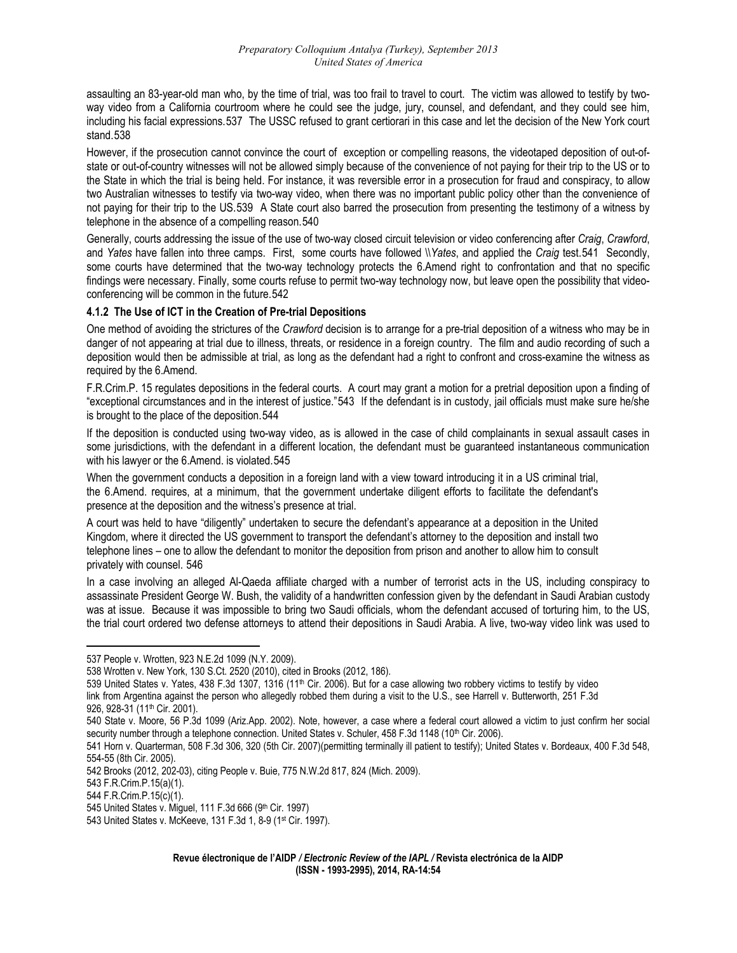assaulting an 83-year-old man who, by the time of trial, was too frail to travel to court. The victim was allowed to testify by twoway video from a California courtroom where he could see the judge, jury, counsel, and defendant, and they could see him, including his facial expressions.[537](#page-53-0) The USSC refused to grant certiorari in this case and let the decision of the New York court stand.[538](#page-53-1) 

However, if the prosecution cannot convince the court of exception or compelling reasons, the videotaped deposition of out-ofstate or out-of-country witnesses will not be allowed simply because of the convenience of not paying for their trip to the US or to the State in which the trial is being held. For instance, it was reversible error in a prosecution for fraud and conspiracy, to allow two Australian witnesses to testify via two-way video, when there was no important public policy other than the convenience of not paying for their trip to the US.[539](#page-53-2) A State court also barred the prosecution from presenting the testimony of a witness by telephone in the absence of a compelling reason.[540](#page-53-3) 

Generally, courts addressing the issue of the use of two-way closed circuit television or video conferencing after *Craig*, *Crawford*, and *Yates* have fallen into three camps. First, some courts have followed \\*Yates*, and applied the *Craig* test.[541](#page-53-4) Secondly, some courts have determined that the two-way technology protects the 6.Amend right to confrontation and that no specific findings were necessary. Finally, some courts refuse to permit two-way technology now, but leave open the possibility that videoconferencing will be common in the future.[542](#page-53-5)

## **4.1.2 The Use of ICT in the Creation of Pre-trial Depositions**

One method of avoiding the strictures of the *Crawford* decision is to arrange for a pre-trial deposition of a witness who may be in danger of not appearing at trial due to illness, threats, or residence in a foreign country. The film and audio recording of such a deposition would then be admissible at trial, as long as the defendant had a right to confront and cross-examine the witness as required by the 6.Amend.

F.R.Crim.P. 15 regulates depositions in the federal courts. A court may grant a motion for a pretrial deposition upon a finding of "exceptional circumstances and in the interest of justice."[543](#page-53-6) If the defendant is in custody, jail officials must make sure he/she is brought to the place of the deposition.[544](#page-53-7) 

If the deposition is conducted using two-way video, as is allowed in the case of child complainants in sexual assault cases in some jurisdictions, with the defendant in a different location, the defendant must be guaranteed instantaneous communication with his lawyer or the 6.Amend. is violated.[545](#page-53-8) 

When the government conducts a deposition in a foreign land with a view toward introducing it in a US criminal trial, the 6.Amend. requires, at a minimum, that the government undertake diligent efforts to facilitate the defendant's presence at the deposition and the witness's presence at trial.

A court was held to have "diligently" undertaken to secure the defendant's appearance at a deposition in the United Kingdom, where it directed the US government to transport the defendant's attorney to the deposition and install two telephone lines – one to allow the defendant to monitor the deposition from prison and another to allow him to consult privately with counsel. [546](#page-53-9) 

In a case involving an alleged Al-Qaeda affiliate charged with a number of terrorist acts in the US, including conspiracy to assassinate President George W. Bush, the validity of a handwritten confession given by the defendant in Saudi Arabian custody was at issue. Because it was impossible to bring two Saudi officials, whom the defendant accused of torturing him, to the US, the trial court ordered two defense attorneys to attend their depositions in Saudi Arabia. A live, two-way video link was used to

<span id="page-53-0"></span><sup>537</sup> People v. Wrotten, 923 N.E.2d 1099 (N.Y. 2009).

<span id="page-53-1"></span><sup>538</sup> Wrotten v. New York, 130 S.Ct. 2520 (2010), cited in Brooks (2012, 186).

<span id="page-53-2"></span><sup>539</sup> United States v. Yates, 438 F.3d 1307, 1316 (11th Cir. 2006). But for a case allowing two robbery victims to testify by video link from Argentina against the person who allegedly robbed them during a visit to the U.S., see Harrell v. Butterworth, 251 F.3d 926, 928-31 (11<sup>th</sup> Cir. 2001).

<span id="page-53-3"></span><sup>540</sup> State v. Moore, 56 P.3d 1099 (Ariz.App. 2002). Note, however, a case where a federal court allowed a victim to just confirm her social security number through a telephone connection. United States v. Schuler, 458 F.3d 1148 (10<sup>th</sup> Cir. 2006).

<span id="page-53-4"></span><sup>541</sup> [Horn v. Quarterman, 508 F.3d 306, 320 \(5th Cir. 2007\)\(](http://web2.westlaw.com/find/default.wl?mt=208&db=506&tc=-1&rp=%2ffind%2fdefault.wl&findtype=Y&ordoc=0372553877&serialnum=2014096300&vr=2.0&fn=_top&sv=Split&tf=-1&referencepositiontype=S&pbc=71535F27&referenceposition=320&rs=WLW13.01)permitting terminally ill patient to testify); [United States v. Bordeaux, 400 F.3d 548,](http://web2.westlaw.com/find/default.wl?mt=208&db=506&tc=-1&rp=%2ffind%2fdefault.wl&findtype=Y&ordoc=0372553877&serialnum=2006316271&vr=2.0&fn=_top&sv=Split&tf=-1&referencepositiontype=S&pbc=71535F27&referenceposition=554&rs=WLW13.01)  [554-55 \(8th Cir. 2005\)](http://web2.westlaw.com/find/default.wl?mt=208&db=506&tc=-1&rp=%2ffind%2fdefault.wl&findtype=Y&ordoc=0372553877&serialnum=2006316271&vr=2.0&fn=_top&sv=Split&tf=-1&referencepositiontype=S&pbc=71535F27&referenceposition=554&rs=WLW13.01).

<span id="page-53-5"></span><sup>542</sup> Brooks (2012, 202-03), citing [People v. Buie, 775 N.W.2d 817, 824 \(Mich. 2009\)](http://web2.westlaw.com/find/default.wl?mt=208&db=595&tc=-1&rp=%2ffind%2fdefault.wl&findtype=Y&ordoc=0372553877&serialnum=2019686399&vr=2.0&fn=_top&sv=Split&tf=-1&referencepositiontype=S&pbc=71535F27&referenceposition=824&rs=WLW13.01).

<span id="page-53-6"></span><sup>543</sup> F.R.Crim.P.15(a)(1).

<span id="page-53-7"></span><sup>544</sup> F.R.Crim.P.15(c)(1).

<span id="page-53-8"></span><sup>545</sup> United States v. Miguel, 111 F.3d 666 (9th Cir. 1997)

<span id="page-53-9"></span><sup>543</sup> United States v. McKeeve, 131 F.3d 1, 8-9 (1st Cir. 1997).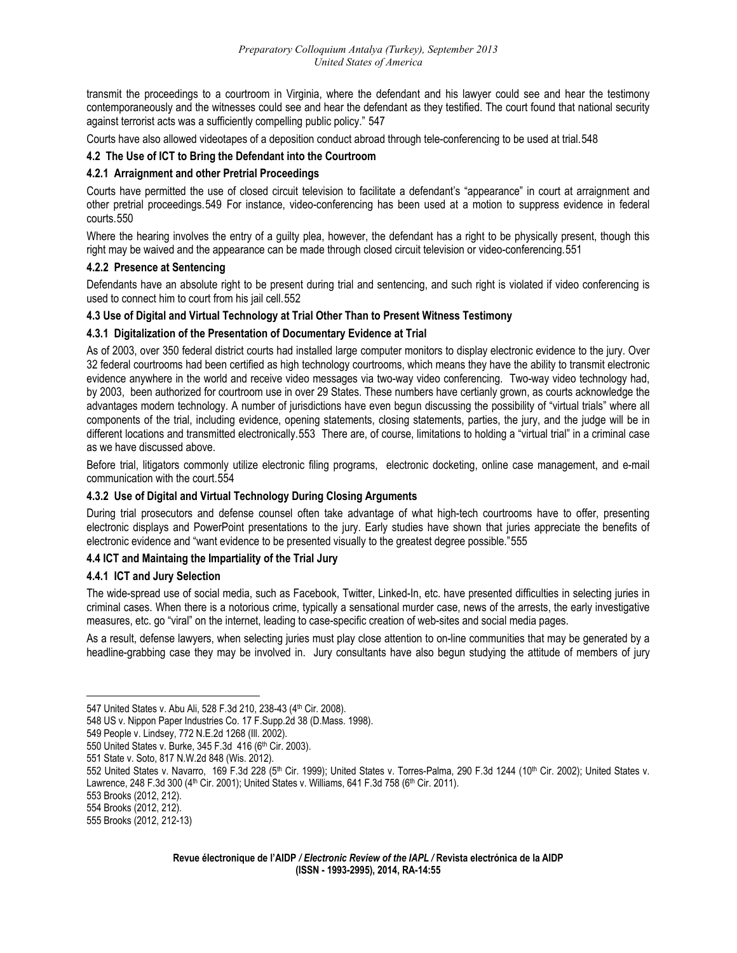transmit the proceedings to a courtroom in Virginia, where the defendant and his lawyer could see and hear the testimony contemporaneously and the witnesses could see and hear the defendant as they testified. The court found that national security against terrorist acts was a sufficiently compelling public policy." [547](#page-54-0)

Courts have also allowed videotapes of a deposition conduct abroad through tele-conferencing to be used at trial.[548](#page-54-1)

## **4.2 The Use of ICT to Bring the Defendant into the Courtroom**

# **4.2.1 Arraignment and other Pretrial Proceedings**

Courts have permitted the use of closed circuit television to facilitate a defendant's "appearance" in court at arraignment and other pretrial proceedings.[549](#page-54-2) For instance, video-conferencing has been used at a motion to suppress evidence in federal courts.[550](#page-54-3) 

Where the hearing involves the entry of a guilty plea, however, the defendant has a right to be physically present, though this right may be waived and the appearance can be made through closed circuit television or video-conferencing.[551](#page-54-4) 

### **4.2.2 Presence at Sentencing**

Defendants have an absolute right to be present during trial and sentencing, and such right is violated if video conferencing is used to connect him to court from his jail cell.[552](#page-54-5) 

## **4.3 Use of Digital and Virtual Technology at Trial Other Than to Present Witness Testimony**

## **4.3.1 Digitalization of the Presentation of Documentary Evidence at Trial**

As of 2003, over 350 federal district courts had installed large computer monitors to display electronic evidence to the jury. Over 32 federal courtrooms had been certified as high technology courtrooms, which means they have the ability to transmit electronic evidence anywhere in the world and receive video messages via two-way video conferencing. Two-way video technology had, by 2003, been authorized for courtroom use in over 29 States. These numbers have certianly grown, as courts acknowledge the advantages modern technology. A number of jurisdictions have even begun discussing the possibility of "virtual trials" where all components of the trial, including evidence, opening statements, closing statements, parties, the jury, and the judge will be in different locations and transmitted electronically.[553](#page-54-6) There are, of course, limitations to holding a "virtual trial" in a criminal case as we have discussed above.

Before trial, litigators commonly utilize electronic filing programs, electronic docketing, online case management, and e-mail communication with the court.[554](#page-54-7)

### **4.3.2 Use of Digital and Virtual Technology During Closing Arguments**

During trial prosecutors and defense counsel often take advantage of what high-tech courtrooms have to offer, presenting electronic displays and PowerPoint presentations to the jury. Early studies have shown that juries appreciate the benefits of electronic evidence and "want evidence to be presented visually to the greatest degree possible."[555](#page-54-8)

### **4.4 ICT and Maintaing the Impartiality of the Trial Jury**

### **4.4.1 ICT and Jury Selection**

The wide-spread use of social media, such as Facebook, Twitter, Linked-In, etc. have presented difficulties in selecting juries in criminal cases. When there is a notorious crime, typically a sensational murder case, news of the arrests, the early investigative measures, etc. go "viral" on the internet, leading to case-specific creation of web-sites and social media pages.

As a result, defense lawyers, when selecting juries must play close attention to on-line communities that may be generated by a headline-grabbing case they may be involved in. Jury consultants have also begun studying the attitude of members of jury

<span id="page-54-2"></span>549 People v. Lindsey, 772 N.E.2d 1268 (Ill. 2002).

<span id="page-54-6"></span>553 Brooks (2012, 212).

<span id="page-54-0"></span><sup>547</sup> United States v. Abu Ali, 528 F.3d 210, 238-43 (4<sup>th</sup> Cir. 2008).

<span id="page-54-1"></span><sup>548</sup> US v. Nippon Paper Industries Co. 17 F.Supp.2d 38 (D.Mass. 1998).

<span id="page-54-3"></span><sup>550</sup> United States v. Burke, 345 F.3d 416 (6th Cir. 2003).

<span id="page-54-4"></span><sup>551</sup> State v. Soto, 817 N.W.2d 848 (Wis. 2012).

<span id="page-54-5"></span><sup>552</sup> United States v. Navarro, 169 F.3d 228 (5<sup>th</sup> Cir. 1999); United States v. Torres-Palma, 290 F.3d 1244 (10<sup>th</sup> Cir. 2002); United States v. Lawrence, 248 F.3d 300 (4<sup>th</sup> Cir. 2001); United States v. Williams, 641 F.3d 758 (6<sup>th</sup> Cir. 2011).

<span id="page-54-7"></span><sup>554</sup> Brooks (2012, 212).

<span id="page-54-8"></span><sup>555</sup> Brooks (2012, 212-13)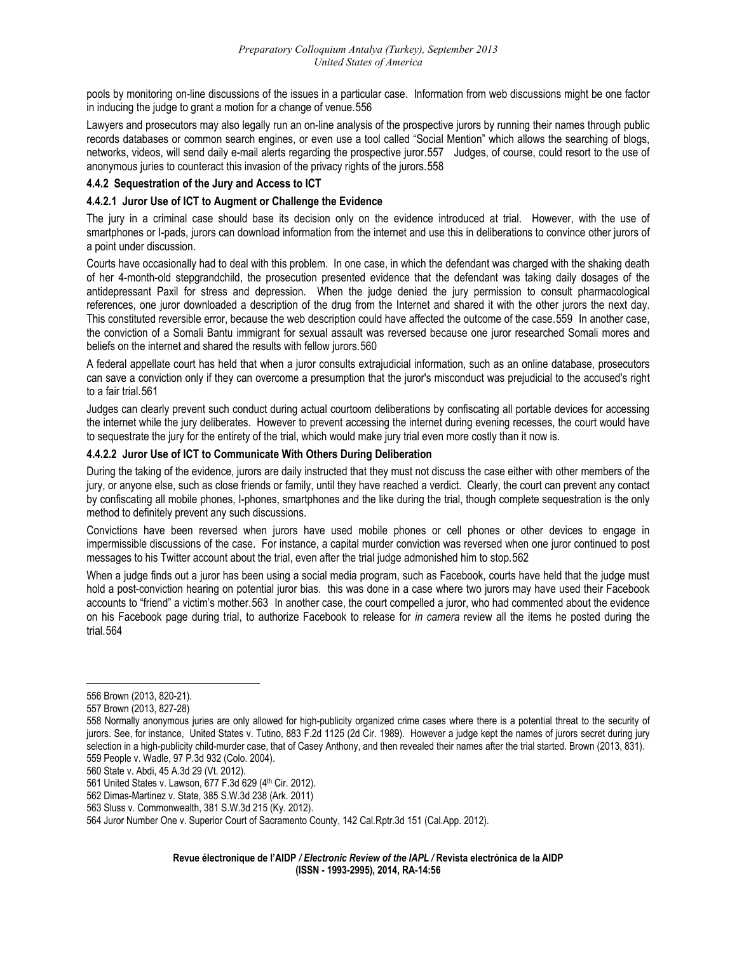pools by monitoring on-line discussions of the issues in a particular case. Information from web discussions might be one factor in inducing the judge to grant a motion for a change of venue.[556](#page-55-0)

Lawyers and prosecutors may also legally run an on-line analysis of the prospective jurors by running their names through public records databases or common search engines, or even use a tool called "Social Mention" which allows the searching of blogs, networks, videos, will send daily e-mail alerts regarding the prospective juror.[557](#page-55-1) Judges, of course, could resort to the use of anonymous juries to counteract this invasion of the privacy rights of the jurors.[558](#page-55-2) 

### **4.4.2 Sequestration of the Jury and Access to ICT**

## **4.4.2.1 Juror Use of ICT to Augment or Challenge the Evidence**

The jury in a criminal case should base its decision only on the evidence introduced at trial. However, with the use of smartphones or I-pads, jurors can download information from the internet and use this in deliberations to convince other jurors of a point under discussion.

Courts have occasionally had to deal with this problem. In one case, in which the defendant was charged with the shaking death of her 4-month-old stepgrandchild, the prosecution presented evidence that the defendant was taking daily dosages of the antidepressant Paxil for stress and depression. When the judge denied the jury permission to consult pharmacological references, one juror downloaded a description of the drug from the Internet and shared it with the other jurors the next day. This constituted reversible error, because the web description could have affected the outcome of the case.[559](#page-55-3) In another case, the conviction of a Somali Bantu immigrant for sexual assault was reversed because one juror researched Somali mores and beliefs on the internet and shared the results with fellow jurors.[560](#page-55-4)

A federal appellate court has held that when a juror consults extrajudicial information, such as an online database, prosecutors can save a conviction only if they can overcome a presumption that the juror's misconduct was prejudicial to the accused's right to a fair trial.[561](#page-55-5) 

Judges can clearly prevent such conduct during actual courtoom deliberations by confiscating all portable devices for accessing the internet while the jury deliberates. However to prevent accessing the internet during evening recesses, the court would have to sequestrate the jury for the entirety of the trial, which would make jury trial even more costly than it now is.

### **4.4.2.2 Juror Use of ICT to Communicate With Others During Deliberation**

During the taking of the evidence, jurors are daily instructed that they must not discuss the case either with other members of the jury, or anyone else, such as close friends or family, until they have reached a verdict. Clearly, the court can prevent any contact by confiscating all mobile phones, I-phones, smartphones and the like during the trial, though complete sequestration is the only method to definitely prevent any such discussions.

Convictions have been reversed when jurors have used mobile phones or cell phones or other devices to engage in impermissible discussions of the case. For instance, a capital murder conviction was reversed when one juror continued to post messages to his Twitter account about the trial, even after the trial judge admonished him to stop.[562](#page-55-6)

When a judge finds out a juror has been using a social media program, such as Facebook, courts have held that the judge must hold a post-conviction hearing on potential juror bias. this was done in a case where two jurors may have used their Facebook accounts to "friend" a victim's mother.[563](#page-55-7) In another case, the court compelled a juror, who had commented about the evidence on his Facebook page during trial, to authorize Facebook to release for *in camera* review all the items he posted during the trial.[564](#page-55-8)

<span id="page-55-0"></span><sup>556</sup> Brown (2013, 820-21).

<span id="page-55-1"></span><sup>557</sup> Brown (2013, 827-28)

<span id="page-55-2"></span><sup>558</sup> Normally anonymous juries are only allowed for high-publicity organized crime cases where there is a potential threat to the security of jurors. See, for instance, United States v. Tutino, 883 F.2d 1125 (2d Cir. 1989). However a judge kept the names of jurors secret during jury selection in a high-publicity child-murder case, that of Casey Anthony, and then revealed their names after the trial started. Brown (2013, 831). 559 People v. Wadle, 97 P.3d 932 (Colo. 2004).

<span id="page-55-4"></span><span id="page-55-3"></span><sup>560</sup> State v. Abdi, 45 A.3d 29 (Vt. 2012).

<span id="page-55-5"></span><sup>561</sup> United States v. Lawson, 677 F.3d 629 (4th Cir. 2012).

<span id="page-55-6"></span><sup>562</sup> Dimas-Martinez v. State, 385 S.W.3d 238 (Ark. 2011)

<span id="page-55-7"></span><sup>563</sup> Sluss v. Commonwealth, 381 S.W.3d 215 (Ky. 2012).

<span id="page-55-8"></span><sup>564</sup> Juror Number One v. Superior Court of Sacramento County, 142 Cal.Rptr.3d 151 (Cal.App. 2012).